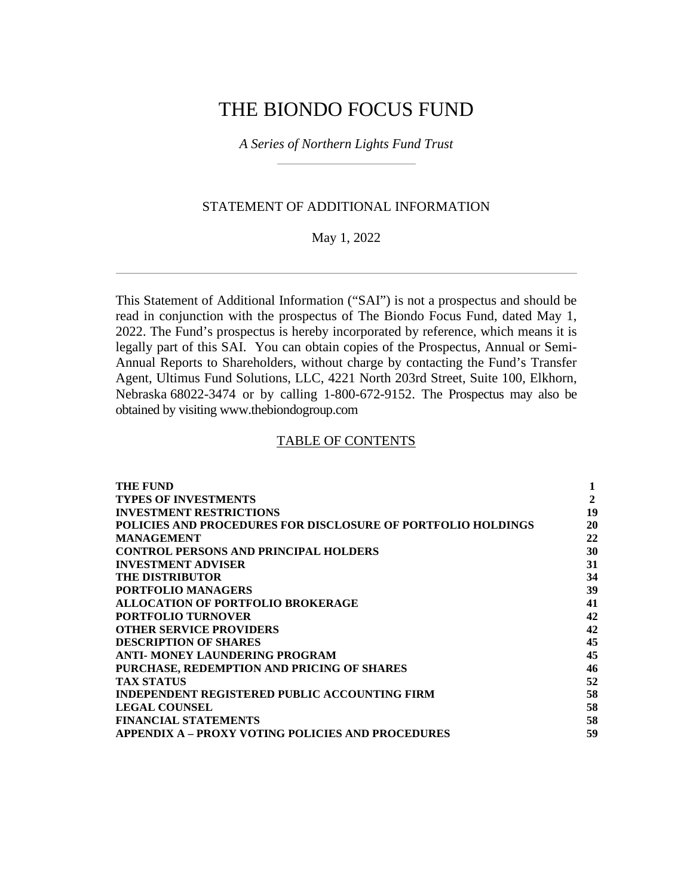## THE BIONDO FOCUS FUND

*A Series of Northern Lights Fund Trust* 

### STATEMENT OF ADDITIONAL INFORMATION

May 1, 2022

This Statement of Additional Information ("SAI") is not a prospectus and should be read in conjunction with the prospectus of The Biondo Focus Fund, dated May 1, 2022. The Fund's prospectus is hereby incorporated by reference, which means it is legally part of this SAI. You can obtain copies of the Prospectus, Annual or Semi-Annual Reports to Shareholders, without charge by contacting the Fund's Transfer Agent, Ultimus Fund Solutions, LLC, 4221 North 203rd Street, Suite 100, Elkhorn, Nebraska 68022-3474 or by calling 1-800-672-9152. The Prospectus may also be obtained by visiting www.thebiondogroup.com

### TABLE OF CONTENTS

| THE FUND                                                     | 1            |
|--------------------------------------------------------------|--------------|
| <b>TYPES OF INVESTMENTS</b>                                  | $\mathbf{2}$ |
| <b>INVESTMENT RESTRICTIONS</b>                               | 19           |
| POLICIES AND PROCEDURES FOR DISCLOSURE OF PORTFOLIO HOLDINGS | 20           |
| <b>MANAGEMENT</b>                                            | 22           |
| <b>CONTROL PERSONS AND PRINCIPAL HOLDERS</b>                 | 30           |
| <b>INVESTMENT ADVISER</b>                                    | 31           |
| <b>THE DISTRIBUTOR</b>                                       | 34           |
| <b>PORTFOLIO MANAGERS</b>                                    | 39           |
| ALLOCATION OF PORTFOLIO BROKERAGE                            | 41           |
| <b>PORTFOLIO TURNOVER</b>                                    | 42           |
| <b>OTHER SERVICE PROVIDERS</b>                               | 42           |
| <b>DESCRIPTION OF SHARES</b>                                 | 45           |
| ANTI- MONEY LAUNDERING PROGRAM                               | 45           |
| PURCHASE, REDEMPTION AND PRICING OF SHARES                   | 46           |
| <b>TAX STATUS</b>                                            | 52           |
| <b>INDEPENDENT REGISTERED PUBLIC ACCOUNTING FIRM</b>         | 58           |
| <b>LEGAL COUNSEL</b>                                         | 58           |
| <b>FINANCIAL STATEMENTS</b>                                  | 58           |
| <b>APPENDIX A – PROXY VOTING POLICIES AND PROCEDURES</b>     | 59           |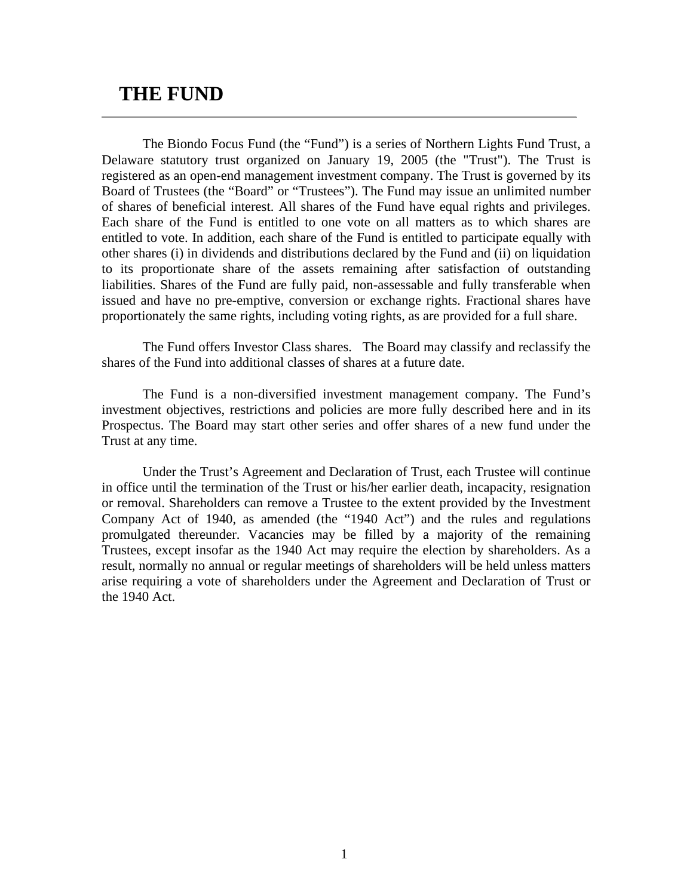## **THE FUND**

The Biondo Focus Fund (the "Fund") is a series of Northern Lights Fund Trust, a Delaware statutory trust organized on January 19, 2005 (the "Trust"). The Trust is registered as an open-end management investment company. The Trust is governed by its Board of Trustees (the "Board" or "Trustees"). The Fund may issue an unlimited number of shares of beneficial interest. All shares of the Fund have equal rights and privileges. Each share of the Fund is entitled to one vote on all matters as to which shares are entitled to vote. In addition, each share of the Fund is entitled to participate equally with other shares (i) in dividends and distributions declared by the Fund and (ii) on liquidation to its proportionate share of the assets remaining after satisfaction of outstanding liabilities. Shares of the Fund are fully paid, non-assessable and fully transferable when issued and have no pre-emptive, conversion or exchange rights. Fractional shares have proportionately the same rights, including voting rights, as are provided for a full share.

The Fund offers Investor Class shares. The Board may classify and reclassify the shares of the Fund into additional classes of shares at a future date.

The Fund is a non-diversified investment management company. The Fund's investment objectives, restrictions and policies are more fully described here and in its Prospectus. The Board may start other series and offer shares of a new fund under the Trust at any time.

Under the Trust's Agreement and Declaration of Trust, each Trustee will continue in office until the termination of the Trust or his/her earlier death, incapacity, resignation or removal. Shareholders can remove a Trustee to the extent provided by the Investment Company Act of 1940, as amended (the "1940 Act") and the rules and regulations promulgated thereunder. Vacancies may be filled by a majority of the remaining Trustees, except insofar as the 1940 Act may require the election by shareholders. As a result, normally no annual or regular meetings of shareholders will be held unless matters arise requiring a vote of shareholders under the Agreement and Declaration of Trust or the 1940 Act.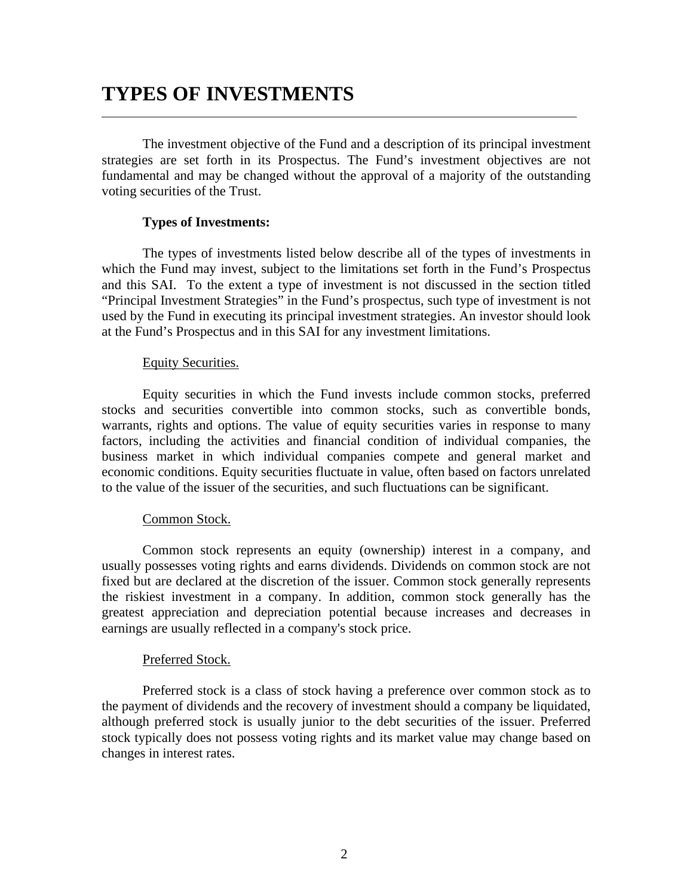# **TYPES OF INVESTMENTS**

The investment objective of the Fund and a description of its principal investment strategies are set forth in its Prospectus. The Fund's investment objectives are not fundamental and may be changed without the approval of a majority of the outstanding voting securities of the Trust.

### **Types of Investments:**

The types of investments listed below describe all of the types of investments in which the Fund may invest, subject to the limitations set forth in the Fund's Prospectus and this SAI. To the extent a type of investment is not discussed in the section titled "Principal Investment Strategies" in the Fund's prospectus, such type of investment is not used by the Fund in executing its principal investment strategies. An investor should look at the Fund's Prospectus and in this SAI for any investment limitations.

### Equity Securities.

Equity securities in which the Fund invests include common stocks, preferred stocks and securities convertible into common stocks, such as convertible bonds, warrants, rights and options. The value of equity securities varies in response to many factors, including the activities and financial condition of individual companies, the business market in which individual companies compete and general market and economic conditions. Equity securities fluctuate in value, often based on factors unrelated to the value of the issuer of the securities, and such fluctuations can be significant.

### Common Stock.

Common stock represents an equity (ownership) interest in a company, and usually possesses voting rights and earns dividends. Dividends on common stock are not fixed but are declared at the discretion of the issuer. Common stock generally represents the riskiest investment in a company. In addition, common stock generally has the greatest appreciation and depreciation potential because increases and decreases in earnings are usually reflected in a company's stock price.

### Preferred Stock.

Preferred stock is a class of stock having a preference over common stock as to the payment of dividends and the recovery of investment should a company be liquidated, although preferred stock is usually junior to the debt securities of the issuer. Preferred stock typically does not possess voting rights and its market value may change based on changes in interest rates.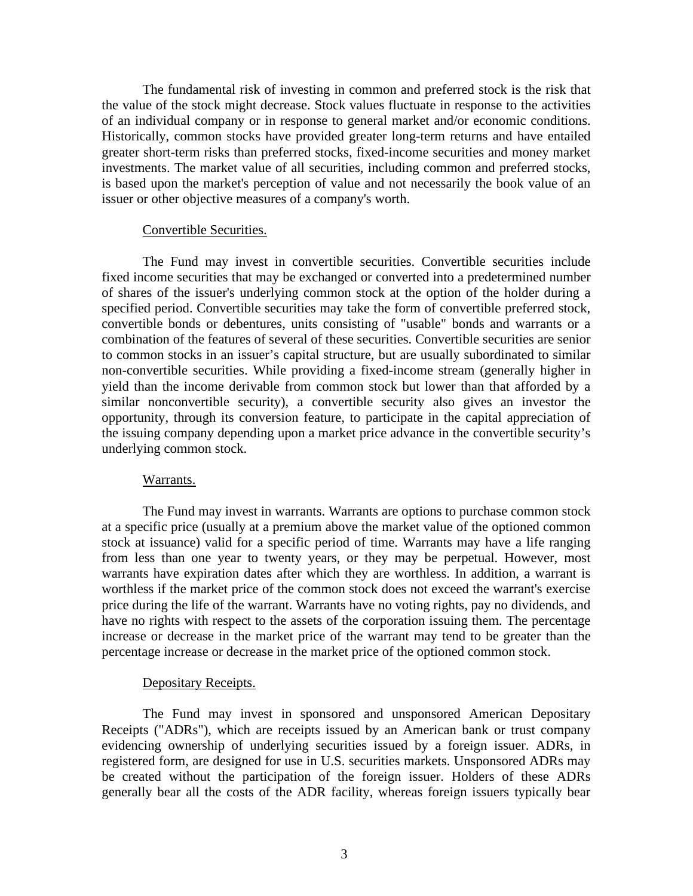The fundamental risk of investing in common and preferred stock is the risk that the value of the stock might decrease. Stock values fluctuate in response to the activities of an individual company or in response to general market and/or economic conditions. Historically, common stocks have provided greater long-term returns and have entailed greater short-term risks than preferred stocks, fixed-income securities and money market investments. The market value of all securities, including common and preferred stocks, is based upon the market's perception of value and not necessarily the book value of an issuer or other objective measures of a company's worth.

### Convertible Securities.

The Fund may invest in convertible securities. Convertible securities include fixed income securities that may be exchanged or converted into a predetermined number of shares of the issuer's underlying common stock at the option of the holder during a specified period. Convertible securities may take the form of convertible preferred stock, convertible bonds or debentures, units consisting of "usable" bonds and warrants or a combination of the features of several of these securities. Convertible securities are senior to common stocks in an issuer's capital structure, but are usually subordinated to similar non-convertible securities. While providing a fixed-income stream (generally higher in yield than the income derivable from common stock but lower than that afforded by a similar nonconvertible security), a convertible security also gives an investor the opportunity, through its conversion feature, to participate in the capital appreciation of the issuing company depending upon a market price advance in the convertible security's underlying common stock.

### Warrants.

The Fund may invest in warrants. Warrants are options to purchase common stock at a specific price (usually at a premium above the market value of the optioned common stock at issuance) valid for a specific period of time. Warrants may have a life ranging from less than one year to twenty years, or they may be perpetual. However, most warrants have expiration dates after which they are worthless. In addition, a warrant is worthless if the market price of the common stock does not exceed the warrant's exercise price during the life of the warrant. Warrants have no voting rights, pay no dividends, and have no rights with respect to the assets of the corporation issuing them. The percentage increase or decrease in the market price of the warrant may tend to be greater than the percentage increase or decrease in the market price of the optioned common stock.

#### Depositary Receipts.

The Fund may invest in sponsored and unsponsored American Depositary Receipts ("ADRs"), which are receipts issued by an American bank or trust company evidencing ownership of underlying securities issued by a foreign issuer. ADRs, in registered form, are designed for use in U.S. securities markets. Unsponsored ADRs may be created without the participation of the foreign issuer. Holders of these ADRs generally bear all the costs of the ADR facility, whereas foreign issuers typically bear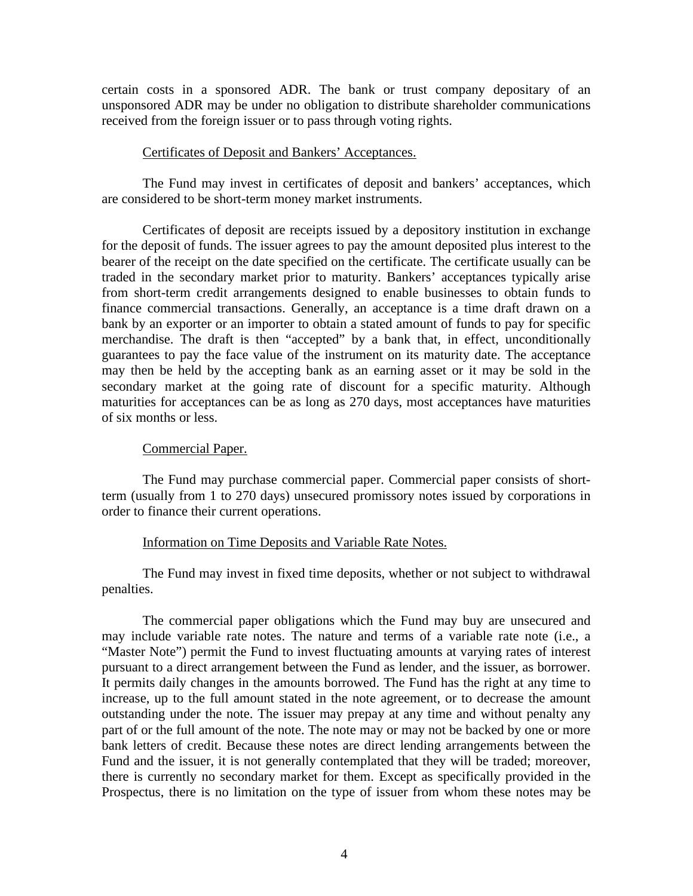certain costs in a sponsored ADR. The bank or trust company depositary of an unsponsored ADR may be under no obligation to distribute shareholder communications received from the foreign issuer or to pass through voting rights.

### Certificates of Deposit and Bankers' Acceptances.

The Fund may invest in certificates of deposit and bankers' acceptances, which are considered to be short-term money market instruments.

Certificates of deposit are receipts issued by a depository institution in exchange for the deposit of funds. The issuer agrees to pay the amount deposited plus interest to the bearer of the receipt on the date specified on the certificate. The certificate usually can be traded in the secondary market prior to maturity. Bankers' acceptances typically arise from short-term credit arrangements designed to enable businesses to obtain funds to finance commercial transactions. Generally, an acceptance is a time draft drawn on a bank by an exporter or an importer to obtain a stated amount of funds to pay for specific merchandise. The draft is then "accepted" by a bank that, in effect, unconditionally guarantees to pay the face value of the instrument on its maturity date. The acceptance may then be held by the accepting bank as an earning asset or it may be sold in the secondary market at the going rate of discount for a specific maturity. Although maturities for acceptances can be as long as 270 days, most acceptances have maturities of six months or less.

### Commercial Paper.

The Fund may purchase commercial paper. Commercial paper consists of shortterm (usually from 1 to 270 days) unsecured promissory notes issued by corporations in order to finance their current operations.

### Information on Time Deposits and Variable Rate Notes.

The Fund may invest in fixed time deposits, whether or not subject to withdrawal penalties.

The commercial paper obligations which the Fund may buy are unsecured and may include variable rate notes. The nature and terms of a variable rate note (i.e., a "Master Note") permit the Fund to invest fluctuating amounts at varying rates of interest pursuant to a direct arrangement between the Fund as lender, and the issuer, as borrower. It permits daily changes in the amounts borrowed. The Fund has the right at any time to increase, up to the full amount stated in the note agreement, or to decrease the amount outstanding under the note. The issuer may prepay at any time and without penalty any part of or the full amount of the note. The note may or may not be backed by one or more bank letters of credit. Because these notes are direct lending arrangements between the Fund and the issuer, it is not generally contemplated that they will be traded; moreover, there is currently no secondary market for them. Except as specifically provided in the Prospectus, there is no limitation on the type of issuer from whom these notes may be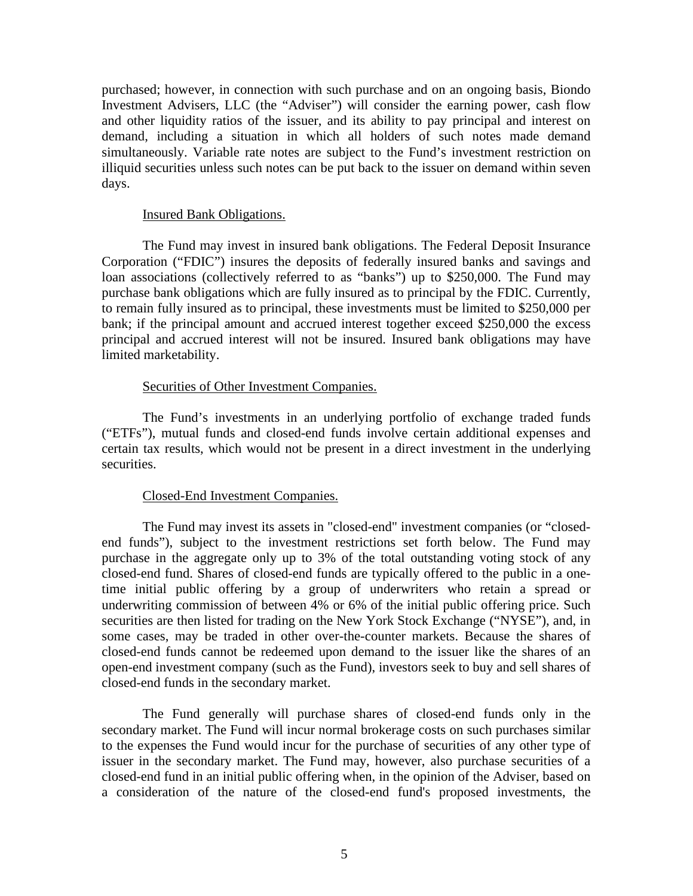purchased; however, in connection with such purchase and on an ongoing basis, Biondo Investment Advisers, LLC (the "Adviser") will consider the earning power, cash flow and other liquidity ratios of the issuer, and its ability to pay principal and interest on demand, including a situation in which all holders of such notes made demand simultaneously. Variable rate notes are subject to the Fund's investment restriction on illiquid securities unless such notes can be put back to the issuer on demand within seven days.

### Insured Bank Obligations.

The Fund may invest in insured bank obligations. The Federal Deposit Insurance Corporation ("FDIC") insures the deposits of federally insured banks and savings and loan associations (collectively referred to as "banks") up to \$250,000. The Fund may purchase bank obligations which are fully insured as to principal by the FDIC. Currently, to remain fully insured as to principal, these investments must be limited to \$250,000 per bank; if the principal amount and accrued interest together exceed \$250,000 the excess principal and accrued interest will not be insured. Insured bank obligations may have limited marketability.

### Securities of Other Investment Companies.

The Fund's investments in an underlying portfolio of exchange traded funds ("ETFs"), mutual funds and closed-end funds involve certain additional expenses and certain tax results, which would not be present in a direct investment in the underlying securities.

### Closed-End Investment Companies.

The Fund may invest its assets in "closed-end" investment companies (or "closedend funds"), subject to the investment restrictions set forth below. The Fund may purchase in the aggregate only up to 3% of the total outstanding voting stock of any closed-end fund. Shares of closed-end funds are typically offered to the public in a onetime initial public offering by a group of underwriters who retain a spread or underwriting commission of between 4% or 6% of the initial public offering price. Such securities are then listed for trading on the New York Stock Exchange ("NYSE"), and, in some cases, may be traded in other over-the-counter markets. Because the shares of closed-end funds cannot be redeemed upon demand to the issuer like the shares of an open-end investment company (such as the Fund), investors seek to buy and sell shares of closed-end funds in the secondary market.

The Fund generally will purchase shares of closed-end funds only in the secondary market. The Fund will incur normal brokerage costs on such purchases similar to the expenses the Fund would incur for the purchase of securities of any other type of issuer in the secondary market. The Fund may, however, also purchase securities of a closed-end fund in an initial public offering when, in the opinion of the Adviser, based on a consideration of the nature of the closed-end fund's proposed investments, the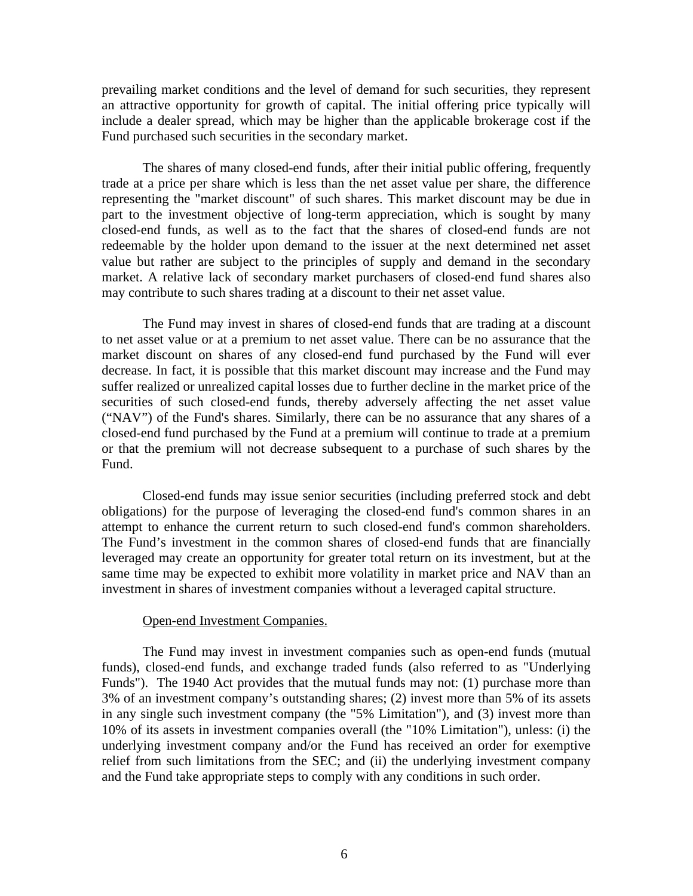prevailing market conditions and the level of demand for such securities, they represent an attractive opportunity for growth of capital. The initial offering price typically will include a dealer spread, which may be higher than the applicable brokerage cost if the Fund purchased such securities in the secondary market.

The shares of many closed-end funds, after their initial public offering, frequently trade at a price per share which is less than the net asset value per share, the difference representing the "market discount" of such shares. This market discount may be due in part to the investment objective of long-term appreciation, which is sought by many closed-end funds, as well as to the fact that the shares of closed-end funds are not redeemable by the holder upon demand to the issuer at the next determined net asset value but rather are subject to the principles of supply and demand in the secondary market. A relative lack of secondary market purchasers of closed-end fund shares also may contribute to such shares trading at a discount to their net asset value.

The Fund may invest in shares of closed-end funds that are trading at a discount to net asset value or at a premium to net asset value. There can be no assurance that the market discount on shares of any closed-end fund purchased by the Fund will ever decrease. In fact, it is possible that this market discount may increase and the Fund may suffer realized or unrealized capital losses due to further decline in the market price of the securities of such closed-end funds, thereby adversely affecting the net asset value ("NAV") of the Fund's shares. Similarly, there can be no assurance that any shares of a closed-end fund purchased by the Fund at a premium will continue to trade at a premium or that the premium will not decrease subsequent to a purchase of such shares by the Fund.

Closed-end funds may issue senior securities (including preferred stock and debt obligations) for the purpose of leveraging the closed-end fund's common shares in an attempt to enhance the current return to such closed-end fund's common shareholders. The Fund's investment in the common shares of closed-end funds that are financially leveraged may create an opportunity for greater total return on its investment, but at the same time may be expected to exhibit more volatility in market price and NAV than an investment in shares of investment companies without a leveraged capital structure.

### Open-end Investment Companies.

The Fund may invest in investment companies such as open-end funds (mutual funds), closed-end funds, and exchange traded funds (also referred to as "Underlying Funds"). The 1940 Act provides that the mutual funds may not: (1) purchase more than 3% of an investment company's outstanding shares; (2) invest more than 5% of its assets in any single such investment company (the "5% Limitation"), and (3) invest more than 10% of its assets in investment companies overall (the "10% Limitation"), unless: (i) the underlying investment company and/or the Fund has received an order for exemptive relief from such limitations from the SEC; and (ii) the underlying investment company and the Fund take appropriate steps to comply with any conditions in such order.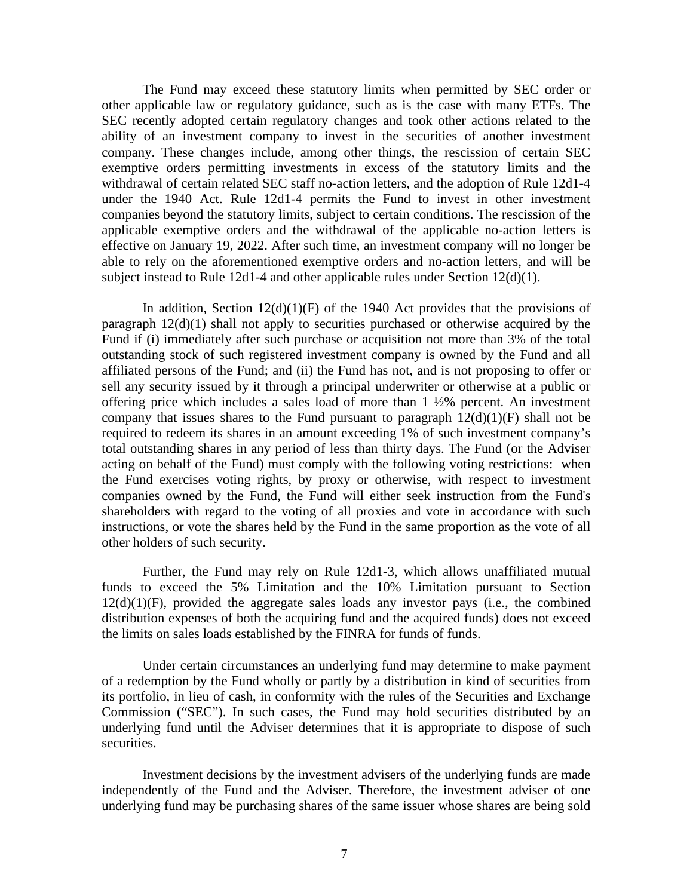The Fund may exceed these statutory limits when permitted by SEC order or other applicable law or regulatory guidance, such as is the case with many ETFs. The SEC recently adopted certain regulatory changes and took other actions related to the ability of an investment company to invest in the securities of another investment company. These changes include, among other things, the rescission of certain SEC exemptive orders permitting investments in excess of the statutory limits and the withdrawal of certain related SEC staff no-action letters, and the adoption of Rule 12d1-4 under the 1940 Act. Rule 12d1-4 permits the Fund to invest in other investment companies beyond the statutory limits, subject to certain conditions. The rescission of the applicable exemptive orders and the withdrawal of the applicable no-action letters is effective on January 19, 2022. After such time, an investment company will no longer be able to rely on the aforementioned exemptive orders and no-action letters, and will be subject instead to Rule 12d1-4 and other applicable rules under Section 12(d)(1).

In addition, Section  $12(d)(1)(F)$  of the 1940 Act provides that the provisions of paragraph 12(d)(1) shall not apply to securities purchased or otherwise acquired by the Fund if (i) immediately after such purchase or acquisition not more than 3% of the total outstanding stock of such registered investment company is owned by the Fund and all affiliated persons of the Fund; and (ii) the Fund has not, and is not proposing to offer or sell any security issued by it through a principal underwriter or otherwise at a public or offering price which includes a sales load of more than  $1\frac{1}{2}\%$  percent. An investment company that issues shares to the Fund pursuant to paragraph  $12(d)(1)(F)$  shall not be required to redeem its shares in an amount exceeding 1% of such investment company's total outstanding shares in any period of less than thirty days. The Fund (or the Adviser acting on behalf of the Fund) must comply with the following voting restrictions: when the Fund exercises voting rights, by proxy or otherwise, with respect to investment companies owned by the Fund, the Fund will either seek instruction from the Fund's shareholders with regard to the voting of all proxies and vote in accordance with such instructions, or vote the shares held by the Fund in the same proportion as the vote of all other holders of such security.

Further, the Fund may rely on Rule 12d1-3, which allows unaffiliated mutual funds to exceed the 5% Limitation and the 10% Limitation pursuant to Section  $12(d)(1)(F)$ , provided the aggregate sales loads any investor pays (i.e., the combined distribution expenses of both the acquiring fund and the acquired funds) does not exceed the limits on sales loads established by the FINRA for funds of funds.

Under certain circumstances an underlying fund may determine to make payment of a redemption by the Fund wholly or partly by a distribution in kind of securities from its portfolio, in lieu of cash, in conformity with the rules of the Securities and Exchange Commission ("SEC"). In such cases, the Fund may hold securities distributed by an underlying fund until the Adviser determines that it is appropriate to dispose of such securities.

Investment decisions by the investment advisers of the underlying funds are made independently of the Fund and the Adviser. Therefore, the investment adviser of one underlying fund may be purchasing shares of the same issuer whose shares are being sold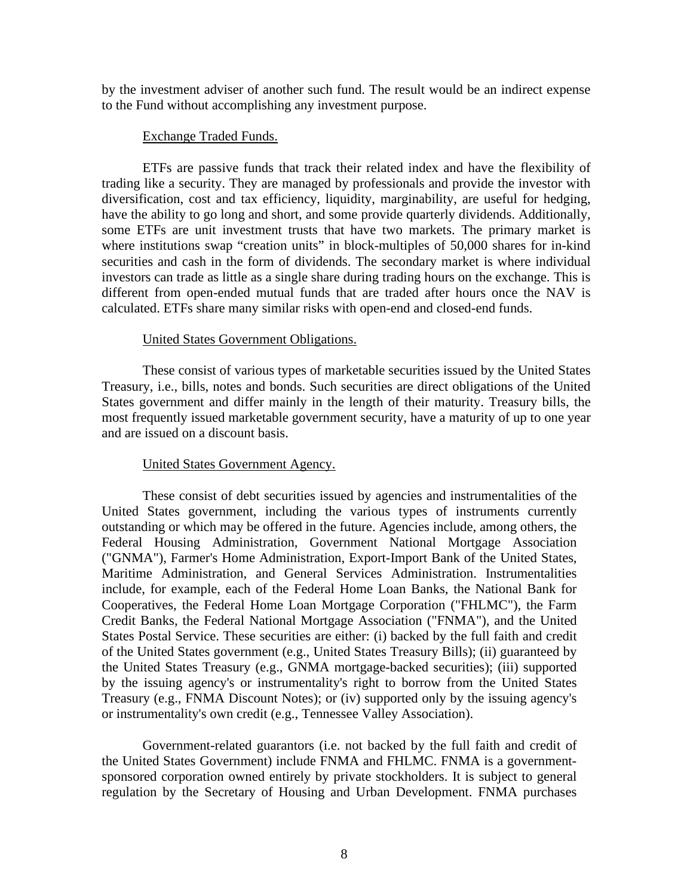by the investment adviser of another such fund. The result would be an indirect expense to the Fund without accomplishing any investment purpose.

### Exchange Traded Funds.

ETFs are passive funds that track their related index and have the flexibility of trading like a security. They are managed by professionals and provide the investor with diversification, cost and tax efficiency, liquidity, marginability, are useful for hedging, have the ability to go long and short, and some provide quarterly dividends. Additionally, some ETFs are unit investment trusts that have two markets. The primary market is where institutions swap "creation units" in block-multiples of 50,000 shares for in-kind securities and cash in the form of dividends. The secondary market is where individual investors can trade as little as a single share during trading hours on the exchange. This is different from open-ended mutual funds that are traded after hours once the NAV is calculated. ETFs share many similar risks with open-end and closed-end funds.

### United States Government Obligations.

These consist of various types of marketable securities issued by the United States Treasury, i.e., bills, notes and bonds. Such securities are direct obligations of the United States government and differ mainly in the length of their maturity. Treasury bills, the most frequently issued marketable government security, have a maturity of up to one year and are issued on a discount basis.

### United States Government Agency.

These consist of debt securities issued by agencies and instrumentalities of the United States government, including the various types of instruments currently outstanding or which may be offered in the future. Agencies include, among others, the Federal Housing Administration, Government National Mortgage Association ("GNMA"), Farmer's Home Administration, Export-Import Bank of the United States, Maritime Administration, and General Services Administration. Instrumentalities include, for example, each of the Federal Home Loan Banks, the National Bank for Cooperatives, the Federal Home Loan Mortgage Corporation ("FHLMC"), the Farm Credit Banks, the Federal National Mortgage Association ("FNMA"), and the United States Postal Service. These securities are either: (i) backed by the full faith and credit of the United States government (e.g., United States Treasury Bills); (ii) guaranteed by the United States Treasury (e.g., GNMA mortgage-backed securities); (iii) supported by the issuing agency's or instrumentality's right to borrow from the United States Treasury (e.g., FNMA Discount Notes); or (iv) supported only by the issuing agency's or instrumentality's own credit (e.g., Tennessee Valley Association).

Government-related guarantors (i.e. not backed by the full faith and credit of the United States Government) include FNMA and FHLMC. FNMA is a governmentsponsored corporation owned entirely by private stockholders. It is subject to general regulation by the Secretary of Housing and Urban Development. FNMA purchases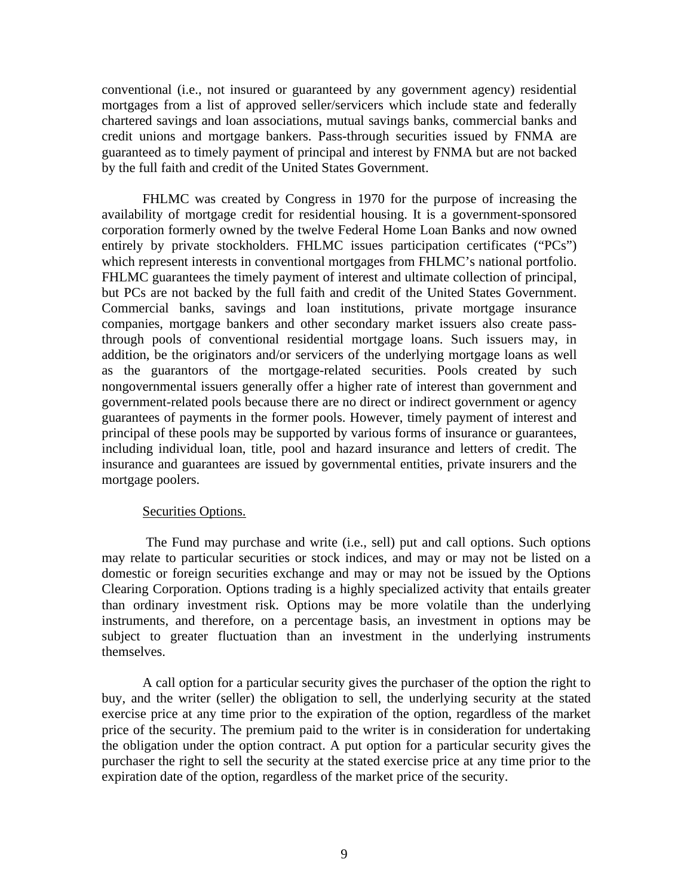conventional (i.e., not insured or guaranteed by any government agency) residential mortgages from a list of approved seller/servicers which include state and federally chartered savings and loan associations, mutual savings banks, commercial banks and credit unions and mortgage bankers. Pass-through securities issued by FNMA are guaranteed as to timely payment of principal and interest by FNMA but are not backed by the full faith and credit of the United States Government.

FHLMC was created by Congress in 1970 for the purpose of increasing the availability of mortgage credit for residential housing. It is a government-sponsored corporation formerly owned by the twelve Federal Home Loan Banks and now owned entirely by private stockholders. FHLMC issues participation certificates ("PCs") which represent interests in conventional mortgages from FHLMC's national portfolio. FHLMC guarantees the timely payment of interest and ultimate collection of principal, but PCs are not backed by the full faith and credit of the United States Government. Commercial banks, savings and loan institutions, private mortgage insurance companies, mortgage bankers and other secondary market issuers also create passthrough pools of conventional residential mortgage loans. Such issuers may, in addition, be the originators and/or servicers of the underlying mortgage loans as well as the guarantors of the mortgage-related securities. Pools created by such nongovernmental issuers generally offer a higher rate of interest than government and government-related pools because there are no direct or indirect government or agency guarantees of payments in the former pools. However, timely payment of interest and principal of these pools may be supported by various forms of insurance or guarantees, including individual loan, title, pool and hazard insurance and letters of credit. The insurance and guarantees are issued by governmental entities, private insurers and the mortgage poolers.

### Securities Options.

The Fund may purchase and write (i.e., sell) put and call options. Such options may relate to particular securities or stock indices, and may or may not be listed on a domestic or foreign securities exchange and may or may not be issued by the Options Clearing Corporation. Options trading is a highly specialized activity that entails greater than ordinary investment risk. Options may be more volatile than the underlying instruments, and therefore, on a percentage basis, an investment in options may be subject to greater fluctuation than an investment in the underlying instruments themselves.

A call option for a particular security gives the purchaser of the option the right to buy, and the writer (seller) the obligation to sell, the underlying security at the stated exercise price at any time prior to the expiration of the option, regardless of the market price of the security. The premium paid to the writer is in consideration for undertaking the obligation under the option contract. A put option for a particular security gives the purchaser the right to sell the security at the stated exercise price at any time prior to the expiration date of the option, regardless of the market price of the security.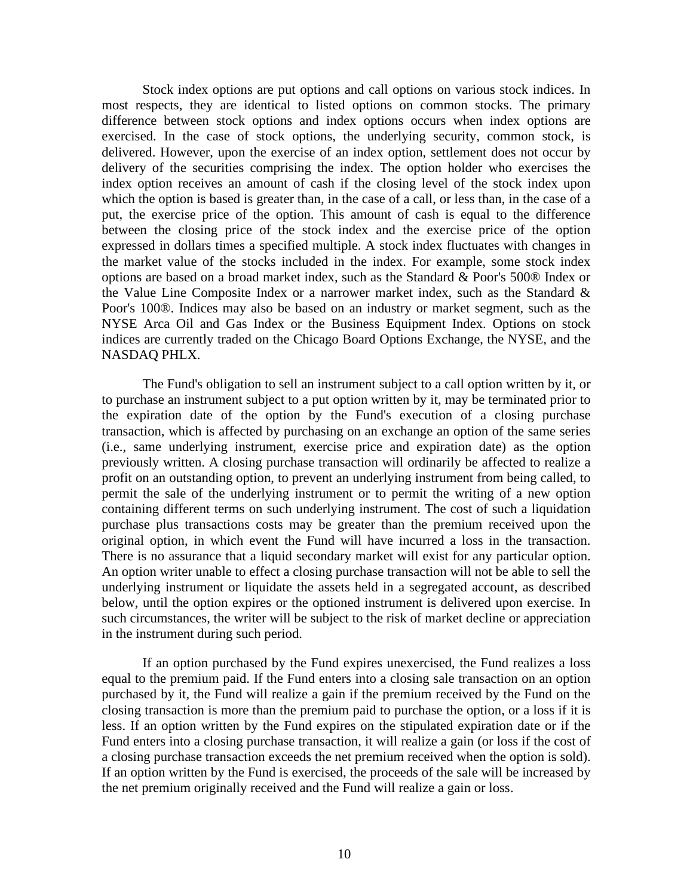Stock index options are put options and call options on various stock indices. In most respects, they are identical to listed options on common stocks. The primary difference between stock options and index options occurs when index options are exercised. In the case of stock options, the underlying security, common stock, is delivered. However, upon the exercise of an index option, settlement does not occur by delivery of the securities comprising the index. The option holder who exercises the index option receives an amount of cash if the closing level of the stock index upon which the option is based is greater than, in the case of a call, or less than, in the case of a put, the exercise price of the option. This amount of cash is equal to the difference between the closing price of the stock index and the exercise price of the option expressed in dollars times a specified multiple. A stock index fluctuates with changes in the market value of the stocks included in the index. For example, some stock index options are based on a broad market index, such as the Standard & Poor's 500® Index or the Value Line Composite Index or a narrower market index, such as the Standard & Poor's 100®. Indices may also be based on an industry or market segment, such as the NYSE Arca Oil and Gas Index or the Business Equipment Index. Options on stock indices are currently traded on the Chicago Board Options Exchange, the NYSE, and the NASDAQ PHLX.

The Fund's obligation to sell an instrument subject to a call option written by it, or to purchase an instrument subject to a put option written by it, may be terminated prior to the expiration date of the option by the Fund's execution of a closing purchase transaction, which is affected by purchasing on an exchange an option of the same series (i.e., same underlying instrument, exercise price and expiration date) as the option previously written. A closing purchase transaction will ordinarily be affected to realize a profit on an outstanding option, to prevent an underlying instrument from being called, to permit the sale of the underlying instrument or to permit the writing of a new option containing different terms on such underlying instrument. The cost of such a liquidation purchase plus transactions costs may be greater than the premium received upon the original option, in which event the Fund will have incurred a loss in the transaction. There is no assurance that a liquid secondary market will exist for any particular option. An option writer unable to effect a closing purchase transaction will not be able to sell the underlying instrument or liquidate the assets held in a segregated account, as described below, until the option expires or the optioned instrument is delivered upon exercise. In such circumstances, the writer will be subject to the risk of market decline or appreciation in the instrument during such period.

If an option purchased by the Fund expires unexercised, the Fund realizes a loss equal to the premium paid. If the Fund enters into a closing sale transaction on an option purchased by it, the Fund will realize a gain if the premium received by the Fund on the closing transaction is more than the premium paid to purchase the option, or a loss if it is less. If an option written by the Fund expires on the stipulated expiration date or if the Fund enters into a closing purchase transaction, it will realize a gain (or loss if the cost of a closing purchase transaction exceeds the net premium received when the option is sold). If an option written by the Fund is exercised, the proceeds of the sale will be increased by the net premium originally received and the Fund will realize a gain or loss.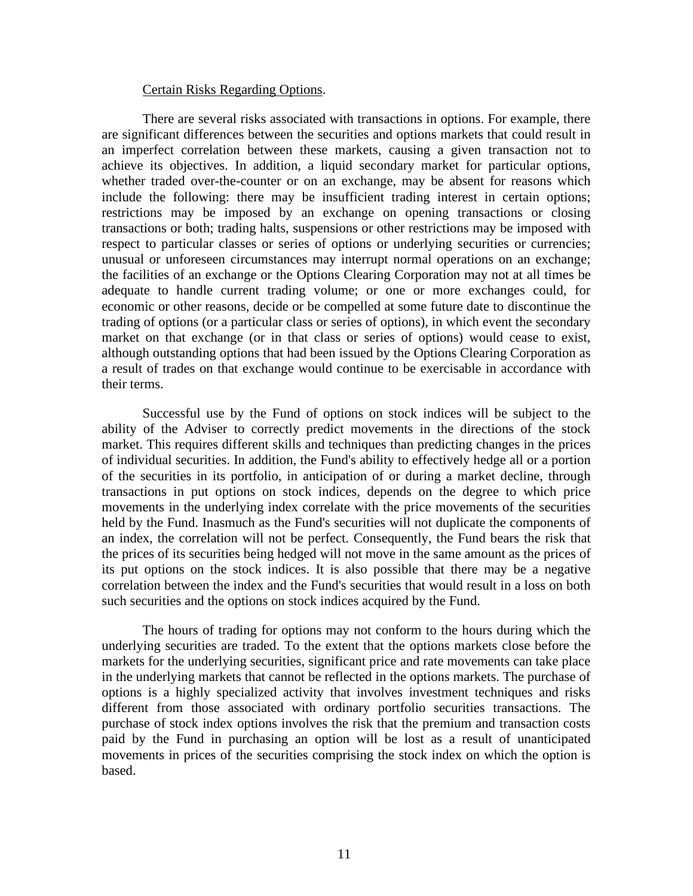#### Certain Risks Regarding Options.

There are several risks associated with transactions in options. For example, there are significant differences between the securities and options markets that could result in an imperfect correlation between these markets, causing a given transaction not to achieve its objectives. In addition, a liquid secondary market for particular options, whether traded over-the-counter or on an exchange, may be absent for reasons which include the following: there may be insufficient trading interest in certain options; restrictions may be imposed by an exchange on opening transactions or closing transactions or both; trading halts, suspensions or other restrictions may be imposed with respect to particular classes or series of options or underlying securities or currencies; unusual or unforeseen circumstances may interrupt normal operations on an exchange; the facilities of an exchange or the Options Clearing Corporation may not at all times be adequate to handle current trading volume; or one or more exchanges could, for economic or other reasons, decide or be compelled at some future date to discontinue the trading of options (or a particular class or series of options), in which event the secondary market on that exchange (or in that class or series of options) would cease to exist, although outstanding options that had been issued by the Options Clearing Corporation as a result of trades on that exchange would continue to be exercisable in accordance with their terms.

Successful use by the Fund of options on stock indices will be subject to the ability of the Adviser to correctly predict movements in the directions of the stock market. This requires different skills and techniques than predicting changes in the prices of individual securities. In addition, the Fund's ability to effectively hedge all or a portion of the securities in its portfolio, in anticipation of or during a market decline, through transactions in put options on stock indices, depends on the degree to which price movements in the underlying index correlate with the price movements of the securities held by the Fund. Inasmuch as the Fund's securities will not duplicate the components of an index, the correlation will not be perfect. Consequently, the Fund bears the risk that the prices of its securities being hedged will not move in the same amount as the prices of its put options on the stock indices. It is also possible that there may be a negative correlation between the index and the Fund's securities that would result in a loss on both such securities and the options on stock indices acquired by the Fund.

The hours of trading for options may not conform to the hours during which the underlying securities are traded. To the extent that the options markets close before the markets for the underlying securities, significant price and rate movements can take place in the underlying markets that cannot be reflected in the options markets. The purchase of options is a highly specialized activity that involves investment techniques and risks different from those associated with ordinary portfolio securities transactions. The purchase of stock index options involves the risk that the premium and transaction costs paid by the Fund in purchasing an option will be lost as a result of unanticipated movements in prices of the securities comprising the stock index on which the option is based.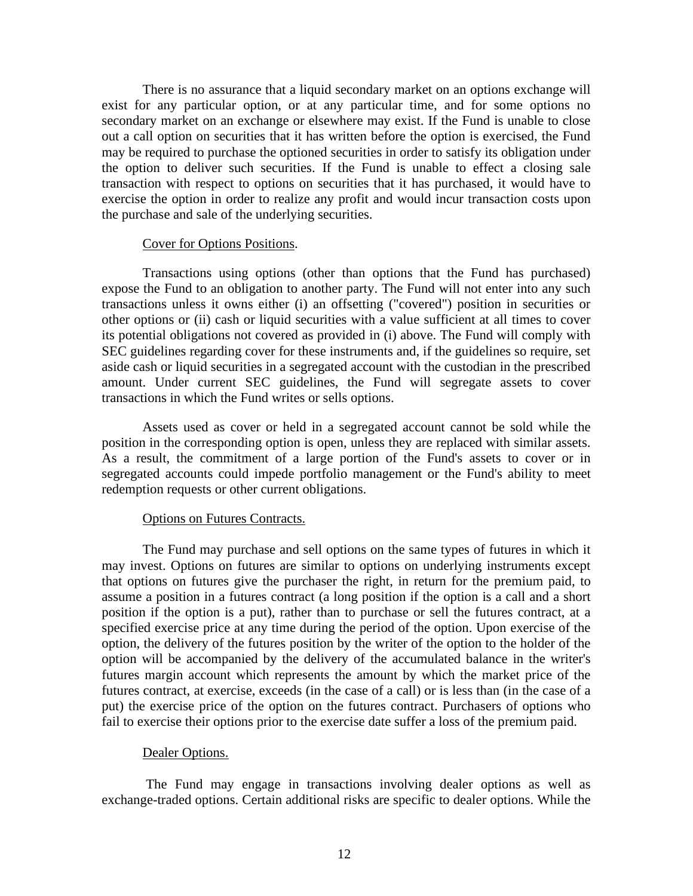There is no assurance that a liquid secondary market on an options exchange will exist for any particular option, or at any particular time, and for some options no secondary market on an exchange or elsewhere may exist. If the Fund is unable to close out a call option on securities that it has written before the option is exercised, the Fund may be required to purchase the optioned securities in order to satisfy its obligation under the option to deliver such securities. If the Fund is unable to effect a closing sale transaction with respect to options on securities that it has purchased, it would have to exercise the option in order to realize any profit and would incur transaction costs upon the purchase and sale of the underlying securities.

### Cover for Options Positions.

Transactions using options (other than options that the Fund has purchased) expose the Fund to an obligation to another party. The Fund will not enter into any such transactions unless it owns either (i) an offsetting ("covered") position in securities or other options or (ii) cash or liquid securities with a value sufficient at all times to cover its potential obligations not covered as provided in (i) above. The Fund will comply with SEC guidelines regarding cover for these instruments and, if the guidelines so require, set aside cash or liquid securities in a segregated account with the custodian in the prescribed amount. Under current SEC guidelines, the Fund will segregate assets to cover transactions in which the Fund writes or sells options.

Assets used as cover or held in a segregated account cannot be sold while the position in the corresponding option is open, unless they are replaced with similar assets. As a result, the commitment of a large portion of the Fund's assets to cover or in segregated accounts could impede portfolio management or the Fund's ability to meet redemption requests or other current obligations.

### Options on Futures Contracts.

The Fund may purchase and sell options on the same types of futures in which it may invest. Options on futures are similar to options on underlying instruments except that options on futures give the purchaser the right, in return for the premium paid, to assume a position in a futures contract (a long position if the option is a call and a short position if the option is a put), rather than to purchase or sell the futures contract, at a specified exercise price at any time during the period of the option. Upon exercise of the option, the delivery of the futures position by the writer of the option to the holder of the option will be accompanied by the delivery of the accumulated balance in the writer's futures margin account which represents the amount by which the market price of the futures contract, at exercise, exceeds (in the case of a call) or is less than (in the case of a put) the exercise price of the option on the futures contract. Purchasers of options who fail to exercise their options prior to the exercise date suffer a loss of the premium paid.

### Dealer Options.

The Fund may engage in transactions involving dealer options as well as exchange-traded options. Certain additional risks are specific to dealer options. While the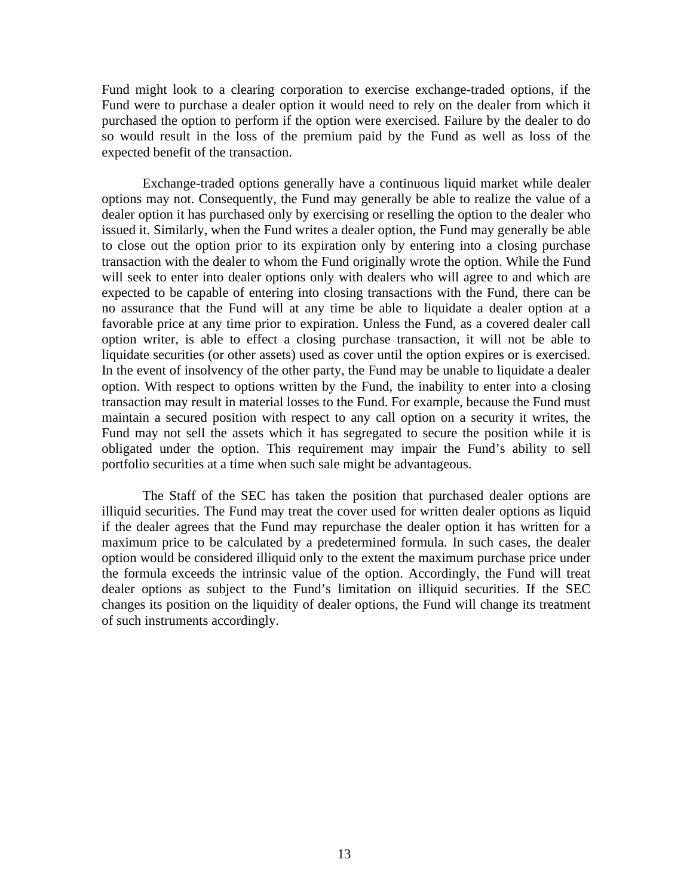Fund might look to a clearing corporation to exercise exchange-traded options, if the Fund were to purchase a dealer option it would need to rely on the dealer from which it purchased the option to perform if the option were exercised. Failure by the dealer to do so would result in the loss of the premium paid by the Fund as well as loss of the expected benefit of the transaction.

Exchange-traded options generally have a continuous liquid market while dealer options may not. Consequently, the Fund may generally be able to realize the value of a dealer option it has purchased only by exercising or reselling the option to the dealer who issued it. Similarly, when the Fund writes a dealer option, the Fund may generally be able to close out the option prior to its expiration only by entering into a closing purchase transaction with the dealer to whom the Fund originally wrote the option. While the Fund will seek to enter into dealer options only with dealers who will agree to and which are expected to be capable of entering into closing transactions with the Fund, there can be no assurance that the Fund will at any time be able to liquidate a dealer option at a favorable price at any time prior to expiration. Unless the Fund, as a covered dealer call option writer, is able to effect a closing purchase transaction, it will not be able to liquidate securities (or other assets) used as cover until the option expires or is exercised. In the event of insolvency of the other party, the Fund may be unable to liquidate a dealer option. With respect to options written by the Fund, the inability to enter into a closing transaction may result in material losses to the Fund. For example, because the Fund must maintain a secured position with respect to any call option on a security it writes, the Fund may not sell the assets which it has segregated to secure the position while it is obligated under the option. This requirement may impair the Fund's ability to sell portfolio securities at a time when such sale might be advantageous.

The Staff of the SEC has taken the position that purchased dealer options are illiquid securities. The Fund may treat the cover used for written dealer options as liquid if the dealer agrees that the Fund may repurchase the dealer option it has written for a maximum price to be calculated by a predetermined formula. In such cases, the dealer option would be considered illiquid only to the extent the maximum purchase price under the formula exceeds the intrinsic value of the option. Accordingly, the Fund will treat dealer options as subject to the Fund's limitation on illiquid securities. If the SEC changes its position on the liquidity of dealer options, the Fund will change its treatment of such instruments accordingly.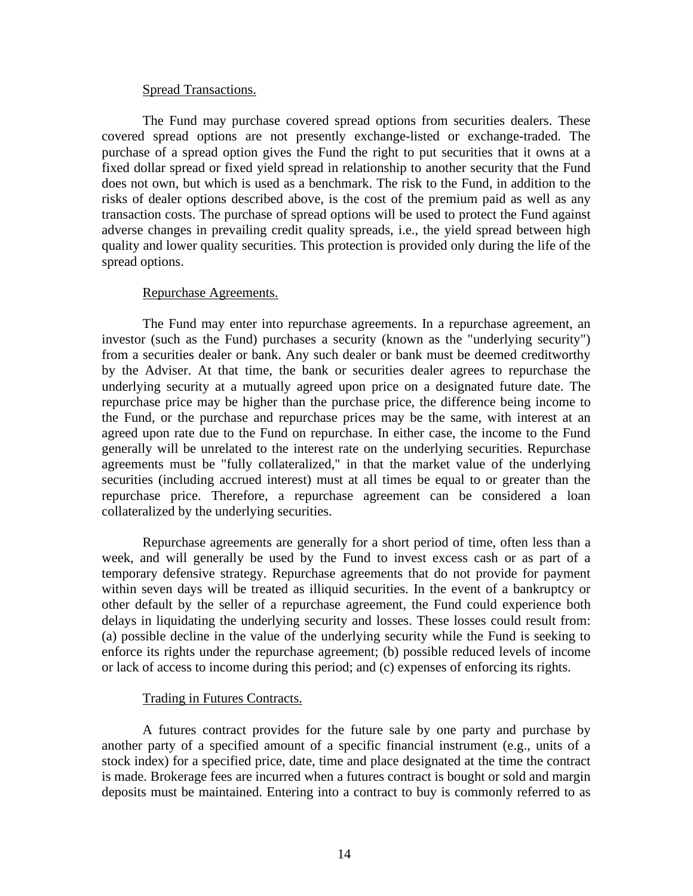### Spread Transactions.

The Fund may purchase covered spread options from securities dealers. These covered spread options are not presently exchange-listed or exchange-traded. The purchase of a spread option gives the Fund the right to put securities that it owns at a fixed dollar spread or fixed yield spread in relationship to another security that the Fund does not own, but which is used as a benchmark. The risk to the Fund, in addition to the risks of dealer options described above, is the cost of the premium paid as well as any transaction costs. The purchase of spread options will be used to protect the Fund against adverse changes in prevailing credit quality spreads, i.e., the yield spread between high quality and lower quality securities. This protection is provided only during the life of the spread options.

### Repurchase Agreements.

The Fund may enter into repurchase agreements. In a repurchase agreement, an investor (such as the Fund) purchases a security (known as the "underlying security") from a securities dealer or bank. Any such dealer or bank must be deemed creditworthy by the Adviser. At that time, the bank or securities dealer agrees to repurchase the underlying security at a mutually agreed upon price on a designated future date. The repurchase price may be higher than the purchase price, the difference being income to the Fund, or the purchase and repurchase prices may be the same, with interest at an agreed upon rate due to the Fund on repurchase. In either case, the income to the Fund generally will be unrelated to the interest rate on the underlying securities. Repurchase agreements must be "fully collateralized," in that the market value of the underlying securities (including accrued interest) must at all times be equal to or greater than the repurchase price. Therefore, a repurchase agreement can be considered a loan collateralized by the underlying securities.

Repurchase agreements are generally for a short period of time, often less than a week, and will generally be used by the Fund to invest excess cash or as part of a temporary defensive strategy. Repurchase agreements that do not provide for payment within seven days will be treated as illiquid securities. In the event of a bankruptcy or other default by the seller of a repurchase agreement, the Fund could experience both delays in liquidating the underlying security and losses. These losses could result from: (a) possible decline in the value of the underlying security while the Fund is seeking to enforce its rights under the repurchase agreement; (b) possible reduced levels of income or lack of access to income during this period; and (c) expenses of enforcing its rights.

### Trading in Futures Contracts.

A futures contract provides for the future sale by one party and purchase by another party of a specified amount of a specific financial instrument (e.g., units of a stock index) for a specified price, date, time and place designated at the time the contract is made. Brokerage fees are incurred when a futures contract is bought or sold and margin deposits must be maintained. Entering into a contract to buy is commonly referred to as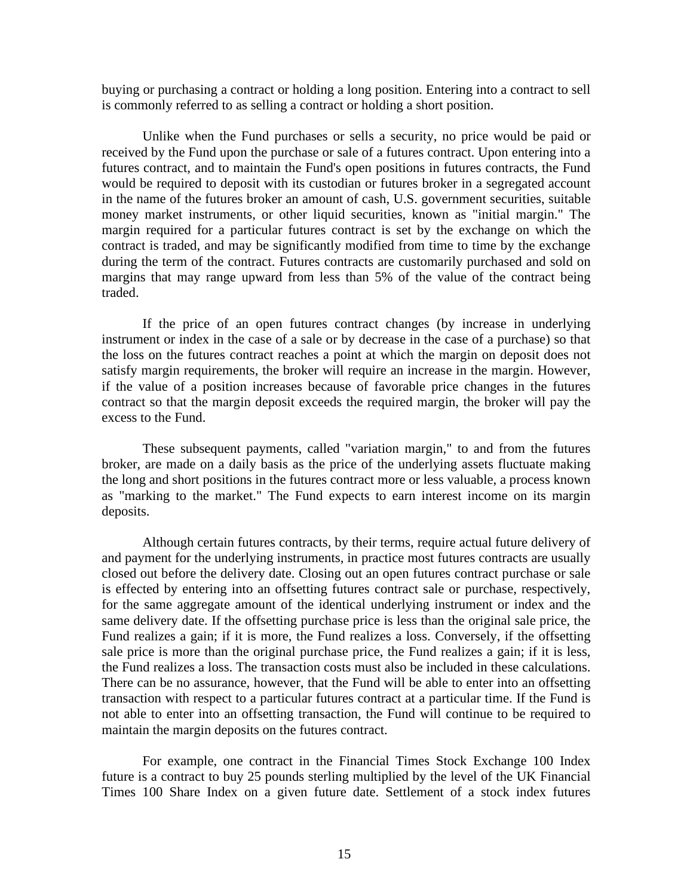buying or purchasing a contract or holding a long position. Entering into a contract to sell is commonly referred to as selling a contract or holding a short position.

Unlike when the Fund purchases or sells a security, no price would be paid or received by the Fund upon the purchase or sale of a futures contract. Upon entering into a futures contract, and to maintain the Fund's open positions in futures contracts, the Fund would be required to deposit with its custodian or futures broker in a segregated account in the name of the futures broker an amount of cash, U.S. government securities, suitable money market instruments, or other liquid securities, known as "initial margin." The margin required for a particular futures contract is set by the exchange on which the contract is traded, and may be significantly modified from time to time by the exchange during the term of the contract. Futures contracts are customarily purchased and sold on margins that may range upward from less than 5% of the value of the contract being traded.

If the price of an open futures contract changes (by increase in underlying instrument or index in the case of a sale or by decrease in the case of a purchase) so that the loss on the futures contract reaches a point at which the margin on deposit does not satisfy margin requirements, the broker will require an increase in the margin. However, if the value of a position increases because of favorable price changes in the futures contract so that the margin deposit exceeds the required margin, the broker will pay the excess to the Fund.

These subsequent payments, called "variation margin," to and from the futures broker, are made on a daily basis as the price of the underlying assets fluctuate making the long and short positions in the futures contract more or less valuable, a process known as "marking to the market." The Fund expects to earn interest income on its margin deposits.

Although certain futures contracts, by their terms, require actual future delivery of and payment for the underlying instruments, in practice most futures contracts are usually closed out before the delivery date. Closing out an open futures contract purchase or sale is effected by entering into an offsetting futures contract sale or purchase, respectively, for the same aggregate amount of the identical underlying instrument or index and the same delivery date. If the offsetting purchase price is less than the original sale price, the Fund realizes a gain; if it is more, the Fund realizes a loss. Conversely, if the offsetting sale price is more than the original purchase price, the Fund realizes a gain; if it is less, the Fund realizes a loss. The transaction costs must also be included in these calculations. There can be no assurance, however, that the Fund will be able to enter into an offsetting transaction with respect to a particular futures contract at a particular time. If the Fund is not able to enter into an offsetting transaction, the Fund will continue to be required to maintain the margin deposits on the futures contract.

For example, one contract in the Financial Times Stock Exchange 100 Index future is a contract to buy 25 pounds sterling multiplied by the level of the UK Financial Times 100 Share Index on a given future date. Settlement of a stock index futures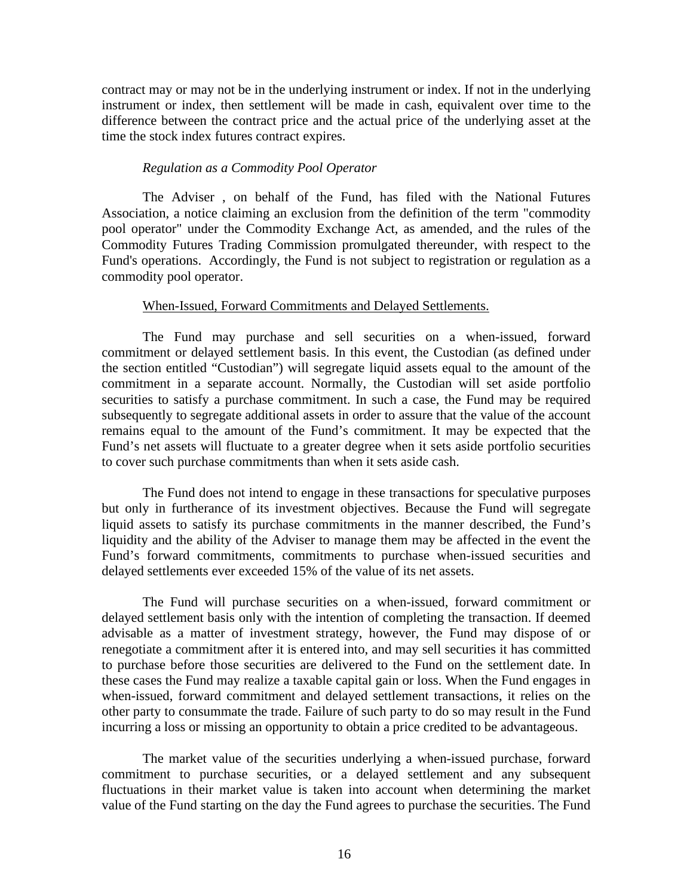contract may or may not be in the underlying instrument or index. If not in the underlying instrument or index, then settlement will be made in cash, equivalent over time to the difference between the contract price and the actual price of the underlying asset at the time the stock index futures contract expires.

### *Regulation as a Commodity Pool Operator*

The Adviser , on behalf of the Fund, has filed with the National Futures Association, a notice claiming an exclusion from the definition of the term "commodity pool operator" under the Commodity Exchange Act, as amended, and the rules of the Commodity Futures Trading Commission promulgated thereunder, with respect to the Fund's operations. Accordingly, the Fund is not subject to registration or regulation as a commodity pool operator.

### When-Issued, Forward Commitments and Delayed Settlements.

The Fund may purchase and sell securities on a when-issued, forward commitment or delayed settlement basis. In this event, the Custodian (as defined under the section entitled "Custodian") will segregate liquid assets equal to the amount of the commitment in a separate account. Normally, the Custodian will set aside portfolio securities to satisfy a purchase commitment. In such a case, the Fund may be required subsequently to segregate additional assets in order to assure that the value of the account remains equal to the amount of the Fund's commitment. It may be expected that the Fund's net assets will fluctuate to a greater degree when it sets aside portfolio securities to cover such purchase commitments than when it sets aside cash.

The Fund does not intend to engage in these transactions for speculative purposes but only in furtherance of its investment objectives. Because the Fund will segregate liquid assets to satisfy its purchase commitments in the manner described, the Fund's liquidity and the ability of the Adviser to manage them may be affected in the event the Fund's forward commitments, commitments to purchase when-issued securities and delayed settlements ever exceeded 15% of the value of its net assets.

The Fund will purchase securities on a when-issued, forward commitment or delayed settlement basis only with the intention of completing the transaction. If deemed advisable as a matter of investment strategy, however, the Fund may dispose of or renegotiate a commitment after it is entered into, and may sell securities it has committed to purchase before those securities are delivered to the Fund on the settlement date. In these cases the Fund may realize a taxable capital gain or loss. When the Fund engages in when-issued, forward commitment and delayed settlement transactions, it relies on the other party to consummate the trade. Failure of such party to do so may result in the Fund incurring a loss or missing an opportunity to obtain a price credited to be advantageous.

The market value of the securities underlying a when-issued purchase, forward commitment to purchase securities, or a delayed settlement and any subsequent fluctuations in their market value is taken into account when determining the market value of the Fund starting on the day the Fund agrees to purchase the securities. The Fund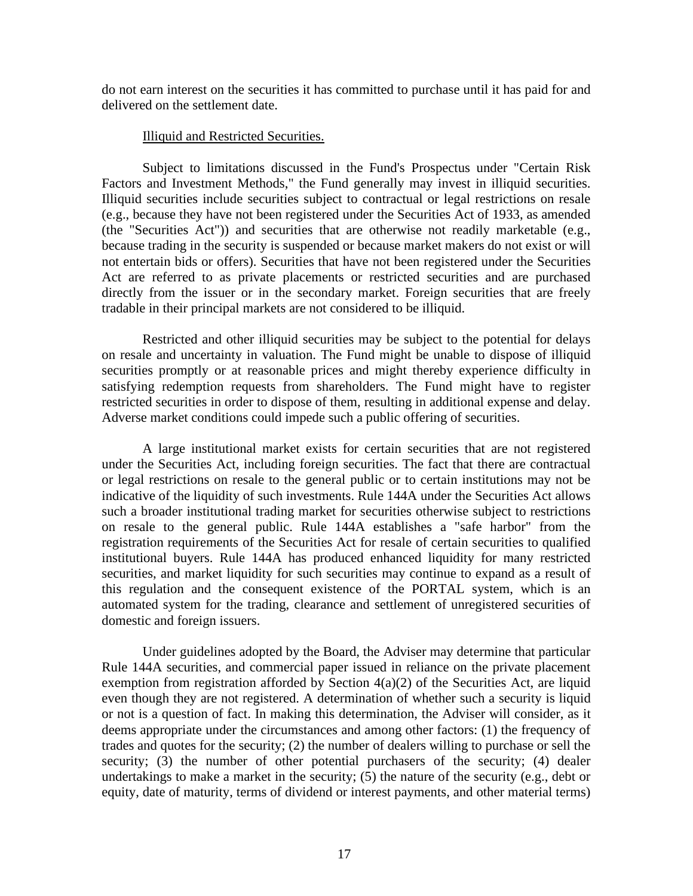do not earn interest on the securities it has committed to purchase until it has paid for and delivered on the settlement date.

### Illiquid and Restricted Securities.

Subject to limitations discussed in the Fund's Prospectus under "Certain Risk Factors and Investment Methods," the Fund generally may invest in illiquid securities. Illiquid securities include securities subject to contractual or legal restrictions on resale (e.g., because they have not been registered under the Securities Act of 1933, as amended (the "Securities Act")) and securities that are otherwise not readily marketable (e.g., because trading in the security is suspended or because market makers do not exist or will not entertain bids or offers). Securities that have not been registered under the Securities Act are referred to as private placements or restricted securities and are purchased directly from the issuer or in the secondary market. Foreign securities that are freely tradable in their principal markets are not considered to be illiquid.

Restricted and other illiquid securities may be subject to the potential for delays on resale and uncertainty in valuation. The Fund might be unable to dispose of illiquid securities promptly or at reasonable prices and might thereby experience difficulty in satisfying redemption requests from shareholders. The Fund might have to register restricted securities in order to dispose of them, resulting in additional expense and delay. Adverse market conditions could impede such a public offering of securities.

A large institutional market exists for certain securities that are not registered under the Securities Act, including foreign securities. The fact that there are contractual or legal restrictions on resale to the general public or to certain institutions may not be indicative of the liquidity of such investments. Rule 144A under the Securities Act allows such a broader institutional trading market for securities otherwise subject to restrictions on resale to the general public. Rule 144A establishes a "safe harbor" from the registration requirements of the Securities Act for resale of certain securities to qualified institutional buyers. Rule 144A has produced enhanced liquidity for many restricted securities, and market liquidity for such securities may continue to expand as a result of this regulation and the consequent existence of the PORTAL system, which is an automated system for the trading, clearance and settlement of unregistered securities of domestic and foreign issuers.

Under guidelines adopted by the Board, the Adviser may determine that particular Rule 144A securities, and commercial paper issued in reliance on the private placement exemption from registration afforded by Section 4(a)(2) of the Securities Act, are liquid even though they are not registered. A determination of whether such a security is liquid or not is a question of fact. In making this determination, the Adviser will consider, as it deems appropriate under the circumstances and among other factors: (1) the frequency of trades and quotes for the security; (2) the number of dealers willing to purchase or sell the security; (3) the number of other potential purchasers of the security; (4) dealer undertakings to make a market in the security; (5) the nature of the security (e.g., debt or equity, date of maturity, terms of dividend or interest payments, and other material terms)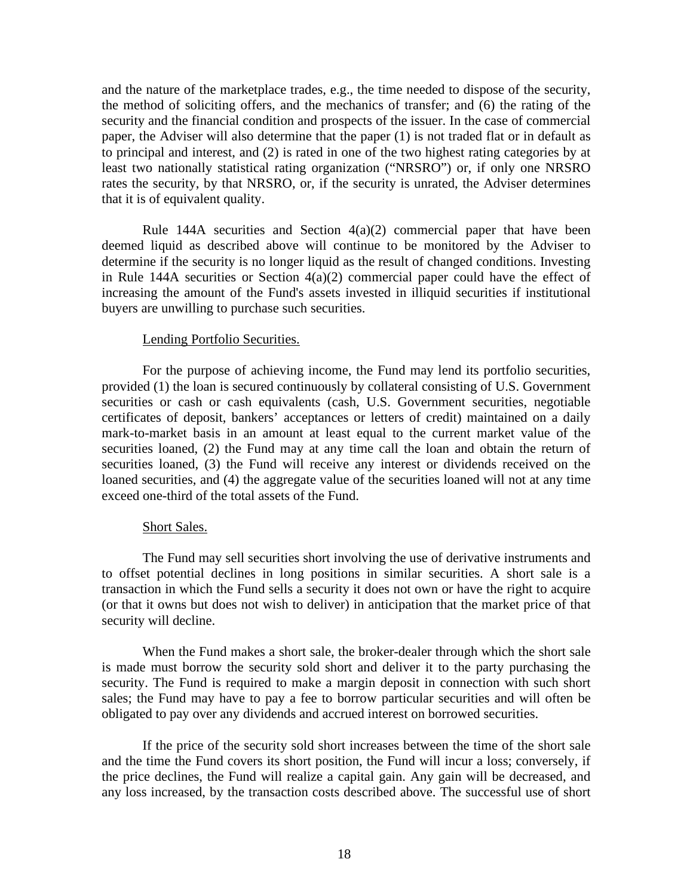and the nature of the marketplace trades, e.g., the time needed to dispose of the security, the method of soliciting offers, and the mechanics of transfer; and (6) the rating of the security and the financial condition and prospects of the issuer. In the case of commercial paper, the Adviser will also determine that the paper (1) is not traded flat or in default as to principal and interest, and (2) is rated in one of the two highest rating categories by at least two nationally statistical rating organization ("NRSRO") or, if only one NRSRO rates the security, by that NRSRO, or, if the security is unrated, the Adviser determines that it is of equivalent quality.

Rule 144A securities and Section  $4(a)(2)$  commercial paper that have been deemed liquid as described above will continue to be monitored by the Adviser to determine if the security is no longer liquid as the result of changed conditions. Investing in Rule 144A securities or Section 4(a)(2) commercial paper could have the effect of increasing the amount of the Fund's assets invested in illiquid securities if institutional buyers are unwilling to purchase such securities.

#### Lending Portfolio Securities.

For the purpose of achieving income, the Fund may lend its portfolio securities, provided (1) the loan is secured continuously by collateral consisting of U.S. Government securities or cash or cash equivalents (cash, U.S. Government securities, negotiable certificates of deposit, bankers' acceptances or letters of credit) maintained on a daily mark-to-market basis in an amount at least equal to the current market value of the securities loaned, (2) the Fund may at any time call the loan and obtain the return of securities loaned, (3) the Fund will receive any interest or dividends received on the loaned securities, and (4) the aggregate value of the securities loaned will not at any time exceed one-third of the total assets of the Fund.

#### Short Sales.

The Fund may sell securities short involving the use of derivative instruments and to offset potential declines in long positions in similar securities. A short sale is a transaction in which the Fund sells a security it does not own or have the right to acquire (or that it owns but does not wish to deliver) in anticipation that the market price of that security will decline.

When the Fund makes a short sale, the broker-dealer through which the short sale is made must borrow the security sold short and deliver it to the party purchasing the security. The Fund is required to make a margin deposit in connection with such short sales; the Fund may have to pay a fee to borrow particular securities and will often be obligated to pay over any dividends and accrued interest on borrowed securities.

If the price of the security sold short increases between the time of the short sale and the time the Fund covers its short position, the Fund will incur a loss; conversely, if the price declines, the Fund will realize a capital gain. Any gain will be decreased, and any loss increased, by the transaction costs described above. The successful use of short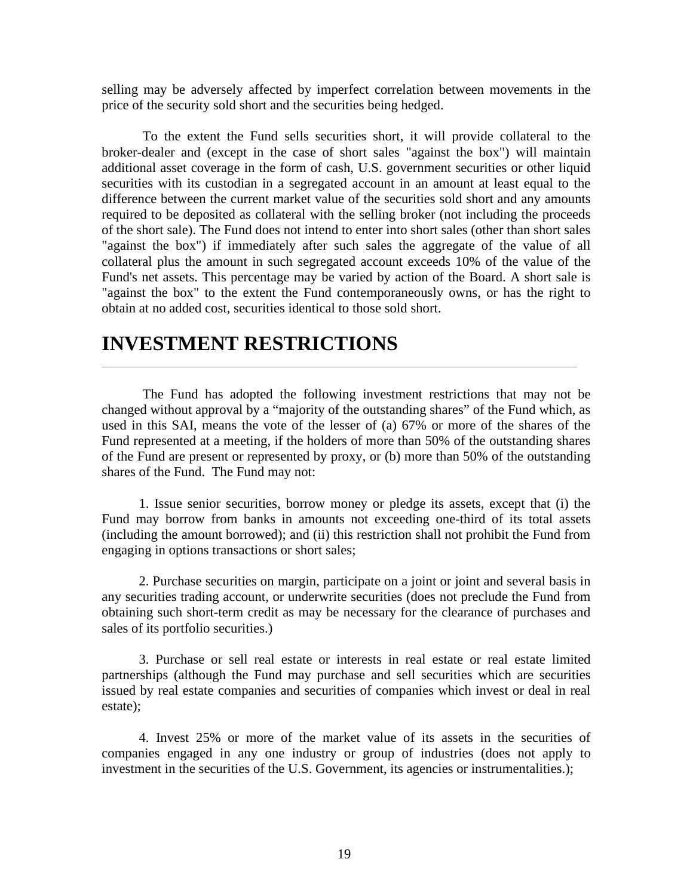selling may be adversely affected by imperfect correlation between movements in the price of the security sold short and the securities being hedged.

To the extent the Fund sells securities short, it will provide collateral to the broker-dealer and (except in the case of short sales "against the box") will maintain additional asset coverage in the form of cash, U.S. government securities or other liquid securities with its custodian in a segregated account in an amount at least equal to the difference between the current market value of the securities sold short and any amounts required to be deposited as collateral with the selling broker (not including the proceeds of the short sale). The Fund does not intend to enter into short sales (other than short sales "against the box") if immediately after such sales the aggregate of the value of all collateral plus the amount in such segregated account exceeds 10% of the value of the Fund's net assets. This percentage may be varied by action of the Board. A short sale is "against the box" to the extent the Fund contemporaneously owns, or has the right to obtain at no added cost, securities identical to those sold short.

## **INVESTMENT RESTRICTIONS**

The Fund has adopted the following investment restrictions that may not be changed without approval by a "majority of the outstanding shares" of the Fund which, as used in this SAI, means the vote of the lesser of (a) 67% or more of the shares of the Fund represented at a meeting, if the holders of more than 50% of the outstanding shares of the Fund are present or represented by proxy, or (b) more than 50% of the outstanding shares of the Fund. The Fund may not:

1. Issue senior securities, borrow money or pledge its assets, except that (i) the Fund may borrow from banks in amounts not exceeding one-third of its total assets (including the amount borrowed); and (ii) this restriction shall not prohibit the Fund from engaging in options transactions or short sales;

2. Purchase securities on margin, participate on a joint or joint and several basis in any securities trading account, or underwrite securities (does not preclude the Fund from obtaining such short-term credit as may be necessary for the clearance of purchases and sales of its portfolio securities.)

3. Purchase or sell real estate or interests in real estate or real estate limited partnerships (although the Fund may purchase and sell securities which are securities issued by real estate companies and securities of companies which invest or deal in real estate);

4. Invest 25% or more of the market value of its assets in the securities of companies engaged in any one industry or group of industries (does not apply to investment in the securities of the U.S. Government, its agencies or instrumentalities.);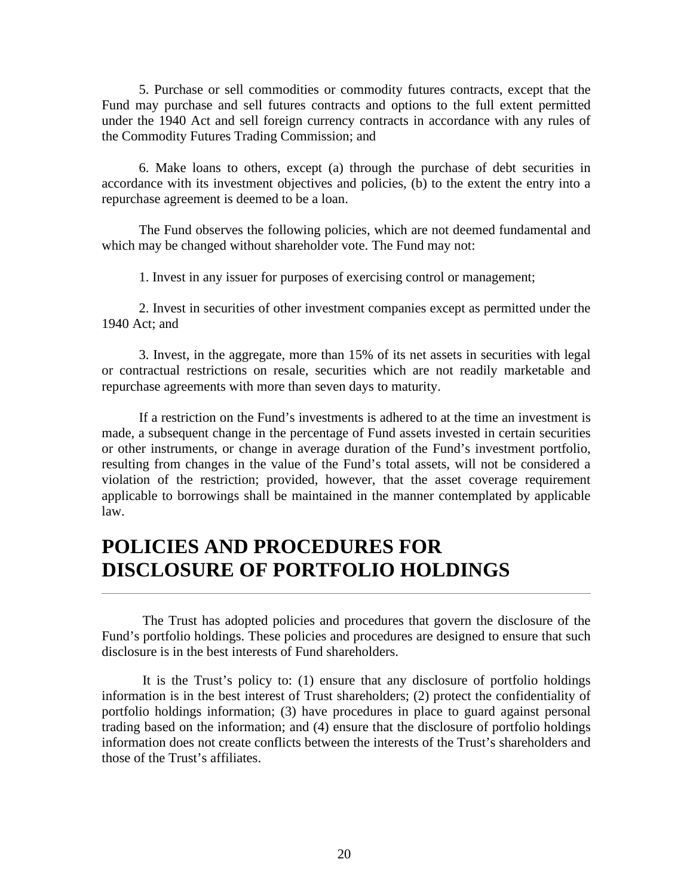5. Purchase or sell commodities or commodity futures contracts, except that the Fund may purchase and sell futures contracts and options to the full extent permitted under the 1940 Act and sell foreign currency contracts in accordance with any rules of the Commodity Futures Trading Commission; and

6. Make loans to others, except (a) through the purchase of debt securities in accordance with its investment objectives and policies, (b) to the extent the entry into a repurchase agreement is deemed to be a loan.

The Fund observes the following policies, which are not deemed fundamental and which may be changed without shareholder vote. The Fund may not:

1. Invest in any issuer for purposes of exercising control or management;

2. Invest in securities of other investment companies except as permitted under the 1940 Act; and

3. Invest, in the aggregate, more than 15% of its net assets in securities with legal or contractual restrictions on resale, securities which are not readily marketable and repurchase agreements with more than seven days to maturity.

If a restriction on the Fund's investments is adhered to at the time an investment is made, a subsequent change in the percentage of Fund assets invested in certain securities or other instruments, or change in average duration of the Fund's investment portfolio, resulting from changes in the value of the Fund's total assets, will not be considered a violation of the restriction; provided, however, that the asset coverage requirement applicable to borrowings shall be maintained in the manner contemplated by applicable law.

# **POLICIES AND PROCEDURES FOR DISCLOSURE OF PORTFOLIO HOLDINGS**

The Trust has adopted policies and procedures that govern the disclosure of the Fund's portfolio holdings. These policies and procedures are designed to ensure that such disclosure is in the best interests of Fund shareholders.

It is the Trust's policy to: (1) ensure that any disclosure of portfolio holdings information is in the best interest of Trust shareholders; (2) protect the confidentiality of portfolio holdings information; (3) have procedures in place to guard against personal trading based on the information; and (4) ensure that the disclosure of portfolio holdings information does not create conflicts between the interests of the Trust's shareholders and those of the Trust's affiliates.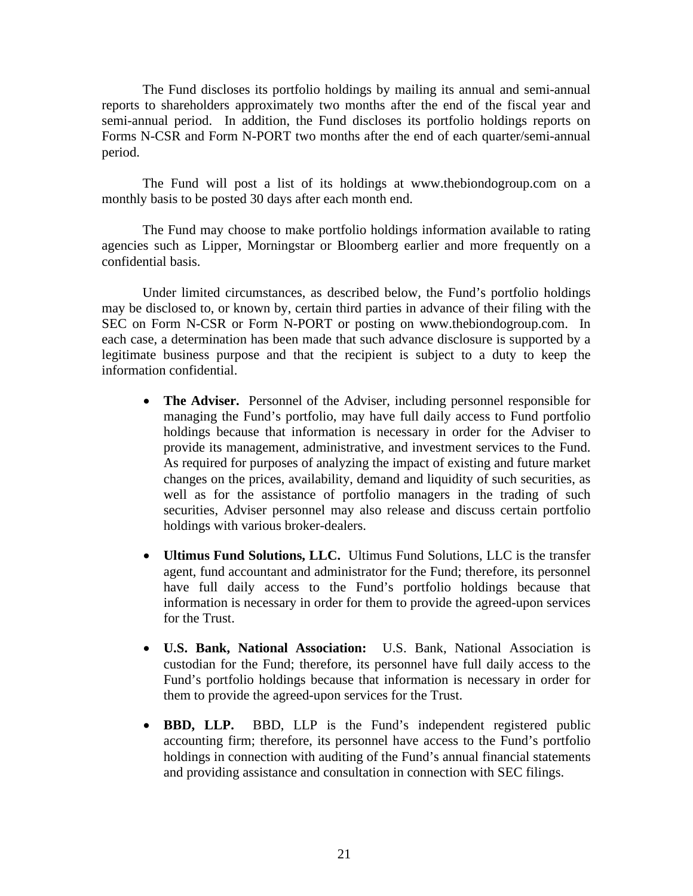The Fund discloses its portfolio holdings by mailing its annual and semi-annual reports to shareholders approximately two months after the end of the fiscal year and semi-annual period. In addition, the Fund discloses its portfolio holdings reports on Forms N-CSR and Form N-PORT two months after the end of each quarter/semi-annual period.

The Fund will post a list of its holdings at [www.thebiondogroup.com](http://www.thebiondogroup.com/) on a monthly basis to be posted 30 days after each month end.

The Fund may choose to make portfolio holdings information available to rating agencies such as Lipper, Morningstar or Bloomberg earlier and more frequently on a confidential basis.

Under limited circumstances, as described below, the Fund's portfolio holdings may be disclosed to, or known by, certain third parties in advance of their filing with the SEC on Form N-CSR or Form N-PORT or posting on [www.thebiondogroup.com.](http://www.thebiondogroup.com/) In each case, a determination has been made that such advance disclosure is supported by a legitimate business purpose and that the recipient is subject to a duty to keep the information confidential.

- **The Adviser.** Personnel of the Adviser, including personnel responsible for managing the Fund's portfolio, may have full daily access to Fund portfolio holdings because that information is necessary in order for the Adviser to provide its management, administrative, and investment services to the Fund. As required for purposes of analyzing the impact of existing and future market changes on the prices, availability, demand and liquidity of such securities, as well as for the assistance of portfolio managers in the trading of such securities, Adviser personnel may also release and discuss certain portfolio holdings with various broker-dealers.
- **Ultimus Fund Solutions, LLC.** Ultimus Fund Solutions, LLC is the transfer agent, fund accountant and administrator for the Fund; therefore, its personnel have full daily access to the Fund's portfolio holdings because that information is necessary in order for them to provide the agreed-upon services for the Trust.
- **U.S. Bank, National Association:** U.S. Bank, National Association is custodian for the Fund; therefore, its personnel have full daily access to the Fund's portfolio holdings because that information is necessary in order for them to provide the agreed-upon services for the Trust.
- **BBD, LLP.** BBD, LLP is the Fund's independent registered public accounting firm; therefore, its personnel have access to the Fund's portfolio holdings in connection with auditing of the Fund's annual financial statements and providing assistance and consultation in connection with SEC filings.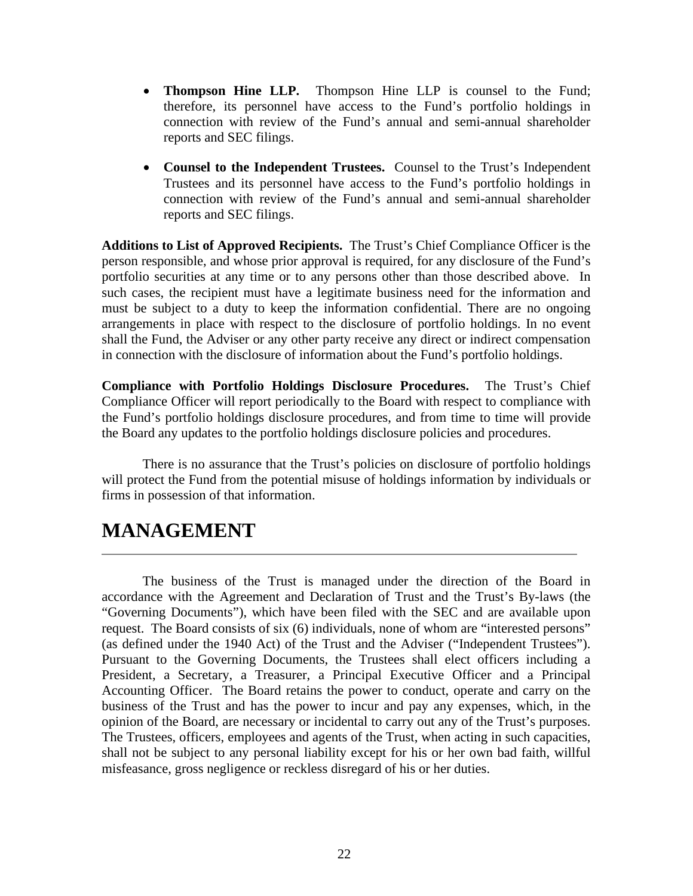- **Thompson Hine LLP.** Thompson Hine LLP is counsel to the Fund; therefore, its personnel have access to the Fund's portfolio holdings in connection with review of the Fund's annual and semi-annual shareholder reports and SEC filings.
- **Counsel to the Independent Trustees.** Counsel to the Trust's Independent Trustees and its personnel have access to the Fund's portfolio holdings in connection with review of the Fund's annual and semi-annual shareholder reports and SEC filings.

**Additions to List of Approved Recipients.** The Trust's Chief Compliance Officer is the person responsible, and whose prior approval is required, for any disclosure of the Fund's portfolio securities at any time or to any persons other than those described above. In such cases, the recipient must have a legitimate business need for the information and must be subject to a duty to keep the information confidential. There are no ongoing arrangements in place with respect to the disclosure of portfolio holdings. In no event shall the Fund, the Adviser or any other party receive any direct or indirect compensation in connection with the disclosure of information about the Fund's portfolio holdings.

**Compliance with Portfolio Holdings Disclosure Procedures.** The Trust's Chief Compliance Officer will report periodically to the Board with respect to compliance with the Fund's portfolio holdings disclosure procedures, and from time to time will provide the Board any updates to the portfolio holdings disclosure policies and procedures.

There is no assurance that the Trust's policies on disclosure of portfolio holdings will protect the Fund from the potential misuse of holdings information by individuals or firms in possession of that information.

## **MANAGEMENT**

The business of the Trust is managed under the direction of the Board in accordance with the Agreement and Declaration of Trust and the Trust's By-laws (the "Governing Documents"), which have been filed with the SEC and are available upon request. The Board consists of six (6) individuals, none of whom are "interested persons" (as defined under the 1940 Act) of the Trust and the Adviser ("Independent Trustees"). Pursuant to the Governing Documents, the Trustees shall elect officers including a President, a Secretary, a Treasurer, a Principal Executive Officer and a Principal Accounting Officer. The Board retains the power to conduct, operate and carry on the business of the Trust and has the power to incur and pay any expenses, which, in the opinion of the Board, are necessary or incidental to carry out any of the Trust's purposes. The Trustees, officers, employees and agents of the Trust, when acting in such capacities, shall not be subject to any personal liability except for his or her own bad faith, willful misfeasance, gross negligence or reckless disregard of his or her duties.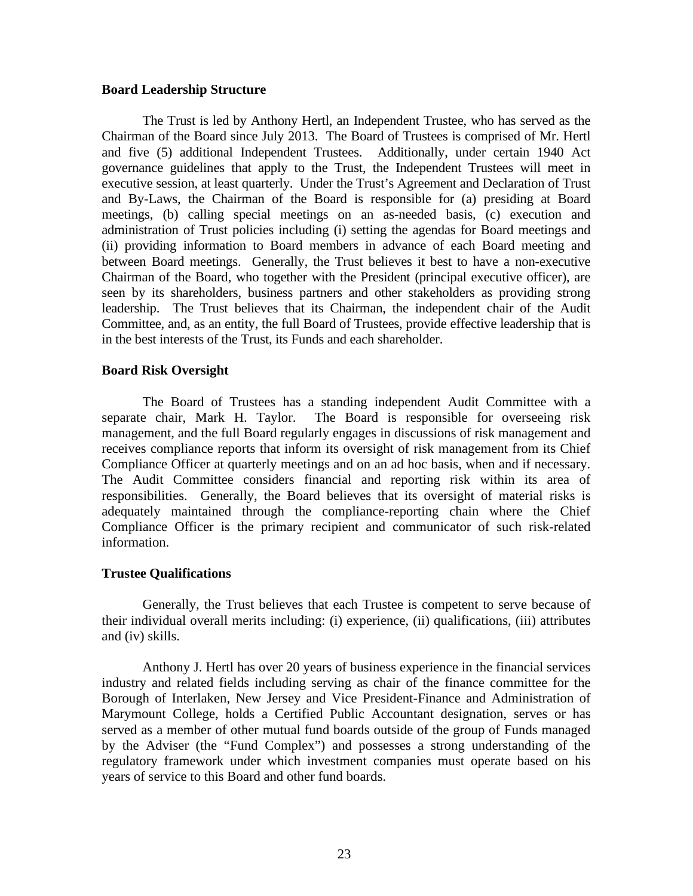### **Board Leadership Structure**

The Trust is led by Anthony Hertl, an Independent Trustee, who has served as the Chairman of the Board since July 2013. The Board of Trustees is comprised of Mr. Hertl and five (5) additional Independent Trustees. Additionally, under certain 1940 Act governance guidelines that apply to the Trust, the Independent Trustees will meet in executive session, at least quarterly. Under the Trust's Agreement and Declaration of Trust and By-Laws, the Chairman of the Board is responsible for (a) presiding at Board meetings, (b) calling special meetings on an as-needed basis, (c) execution and administration of Trust policies including (i) setting the agendas for Board meetings and (ii) providing information to Board members in advance of each Board meeting and between Board meetings. Generally, the Trust believes it best to have a non-executive Chairman of the Board, who together with the President (principal executive officer), are seen by its shareholders, business partners and other stakeholders as providing strong leadership. The Trust believes that its Chairman, the independent chair of the Audit Committee, and, as an entity, the full Board of Trustees, provide effective leadership that is in the best interests of the Trust, its Funds and each shareholder.

### **Board Risk Oversight**

The Board of Trustees has a standing independent Audit Committee with a separate chair, Mark H. Taylor. The Board is responsible for overseeing risk management, and the full Board regularly engages in discussions of risk management and receives compliance reports that inform its oversight of risk management from its Chief Compliance Officer at quarterly meetings and on an ad hoc basis, when and if necessary. The Audit Committee considers financial and reporting risk within its area of responsibilities. Generally, the Board believes that its oversight of material risks is adequately maintained through the compliance-reporting chain where the Chief Compliance Officer is the primary recipient and communicator of such risk-related information.

### **Trustee Qualifications**

Generally, the Trust believes that each Trustee is competent to serve because of their individual overall merits including: (i) experience, (ii) qualifications, (iii) attributes and (iv) skills.

Anthony J. Hertl has over 20 years of business experience in the financial services industry and related fields including serving as chair of the finance committee for the Borough of Interlaken, New Jersey and Vice President-Finance and Administration of Marymount College, holds a Certified Public Accountant designation, serves or has served as a member of other mutual fund boards outside of the group of Funds managed by the Adviser (the "Fund Complex") and possesses a strong understanding of the regulatory framework under which investment companies must operate based on his years of service to this Board and other fund boards.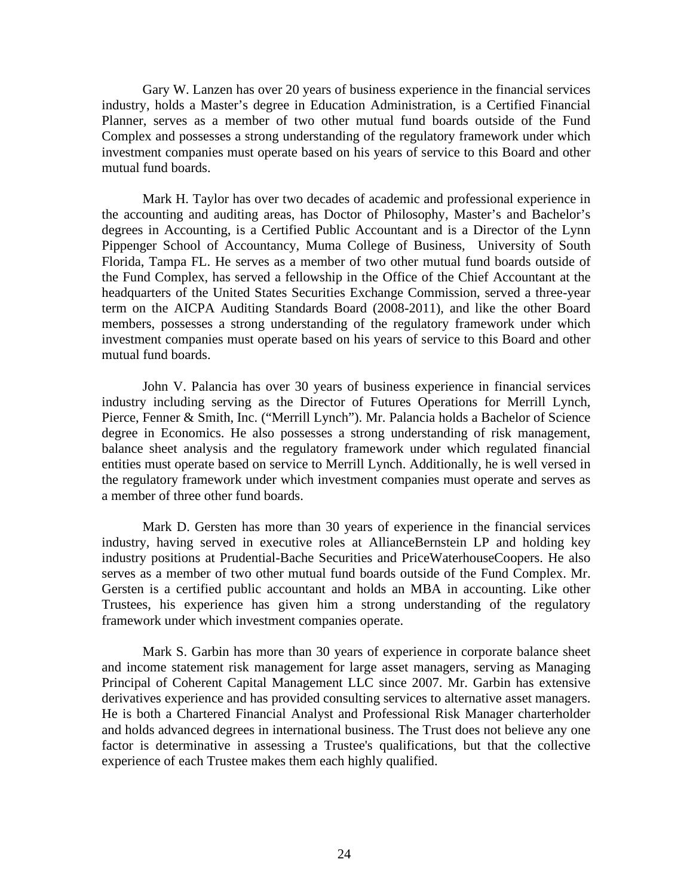Gary W. Lanzen has over 20 years of business experience in the financial services industry, holds a Master's degree in Education Administration, is a Certified Financial Planner, serves as a member of two other mutual fund boards outside of the Fund Complex and possesses a strong understanding of the regulatory framework under which investment companies must operate based on his years of service to this Board and other mutual fund boards.

Mark H. Taylor has over two decades of academic and professional experience in the accounting and auditing areas, has Doctor of Philosophy, Master's and Bachelor's degrees in Accounting, is a Certified Public Accountant and is a Director of the Lynn Pippenger School of Accountancy, Muma College of Business, University of South Florida, Tampa FL. He serves as a member of two other mutual fund boards outside of the Fund Complex, has served a fellowship in the Office of the Chief Accountant at the headquarters of the United States Securities Exchange Commission, served a three-year term on the AICPA Auditing Standards Board (2008-2011), and like the other Board members, possesses a strong understanding of the regulatory framework under which investment companies must operate based on his years of service to this Board and other mutual fund boards.

John V. Palancia has over 30 years of business experience in financial services industry including serving as the Director of Futures Operations for Merrill Lynch, Pierce, Fenner & Smith, Inc. ("Merrill Lynch"). Mr. Palancia holds a Bachelor of Science degree in Economics. He also possesses a strong understanding of risk management, balance sheet analysis and the regulatory framework under which regulated financial entities must operate based on service to Merrill Lynch. Additionally, he is well versed in the regulatory framework under which investment companies must operate and serves as a member of three other fund boards.

Mark D. Gersten has more than 30 years of experience in the financial services industry, having served in executive roles at AllianceBernstein LP and holding key industry positions at Prudential-Bache Securities and PriceWaterhouseCoopers. He also serves as a member of two other mutual fund boards outside of the Fund Complex. Mr. Gersten is a certified public accountant and holds an MBA in accounting. Like other Trustees, his experience has given him a strong understanding of the regulatory framework under which investment companies operate.

Mark S. Garbin has more than 30 years of experience in corporate balance sheet and income statement risk management for large asset managers, serving as Managing Principal of Coherent Capital Management LLC since 2007. Mr. Garbin has extensive derivatives experience and has provided consulting services to alternative asset managers. He is both a Chartered Financial Analyst and Professional Risk Manager charterholder and holds advanced degrees in international business. The Trust does not believe any one factor is determinative in assessing a Trustee's qualifications, but that the collective experience of each Trustee makes them each highly qualified.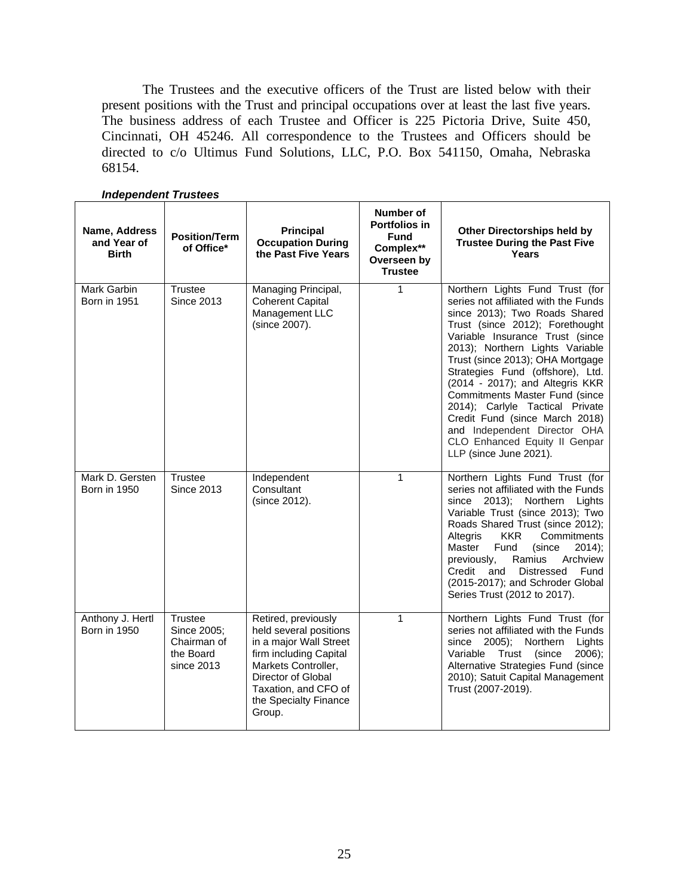The Trustees and the executive officers of the Trust are listed below with their present positions with the Trust and principal occupations over at least the last five years. The business address of each Trustee and Officer is 225 Pictoria Drive, Suite 450, Cincinnati, OH 45246. All correspondence to the Trustees and Officers should be directed to c/o Ultimus Fund Solutions, LLC, P.O. Box 541150, Omaha, Nebraska 68154.

| Name, Address<br>and Year of<br><b>Birth</b> | <b>Position/Term</b><br>of Office*                               | Principal<br><b>Occupation During</b><br>the Past Five Years                                                                                                                                              | Number of<br>Portfolios in<br><b>Fund</b><br>Complex**<br>Overseen by<br><b>Trustee</b> | <b>Other Directorships held by</b><br><b>Trustee During the Past Five</b><br>Years                                                                                                                                                                                                                                                                                                                                                                                                                                             |
|----------------------------------------------|------------------------------------------------------------------|-----------------------------------------------------------------------------------------------------------------------------------------------------------------------------------------------------------|-----------------------------------------------------------------------------------------|--------------------------------------------------------------------------------------------------------------------------------------------------------------------------------------------------------------------------------------------------------------------------------------------------------------------------------------------------------------------------------------------------------------------------------------------------------------------------------------------------------------------------------|
| Mark Garbin<br><b>Born in 1951</b>           | <b>Trustee</b><br><b>Since 2013</b>                              | Managing Principal,<br><b>Coherent Capital</b><br>Management LLC<br>(since 2007).                                                                                                                         | 1                                                                                       | Northern Lights Fund Trust (for<br>series not affiliated with the Funds<br>since 2013); Two Roads Shared<br>Trust (since 2012); Forethought<br>Variable Insurance Trust (since<br>2013); Northern Lights Variable<br>Trust (since 2013); OHA Mortgage<br>Strategies Fund (offshore), Ltd.<br>(2014 - 2017); and Altegris KKR<br>Commitments Master Fund (since<br>2014); Carlyle Tactical Private<br>Credit Fund (since March 2018)<br>and Independent Director OHA<br>CLO Enhanced Equity II Genpar<br>LLP (since June 2021). |
| Mark D. Gersten<br><b>Born in 1950</b>       | <b>Trustee</b><br><b>Since 2013</b>                              | Independent<br>Consultant<br>(since 2012).                                                                                                                                                                | 1                                                                                       | Northern Lights Fund Trust (for<br>series not affiliated with the Funds<br>since 2013);<br>Northern Lights<br>Variable Trust (since 2013); Two<br>Roads Shared Trust (since 2012);<br>Commitments<br>Altegris<br><b>KKR</b><br>Master<br>Fund<br>(since<br>$2014$ :<br>Ramius<br>Archview<br>previously,<br>Credit<br>and<br>Distressed Fund<br>(2015-2017); and Schroder Global<br>Series Trust (2012 to 2017).                                                                                                               |
| Anthony J. Hertl<br><b>Born in 1950</b>      | Trustee<br>Since 2005;<br>Chairman of<br>the Board<br>since 2013 | Retired, previously<br>held several positions<br>in a major Wall Street<br>firm including Capital<br>Markets Controller,<br>Director of Global<br>Taxation, and CFO of<br>the Specialty Finance<br>Group. | 1                                                                                       | Northern Lights Fund Trust (for<br>series not affiliated with the Funds<br>$2005$ ;<br>Northern<br>Lights<br>since<br>Variable Trust (since<br>$2006$ ;<br>Alternative Strategies Fund (since<br>2010); Satuit Capital Management<br>Trust (2007-2019).                                                                                                                                                                                                                                                                        |

#### *Independent Trustees*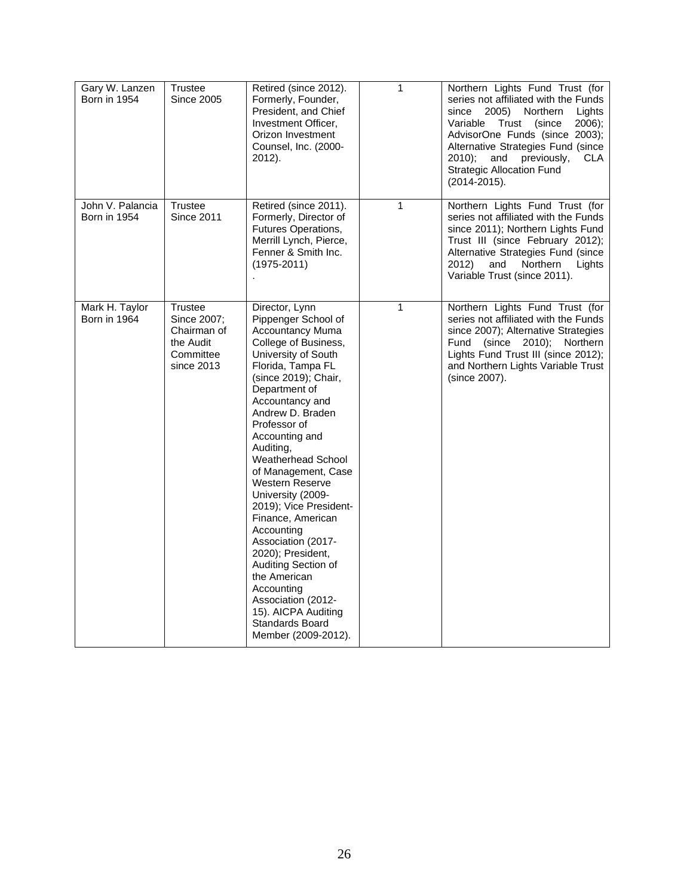| Gary W. Lanzen<br><b>Born in 1954</b>   | Trustee<br><b>Since 2005</b>                                                         | Retired (since 2012).<br>Formerly, Founder,<br>President, and Chief<br>Investment Officer,<br>Orizon Investment<br>Counsel, Inc. (2000-<br>2012).                                                                                                                                                                                                                                                                                                                                                                                                                                                                   | $\mathbf{1}$ | Northern Lights Fund Trust (for<br>series not affiliated with the Funds<br>since<br>2005)<br>Northern<br>Lights<br>Variable Trust (since<br>$2006$ :<br>AdvisorOne Funds (since 2003);<br>Alternative Strategies Fund (since<br>$2010$ ;<br>previously,<br>and<br>CLA<br><b>Strategic Allocation Fund</b><br>$(2014 - 2015).$ |
|-----------------------------------------|--------------------------------------------------------------------------------------|---------------------------------------------------------------------------------------------------------------------------------------------------------------------------------------------------------------------------------------------------------------------------------------------------------------------------------------------------------------------------------------------------------------------------------------------------------------------------------------------------------------------------------------------------------------------------------------------------------------------|--------------|-------------------------------------------------------------------------------------------------------------------------------------------------------------------------------------------------------------------------------------------------------------------------------------------------------------------------------|
| John V. Palancia<br><b>Born in 1954</b> | Trustee<br><b>Since 2011</b>                                                         | Retired (since 2011).<br>Formerly, Director of<br>Futures Operations,<br>Merrill Lynch, Pierce,<br>Fenner & Smith Inc.<br>$(1975 - 2011)$                                                                                                                                                                                                                                                                                                                                                                                                                                                                           | $\mathbf{1}$ | Northern Lights Fund Trust (for<br>series not affiliated with the Funds<br>since 2011); Northern Lights Fund<br>Trust III (since February 2012);<br>Alternative Strategies Fund (since<br>2012)<br>and<br>Northern<br>Lights<br>Variable Trust (since 2011).                                                                  |
| Mark H. Taylor<br>Born in 1964          | <b>Trustee</b><br>Since 2007;<br>Chairman of<br>the Audit<br>Committee<br>since 2013 | Director, Lynn<br>Pippenger School of<br><b>Accountancy Muma</b><br>College of Business,<br>University of South<br>Florida, Tampa FL<br>(since 2019); Chair,<br>Department of<br>Accountancy and<br>Andrew D. Braden<br>Professor of<br>Accounting and<br>Auditing,<br>Weatherhead School<br>of Management, Case<br><b>Western Reserve</b><br>University (2009-<br>2019); Vice President-<br>Finance, American<br>Accounting<br>Association (2017-<br>2020); President,<br>Auditing Section of<br>the American<br>Accounting<br>Association (2012-<br>15). AICPA Auditing<br>Standards Board<br>Member (2009-2012). | $\mathbf{1}$ | Northern Lights Fund Trust (for<br>series not affiliated with the Funds<br>since 2007); Alternative Strategies<br>Fund (since 2010); Northern<br>Lights Fund Trust III (since 2012);<br>and Northern Lights Variable Trust<br>(since 2007).                                                                                   |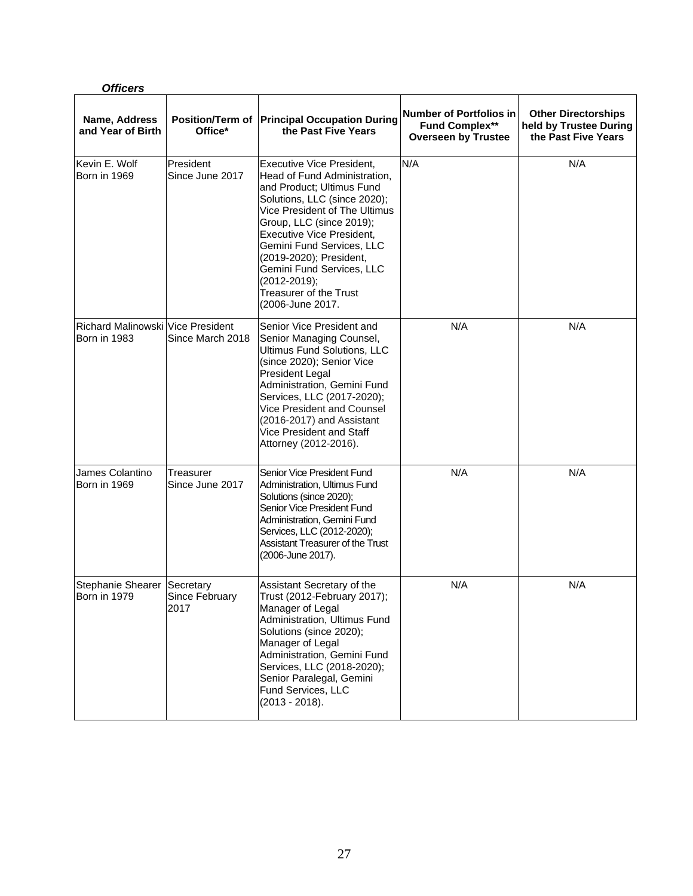| <b>Officers</b>                                                 |                              |                                                                                                                                                                                                                                                                                                                                                                                   |                                                                                       |                                                                             |
|-----------------------------------------------------------------|------------------------------|-----------------------------------------------------------------------------------------------------------------------------------------------------------------------------------------------------------------------------------------------------------------------------------------------------------------------------------------------------------------------------------|---------------------------------------------------------------------------------------|-----------------------------------------------------------------------------|
| Name, Address<br>and Year of Birth                              | Office*                      | Position/Term of Principal Occupation During<br>the Past Five Years                                                                                                                                                                                                                                                                                                               | <b>Number of Portfolios in</b><br><b>Fund Complex**</b><br><b>Overseen by Trustee</b> | <b>Other Directorships</b><br>held by Trustee During<br>the Past Five Years |
| Kevin E. Wolf<br>Born in 1969                                   | President<br>Since June 2017 | <b>Executive Vice President,</b><br>Head of Fund Administration,<br>and Product; Ultimus Fund<br>Solutions, LLC (since 2020);<br>Vice President of The Ultimus<br>Group, LLC (since 2019);<br>Executive Vice President,<br>Gemini Fund Services, LLC<br>(2019-2020); President,<br>Gemini Fund Services, LLC<br>(2012-2019);<br><b>Treasurer of the Trust</b><br>(2006-June 2017. | N/A                                                                                   | N/A                                                                         |
| <b>Richard MalinowskilVice President</b><br><b>Born in 1983</b> | Since March 2018             | Senior Vice President and<br>Senior Managing Counsel,<br>Ultimus Fund Solutions, LLC<br>(since 2020); Senior Vice<br>President Legal<br>Administration, Gemini Fund<br>Services, LLC (2017-2020);<br>Vice President and Counsel<br>(2016-2017) and Assistant<br>Vice President and Staff<br>Attorney (2012-2016).                                                                 | N/A                                                                                   | N/A                                                                         |
| James Colantino<br><b>Born in 1969</b>                          | Treasurer<br>Since June 2017 | Senior Vice President Fund<br>Administration, Ultimus Fund<br>Solutions (since 2020);<br>Senior Vice President Fund<br>Administration, Gemini Fund<br>Services, LLC (2012-2020);<br><b>Assistant Treasurer of the Trust</b><br>(2006-June 2017).                                                                                                                                  | N/A                                                                                   | N/A                                                                         |
| Stephanie Shearer Secretary<br>Born in 1979                     | Since February<br>2017       | Assistant Secretary of the<br>Trust (2012-February 2017);<br>Manager of Legal<br>Administration, Ultimus Fund<br>Solutions (since 2020);<br>Manager of Legal<br>Administration, Gemini Fund<br>Services, LLC (2018-2020);<br>Senior Paralegal, Gemini<br>Fund Services, LLC<br>$(2013 - 2018).$                                                                                   | N/A                                                                                   | N/A                                                                         |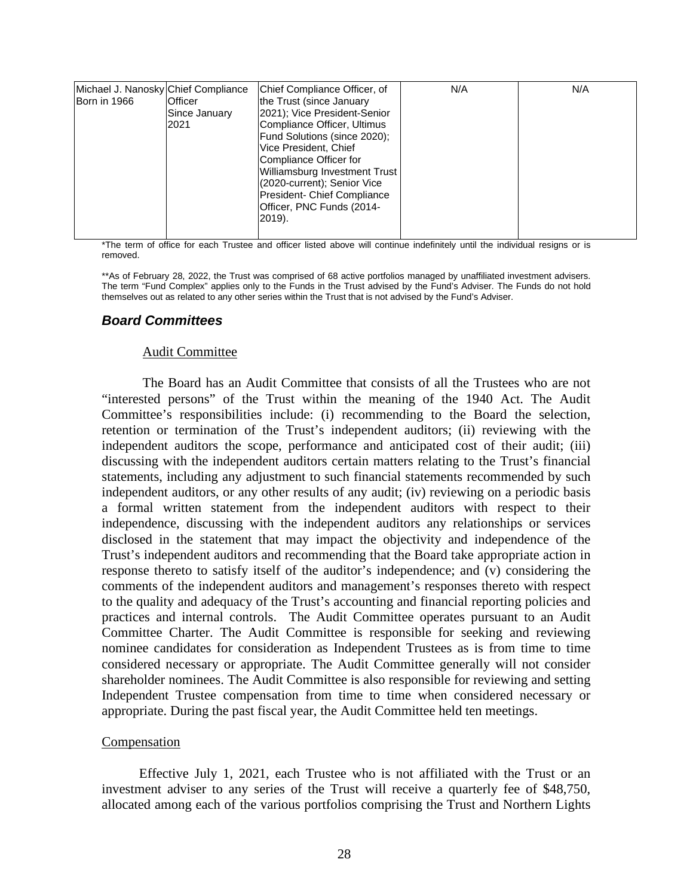| Michael J. Nanosky Chief Compliance<br>Born in 1966 | Officer<br>Since January<br>2021 | Chief Compliance Officer, of<br>the Trust (since January<br>2021); Vice President-Senior<br>Compliance Officer, Ultimus<br>Fund Solutions (since 2020);<br>Vice President, Chief<br>Compliance Officer for | N/A | N/A |
|-----------------------------------------------------|----------------------------------|------------------------------------------------------------------------------------------------------------------------------------------------------------------------------------------------------------|-----|-----|
|                                                     |                                  | Williamsburg Investment Trust<br>(2020-current); Senior Vice<br>President- Chief Compliance<br>Officer, PNC Funds (2014-<br>$2019$ ).                                                                      |     |     |

\*The term of office for each Trustee and officer listed above will continue indefinitely until the individual resigns or is removed.

\*\*As of February 28, 2022, the Trust was comprised of 68 active portfolios managed by unaffiliated investment advisers. The term "Fund Complex" applies only to the Funds in the Trust advised by the Fund's Adviser. The Funds do not hold themselves out as related to any other series within the Trust that is not advised by the Fund's Adviser.

### *Board Committees*

### Audit Committee

The Board has an Audit Committee that consists of all the Trustees who are not "interested persons" of the Trust within the meaning of the 1940 Act. The Audit Committee's responsibilities include: (i) recommending to the Board the selection, retention or termination of the Trust's independent auditors; (ii) reviewing with the independent auditors the scope, performance and anticipated cost of their audit; (iii) discussing with the independent auditors certain matters relating to the Trust's financial statements, including any adjustment to such financial statements recommended by such independent auditors, or any other results of any audit; (iv) reviewing on a periodic basis a formal written statement from the independent auditors with respect to their independence, discussing with the independent auditors any relationships or services disclosed in the statement that may impact the objectivity and independence of the Trust's independent auditors and recommending that the Board take appropriate action in response thereto to satisfy itself of the auditor's independence; and (v) considering the comments of the independent auditors and management's responses thereto with respect to the quality and adequacy of the Trust's accounting and financial reporting policies and practices and internal controls. The Audit Committee operates pursuant to an Audit Committee Charter. The Audit Committee is responsible for seeking and reviewing nominee candidates for consideration as Independent Trustees as is from time to time considered necessary or appropriate. The Audit Committee generally will not consider shareholder nominees. The Audit Committee is also responsible for reviewing and setting Independent Trustee compensation from time to time when considered necessary or appropriate. During the past fiscal year, the Audit Committee held ten meetings.

### **Compensation**

Effective July 1, 2021, each Trustee who is not affiliated with the Trust or an investment adviser to any series of the Trust will receive a quarterly fee of \$48,750, allocated among each of the various portfolios comprising the Trust and Northern Lights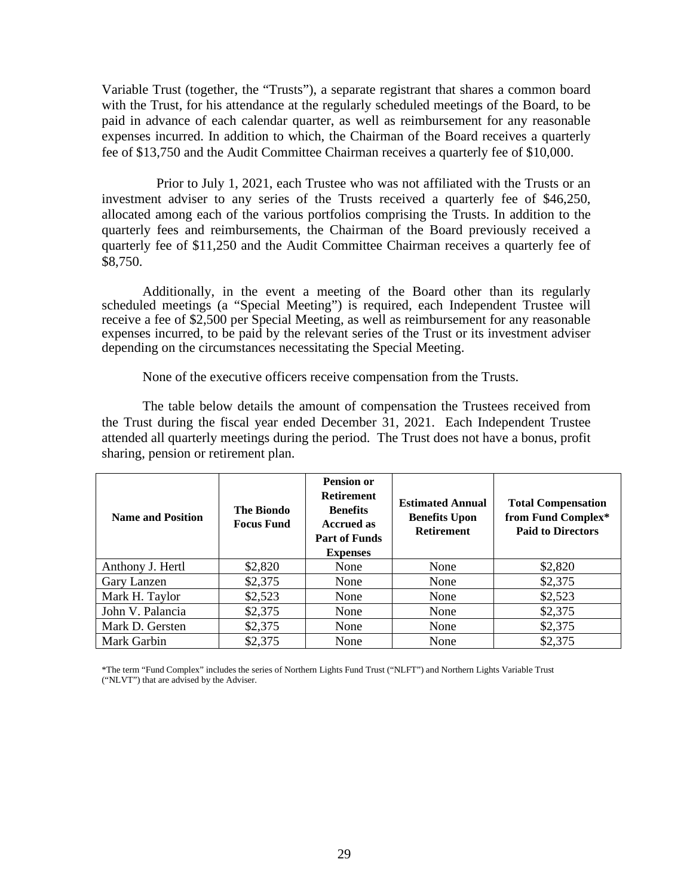Variable Trust (together, the "Trusts"), a separate registrant that shares a common board with the Trust, for his attendance at the regularly scheduled meetings of the Board, to be paid in advance of each calendar quarter, as well as reimbursement for any reasonable expenses incurred. In addition to which, the Chairman of the Board receives a quarterly fee of \$13,750 and the Audit Committee Chairman receives a quarterly fee of \$10,000.

Prior to July 1, 2021, each Trustee who was not affiliated with the Trusts or an investment adviser to any series of the Trusts received a quarterly fee of \$46,250, allocated among each of the various portfolios comprising the Trusts. In addition to the quarterly fees and reimbursements, the Chairman of the Board previously received a quarterly fee of \$11,250 and the Audit Committee Chairman receives a quarterly fee of \$8,750.

Additionally, in the event a meeting of the Board other than its regularly scheduled meetings (a "Special Meeting") is required, each Independent Trustee will receive a fee of \$2,500 per Special Meeting, as well as reimbursement for any reasonable expenses incurred, to be paid by the relevant series of the Trust or its investment adviser depending on the circumstances necessitating the Special Meeting.

None of the executive officers receive compensation from the Trusts.

The table below details the amount of compensation the Trustees received from the Trust during the fiscal year ended December 31, 2021. Each Independent Trustee attended all quarterly meetings during the period. The Trust does not have a bonus, profit sharing, pension or retirement plan.

| <b>Name and Position</b> | <b>The Biondo</b><br><b>Focus Fund</b> | <b>Pension or</b><br><b>Retirement</b><br><b>Benefits</b><br><b>Accrued as</b><br><b>Part of Funds</b><br><b>Expenses</b> | <b>Estimated Annual</b><br><b>Benefits Upon</b><br><b>Retirement</b> | <b>Total Compensation</b><br>from Fund Complex*<br><b>Paid to Directors</b> |
|--------------------------|----------------------------------------|---------------------------------------------------------------------------------------------------------------------------|----------------------------------------------------------------------|-----------------------------------------------------------------------------|
| Anthony J. Hertl         | \$2,820                                | None                                                                                                                      | None                                                                 | \$2,820                                                                     |
| Gary Lanzen              | \$2,375                                | None                                                                                                                      | None                                                                 | \$2,375                                                                     |
| Mark H. Taylor           | \$2,523                                | None                                                                                                                      | None                                                                 | \$2,523                                                                     |
| John V. Palancia         | \$2,375                                | None                                                                                                                      | None                                                                 | \$2,375                                                                     |
| Mark D. Gersten          | \$2,375                                | None                                                                                                                      | None                                                                 | \$2,375                                                                     |
| Mark Garbin              | \$2,375                                | None                                                                                                                      | None                                                                 | \$2,375                                                                     |

\*The term "Fund Complex" includes the series of Northern Lights Fund Trust ("NLFT") and Northern Lights Variable Trust ("NLVT") that are advised by the Adviser.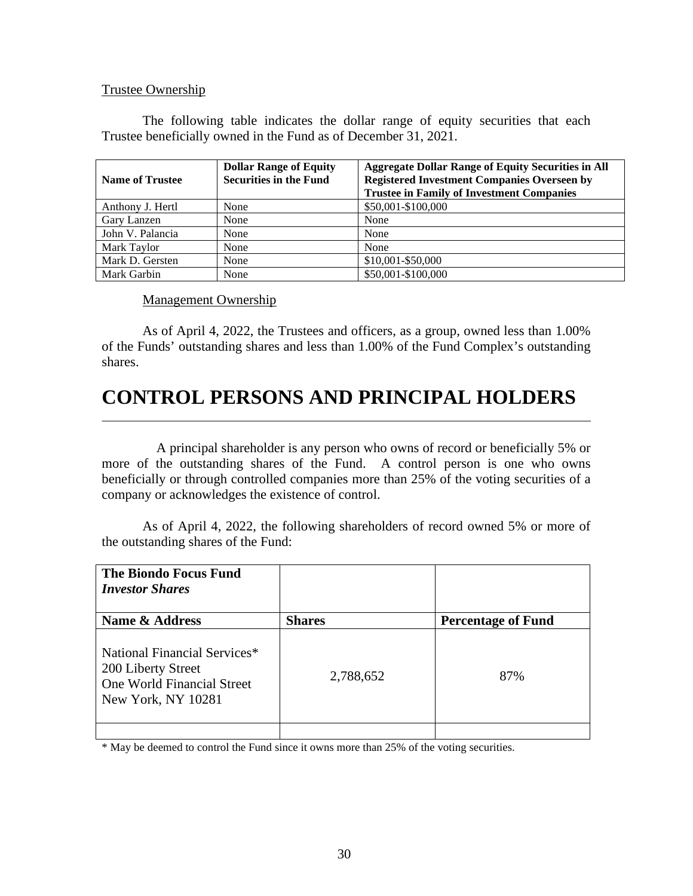### Trustee Ownership

The following table indicates the dollar range of equity securities that each Trustee beneficially owned in the Fund as of December 31, 2021.

| <b>Name of Trustee</b> | <b>Dollar Range of Equity</b><br><b>Securities in the Fund</b> | <b>Aggregate Dollar Range of Equity Securities in All</b><br><b>Registered Investment Companies Overseen by</b><br><b>Trustee in Family of Investment Companies</b> |
|------------------------|----------------------------------------------------------------|---------------------------------------------------------------------------------------------------------------------------------------------------------------------|
| Anthony J. Hertl       | None                                                           | \$50,001-\$100,000                                                                                                                                                  |
| Gary Lanzen            | None                                                           | None                                                                                                                                                                |
| John V. Palancia       | None                                                           | None                                                                                                                                                                |
| Mark Taylor            | None                                                           | None                                                                                                                                                                |
| Mark D. Gersten        | None                                                           | \$10,001-\$50,000                                                                                                                                                   |
| Mark Garbin            | None                                                           | \$50,001-\$100,000                                                                                                                                                  |

Management Ownership

As of April 4, 2022, the Trustees and officers, as a group, owned less than 1.00% of the Funds' outstanding shares and less than 1.00% of the Fund Complex's outstanding shares.

# **CONTROL PERSONS AND PRINCIPAL HOLDERS**

A principal shareholder is any person who owns of record or beneficially 5% or more of the outstanding shares of the Fund. A control person is one who owns beneficially or through controlled companies more than 25% of the voting securities of a company or acknowledges the existence of control.

As of April 4, 2022, the following shareholders of record owned 5% or more of the outstanding shares of the Fund:

| <b>Shares</b> | <b>Percentage of Fund</b> |
|---------------|---------------------------|
| 2,788,652     | 87%                       |
|               |                           |

\* May be deemed to control the Fund since it owns more than 25% of the voting securities.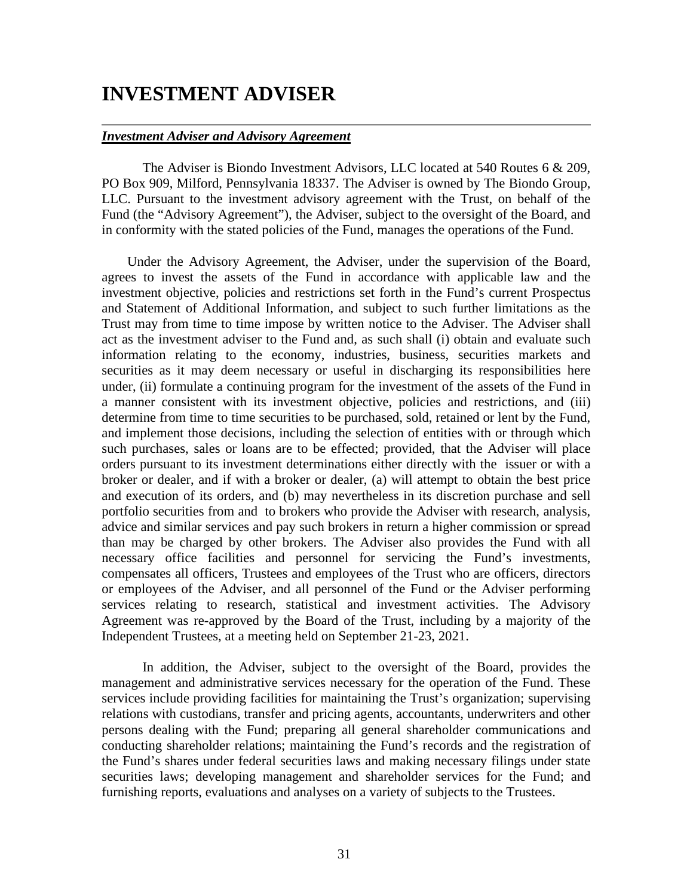## **INVESTMENT ADVISER**

### *Investment Adviser and Advisory Agreement*

The Adviser is Biondo Investment Advisors, LLC located at 540 Routes 6 & 209, PO Box 909, Milford, Pennsylvania 18337. The Adviser is owned by The Biondo Group, LLC. Pursuant to the investment advisory agreement with the Trust, on behalf of the Fund (the "Advisory Agreement"), the Adviser, subject to the oversight of the Board, and in conformity with the stated policies of the Fund, manages the operations of the Fund.

Under the Advisory Agreement, the Adviser, under the supervision of the Board, agrees to invest the assets of the Fund in accordance with applicable law and the investment objective, policies and restrictions set forth in the Fund's current Prospectus and Statement of Additional Information, and subject to such further limitations as the Trust may from time to time impose by written notice to the Adviser. The Adviser shall act as the investment adviser to the Fund and, as such shall (i) obtain and evaluate such information relating to the economy, industries, business, securities markets and securities as it may deem necessary or useful in discharging its responsibilities here under, (ii) formulate a continuing program for the investment of the assets of the Fund in a manner consistent with its investment objective, policies and restrictions, and (iii) determine from time to time securities to be purchased, sold, retained or lent by the Fund, and implement those decisions, including the selection of entities with or through which such purchases, sales or loans are to be effected; provided, that the Adviser will place orders pursuant to its investment determinations either directly with the issuer or with a broker or dealer, and if with a broker or dealer, (a) will attempt to obtain the best price and execution of its orders, and (b) may nevertheless in its discretion purchase and sell portfolio securities from and to brokers who provide the Adviser with research, analysis, advice and similar services and pay such brokers in return a higher commission or spread than may be charged by other brokers. The Adviser also provides the Fund with all necessary office facilities and personnel for servicing the Fund's investments, compensates all officers, Trustees and employees of the Trust who are officers, directors or employees of the Adviser, and all personnel of the Fund or the Adviser performing services relating to research, statistical and investment activities. The Advisory Agreement was re-approved by the Board of the Trust, including by a majority of the Independent Trustees, at a meeting held on September 21-23, 2021.

In addition, the Adviser, subject to the oversight of the Board, provides the management and administrative services necessary for the operation of the Fund. These services include providing facilities for maintaining the Trust's organization; supervising relations with custodians, transfer and pricing agents, accountants, underwriters and other persons dealing with the Fund; preparing all general shareholder communications and conducting shareholder relations; maintaining the Fund's records and the registration of the Fund's shares under federal securities laws and making necessary filings under state securities laws; developing management and shareholder services for the Fund; and furnishing reports, evaluations and analyses on a variety of subjects to the Trustees.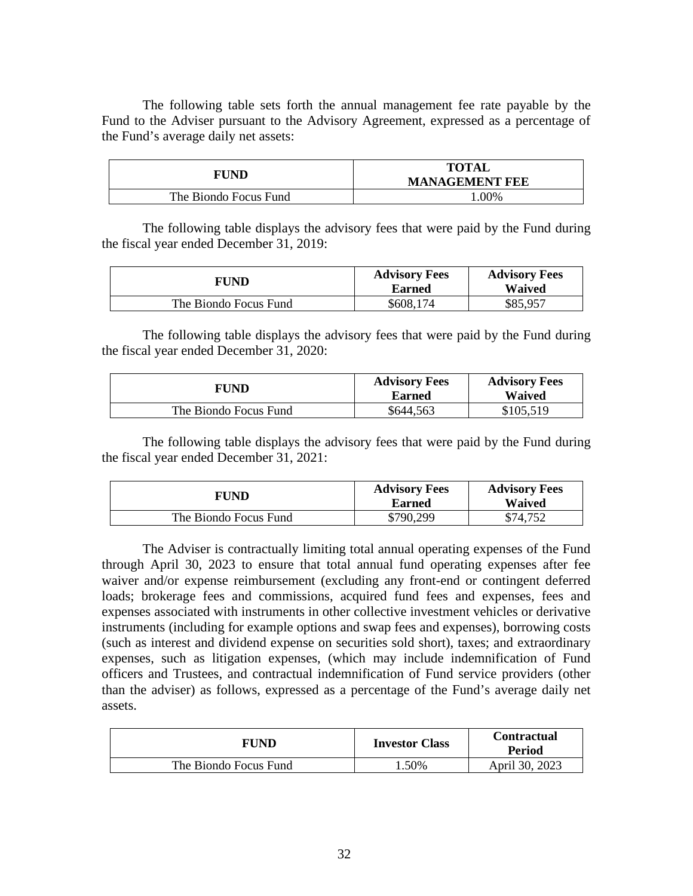The following table sets forth the annual management fee rate payable by the Fund to the Adviser pursuant to the Advisory Agreement, expressed as a percentage of the Fund's average daily net assets:

| FUND                  | <b>TOTAL</b><br><b>MANAGEMENT FEE</b> |  |
|-----------------------|---------------------------------------|--|
| The Biondo Focus Fund | $.00\%$                               |  |

The following table displays the advisory fees that were paid by the Fund during the fiscal year ended December 31, 2019:

| FUND                  | <b>Advisory Fees</b><br>Earned | <b>Advisory Fees</b><br>Waived |
|-----------------------|--------------------------------|--------------------------------|
| The Biondo Focus Fund | \$608,174                      | \$85,957                       |

The following table displays the advisory fees that were paid by the Fund during the fiscal year ended December 31, 2020:

| FUND                  | <b>Advisory Fees</b><br>Earned | <b>Advisory Fees</b><br><b>Waived</b> |
|-----------------------|--------------------------------|---------------------------------------|
| The Biondo Focus Fund | \$644,563                      | \$105,519                             |

The following table displays the advisory fees that were paid by the Fund during the fiscal year ended December 31, 2021:

| FUND                  | <b>Advisory Fees</b><br><b>Earned</b> | <b>Advisory Fees</b><br>Waived |
|-----------------------|---------------------------------------|--------------------------------|
| The Biondo Focus Fund | \$790,299                             | \$74.752                       |

The Adviser is contractually limiting total annual operating expenses of the Fund through April 30, 2023 to ensure that total annual fund operating expenses after fee waiver and/or expense reimbursement (excluding any front-end or contingent deferred loads; brokerage fees and commissions, acquired fund fees and expenses, fees and expenses associated with instruments in other collective investment vehicles or derivative instruments (including for example options and swap fees and expenses), borrowing costs (such as interest and dividend expense on securities sold short), taxes; and extraordinary expenses, such as litigation expenses, (which may include indemnification of Fund officers and Trustees, and contractual indemnification of Fund service providers (other than the adviser) as follows, expressed as a percentage of the Fund's average daily net assets.

| FUND                  | <b>Investor Class</b> | <b>Contractual</b><br><b>Period</b> |
|-----------------------|-----------------------|-------------------------------------|
| The Biondo Focus Fund | .50%                  | April 30, 2023                      |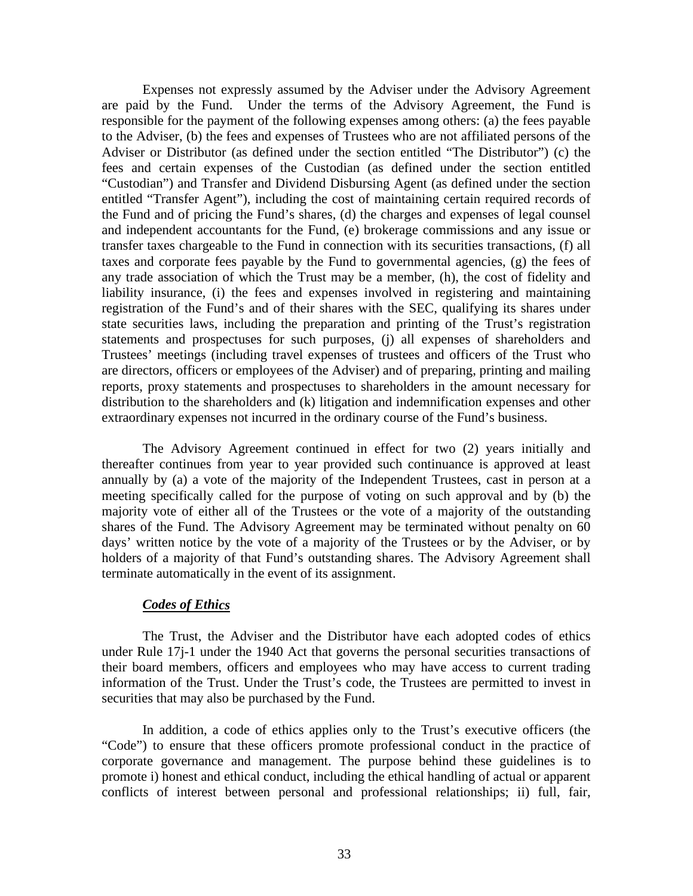Expenses not expressly assumed by the Adviser under the Advisory Agreement are paid by the Fund. Under the terms of the Advisory Agreement, the Fund is responsible for the payment of the following expenses among others: (a) the fees payable to the Adviser, (b) the fees and expenses of Trustees who are not affiliated persons of the Adviser or Distributor (as defined under the section entitled "The Distributor") (c) the fees and certain expenses of the Custodian (as defined under the section entitled "Custodian") and Transfer and Dividend Disbursing Agent (as defined under the section entitled "Transfer Agent"), including the cost of maintaining certain required records of the Fund and of pricing the Fund's shares, (d) the charges and expenses of legal counsel and independent accountants for the Fund, (e) brokerage commissions and any issue or transfer taxes chargeable to the Fund in connection with its securities transactions, (f) all taxes and corporate fees payable by the Fund to governmental agencies, (g) the fees of any trade association of which the Trust may be a member, (h), the cost of fidelity and liability insurance, (i) the fees and expenses involved in registering and maintaining registration of the Fund's and of their shares with the SEC, qualifying its shares under state securities laws, including the preparation and printing of the Trust's registration statements and prospectuses for such purposes, (j) all expenses of shareholders and Trustees' meetings (including travel expenses of trustees and officers of the Trust who are directors, officers or employees of the Adviser) and of preparing, printing and mailing reports, proxy statements and prospectuses to shareholders in the amount necessary for distribution to the shareholders and (k) litigation and indemnification expenses and other extraordinary expenses not incurred in the ordinary course of the Fund's business.

The Advisory Agreement continued in effect for two (2) years initially and thereafter continues from year to year provided such continuance is approved at least annually by (a) a vote of the majority of the Independent Trustees, cast in person at a meeting specifically called for the purpose of voting on such approval and by (b) the majority vote of either all of the Trustees or the vote of a majority of the outstanding shares of the Fund. The Advisory Agreement may be terminated without penalty on 60 days' written notice by the vote of a majority of the Trustees or by the Adviser, or by holders of a majority of that Fund's outstanding shares. The Advisory Agreement shall terminate automatically in the event of its assignment.

### *Codes of Ethics*

The Trust, the Adviser and the Distributor have each adopted codes of ethics under Rule 17j-1 under the 1940 Act that governs the personal securities transactions of their board members, officers and employees who may have access to current trading information of the Trust. Under the Trust's code, the Trustees are permitted to invest in securities that may also be purchased by the Fund.

In addition, a code of ethics applies only to the Trust's executive officers (the "Code") to ensure that these officers promote professional conduct in the practice of corporate governance and management. The purpose behind these guidelines is to promote i) honest and ethical conduct, including the ethical handling of actual or apparent conflicts of interest between personal and professional relationships; ii) full, fair,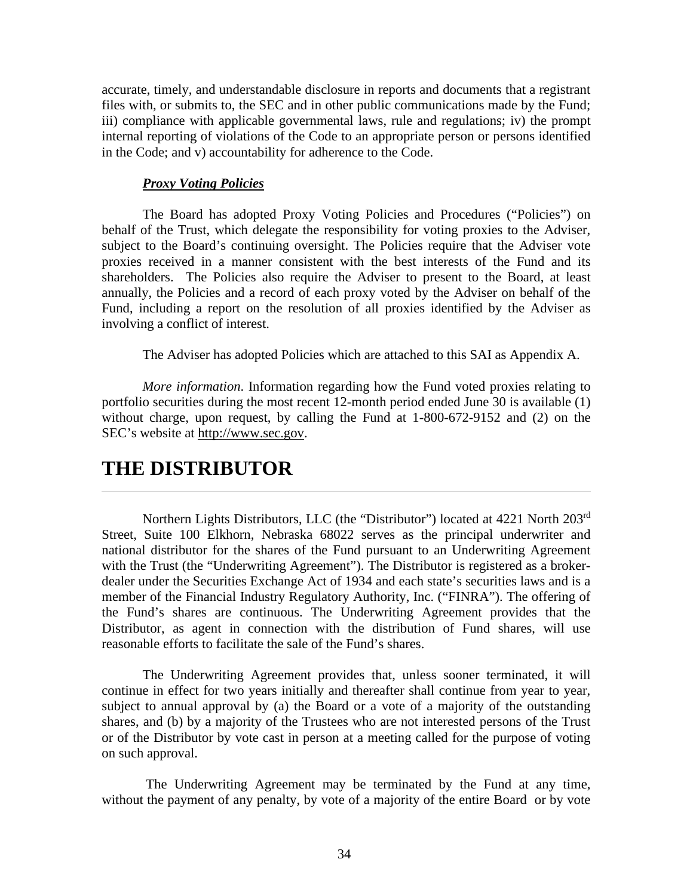accurate, timely, and understandable disclosure in reports and documents that a registrant files with, or submits to, the SEC and in other public communications made by the Fund; iii) compliance with applicable governmental laws, rule and regulations; iv) the prompt internal reporting of violations of the Code to an appropriate person or persons identified in the Code; and v) accountability for adherence to the Code.

### *Proxy Voting Policies*

The Board has adopted Proxy Voting Policies and Procedures ("Policies") on behalf of the Trust, which delegate the responsibility for voting proxies to the Adviser, subject to the Board's continuing oversight. The Policies require that the Adviser vote proxies received in a manner consistent with the best interests of the Fund and its shareholders. The Policies also require the Adviser to present to the Board, at least annually, the Policies and a record of each proxy voted by the Adviser on behalf of the Fund, including a report on the resolution of all proxies identified by the Adviser as involving a conflict of interest.

The Adviser has adopted Policies which are attached to this SAI as Appendix A.

*More information*. Information regarding how the Fund voted proxies relating to portfolio securities during the most recent 12-month period ended June 30 is available (1) without charge, upon request, by calling the Fund at 1-800-672-9152 and (2) on the SEC's website at [http://www.sec.gov.](http://www.sec.gov/)

## **THE DISTRIBUTOR**

Northern Lights Distributors, LLC (the "Distributor") located at 4221 North 203<sup>rd</sup> Street, Suite 100 Elkhorn, Nebraska 68022 serves as the principal underwriter and national distributor for the shares of the Fund pursuant to an Underwriting Agreement with the Trust (the "Underwriting Agreement"). The Distributor is registered as a brokerdealer under the Securities Exchange Act of 1934 and each state's securities laws and is a member of the Financial Industry Regulatory Authority, Inc. ("FINRA"). The offering of the Fund's shares are continuous. The Underwriting Agreement provides that the Distributor, as agent in connection with the distribution of Fund shares, will use reasonable efforts to facilitate the sale of the Fund's shares.

The Underwriting Agreement provides that, unless sooner terminated, it will continue in effect for two years initially and thereafter shall continue from year to year, subject to annual approval by (a) the Board or a vote of a majority of the outstanding shares, and (b) by a majority of the Trustees who are not interested persons of the Trust or of the Distributor by vote cast in person at a meeting called for the purpose of voting on such approval.

The Underwriting Agreement may be terminated by the Fund at any time, without the payment of any penalty, by vote of a majority of the entire Board or by vote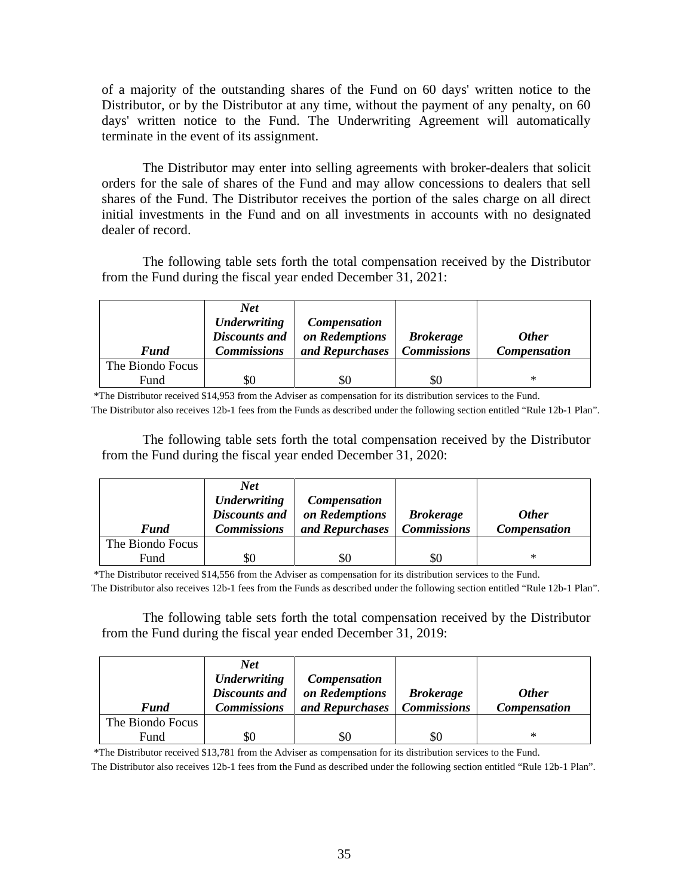of a majority of the outstanding shares of the Fund on 60 days' written notice to the Distributor, or by the Distributor at any time, without the payment of any penalty, on 60 days' written notice to the Fund. The Underwriting Agreement will automatically terminate in the event of its assignment.

The Distributor may enter into selling agreements with broker-dealers that solicit orders for the sale of shares of the Fund and may allow concessions to dealers that sell shares of the Fund. The Distributor receives the portion of the sales charge on all direct initial investments in the Fund and on all investments in accounts with no designated dealer of record.

The following table sets forth the total compensation received by the Distributor from the Fund during the fiscal year ended December 31, 2021:

|                  | Net<br><b>Underwriting</b><br><b>Discounts and</b> | <b>Compensation</b><br>on Redemptions | <b>Brokerage</b>   | <b>Other</b>        |
|------------------|----------------------------------------------------|---------------------------------------|--------------------|---------------------|
| <b>Fund</b>      | <b>Commissions</b>                                 | and Repurchases                       | <b>Commissions</b> | <b>Compensation</b> |
| The Biondo Focus |                                                    |                                       |                    |                     |
| Fund             | \$0                                                |                                       | \$0                | ∗                   |

\*The Distributor received \$14,953 from the Adviser as compensation for its distribution services to the Fund.

The Distributor also receives 12b-1 fees from the Funds as described under the following section entitled "Rule 12b-1 Plan".

The following table sets forth the total compensation received by the Distributor from the Fund during the fiscal year ended December 31, 2020:

|                  | <b>Net</b><br><b>Underwriting</b><br><b>Discounts and</b> | <b>Compensation</b><br>on Redemptions | <b>Brokerage</b>   | <b>Other</b>        |
|------------------|-----------------------------------------------------------|---------------------------------------|--------------------|---------------------|
| <b>Fund</b>      | <b>Commissions</b>                                        | and Repurchases                       | <b>Commissions</b> | <b>Compensation</b> |
| The Biondo Focus |                                                           |                                       |                    |                     |
| Fund             |                                                           |                                       | \$Ο                | *                   |

\*The Distributor received \$14,556 from the Adviser as compensation for its distribution services to the Fund.

The Distributor also receives 12b-1 fees from the Funds as described under the following section entitled "Rule 12b-1 Plan".

The following table sets forth the total compensation received by the Distributor from the Fund during the fiscal year ended December 31, 2019:

|                  | <b>Net</b><br><b>Underwriting</b>          | <b>Compensation</b>               |                                        |                                     |
|------------------|--------------------------------------------|-----------------------------------|----------------------------------------|-------------------------------------|
| <b>Fund</b>      | <b>Discounts and</b><br><b>Commissions</b> | on Redemptions<br>and Repurchases | <b>Brokerage</b><br><b>Commissions</b> | <b>Other</b><br><b>Compensation</b> |
| The Biondo Focus |                                            |                                   |                                        |                                     |
| Fund             | \$0                                        | 80                                | \$0                                    | ∗                                   |

\*The Distributor received \$13,781 from the Adviser as compensation for its distribution services to the Fund.

The Distributor also receives 12b-1 fees from the Fund as described under the following section entitled "Rule 12b-1 Plan".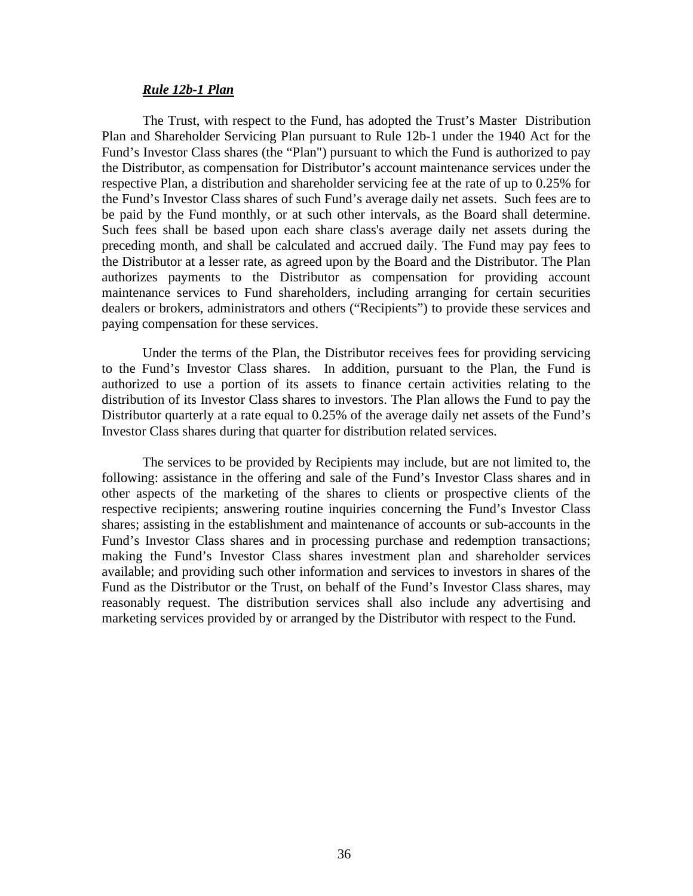#### *Rule 12b-1 Plan*

The Trust, with respect to the Fund, has adopted the Trust's Master Distribution Plan and Shareholder Servicing Plan pursuant to Rule 12b-1 under the 1940 Act for the Fund's Investor Class shares (the "Plan") pursuant to which the Fund is authorized to pay the Distributor, as compensation for Distributor's account maintenance services under the respective Plan, a distribution and shareholder servicing fee at the rate of up to 0.25% for the Fund's Investor Class shares of such Fund's average daily net assets. Such fees are to be paid by the Fund monthly, or at such other intervals, as the Board shall determine. Such fees shall be based upon each share class's average daily net assets during the preceding month, and shall be calculated and accrued daily. The Fund may pay fees to the Distributor at a lesser rate, as agreed upon by the Board and the Distributor. The Plan authorizes payments to the Distributor as compensation for providing account maintenance services to Fund shareholders, including arranging for certain securities dealers or brokers, administrators and others ("Recipients") to provide these services and paying compensation for these services.

Under the terms of the Plan, the Distributor receives fees for providing servicing to the Fund's Investor Class shares. In addition, pursuant to the Plan, the Fund is authorized to use a portion of its assets to finance certain activities relating to the distribution of its Investor Class shares to investors. The Plan allows the Fund to pay the Distributor quarterly at a rate equal to 0.25% of the average daily net assets of the Fund's Investor Class shares during that quarter for distribution related services.

The services to be provided by Recipients may include, but are not limited to, the following: assistance in the offering and sale of the Fund's Investor Class shares and in other aspects of the marketing of the shares to clients or prospective clients of the respective recipients; answering routine inquiries concerning the Fund's Investor Class shares; assisting in the establishment and maintenance of accounts or sub-accounts in the Fund's Investor Class shares and in processing purchase and redemption transactions; making the Fund's Investor Class shares investment plan and shareholder services available; and providing such other information and services to investors in shares of the Fund as the Distributor or the Trust, on behalf of the Fund's Investor Class shares, may reasonably request. The distribution services shall also include any advertising and marketing services provided by or arranged by the Distributor with respect to the Fund.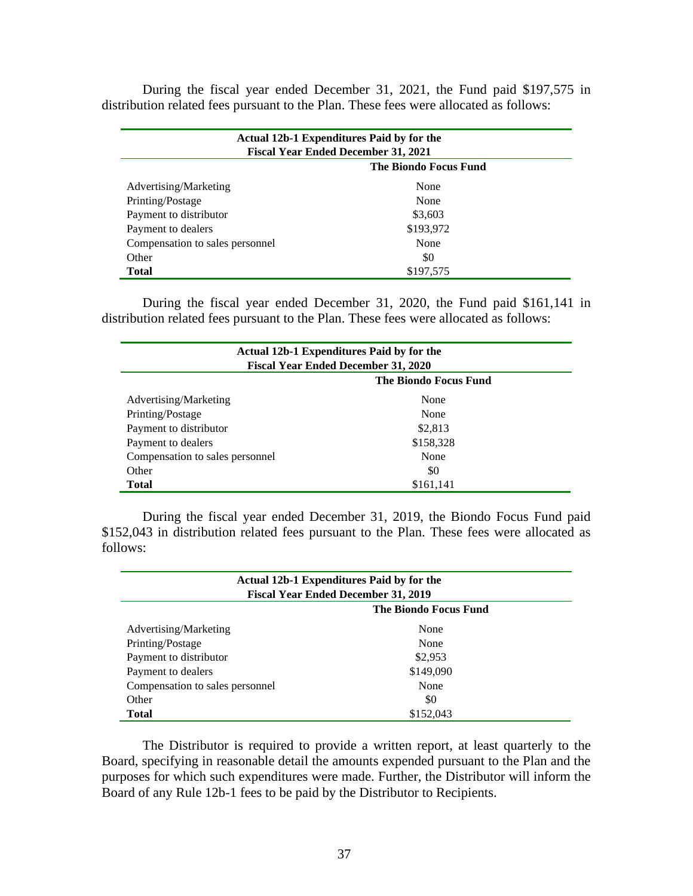During the fiscal year ended December 31, 2021, the Fund paid \$197,575 in distribution related fees pursuant to the Plan. These fees were allocated as follows:

| Actual 12b-1 Expenditures Paid by for the  |           |  |
|--------------------------------------------|-----------|--|
| <b>Fiscal Year Ended December 31, 2021</b> |           |  |
| <b>The Biondo Focus Fund</b>               |           |  |
| Advertising/Marketing                      | None      |  |
| Printing/Postage                           | None      |  |
| Payment to distributor                     | \$3,603   |  |
| Payment to dealers                         | \$193,972 |  |
| Compensation to sales personnel            | None      |  |
| Other                                      | \$0       |  |
| <b>Total</b>                               | \$197,575 |  |

During the fiscal year ended December 31, 2020, the Fund paid \$161,141 in distribution related fees pursuant to the Plan. These fees were allocated as follows:

| Actual 12b-1 Expenditures Paid by for the<br><b>Fiscal Year Ended December 31, 2020</b> |           |  |
|-----------------------------------------------------------------------------------------|-----------|--|
| <b>The Biondo Focus Fund</b>                                                            |           |  |
| Advertising/Marketing                                                                   | None      |  |
| Printing/Postage                                                                        | None      |  |
| Payment to distributor                                                                  | \$2,813   |  |
| Payment to dealers                                                                      | \$158,328 |  |
| Compensation to sales personnel                                                         | None      |  |
| Other                                                                                   | \$0       |  |
| <b>Total</b>                                                                            | \$161,141 |  |

During the fiscal year ended December 31, 2019, the Biondo Focus Fund paid \$152,043 in distribution related fees pursuant to the Plan. These fees were allocated as follows:

| Actual 12b-1 Expenditures Paid by for the<br><b>Fiscal Year Ended December 31, 2019</b> |           |  |
|-----------------------------------------------------------------------------------------|-----------|--|
| <b>The Biondo Focus Fund</b>                                                            |           |  |
| Advertising/Marketing                                                                   | None      |  |
| Printing/Postage                                                                        | None      |  |
| Payment to distributor                                                                  | \$2,953   |  |
| Payment to dealers                                                                      | \$149,090 |  |
| Compensation to sales personnel                                                         | None      |  |
| Other                                                                                   | \$0       |  |
| <b>Total</b>                                                                            | \$152,043 |  |

The Distributor is required to provide a written report, at least quarterly to the Board, specifying in reasonable detail the amounts expended pursuant to the Plan and the purposes for which such expenditures were made. Further, the Distributor will inform the Board of any Rule 12b-1 fees to be paid by the Distributor to Recipients.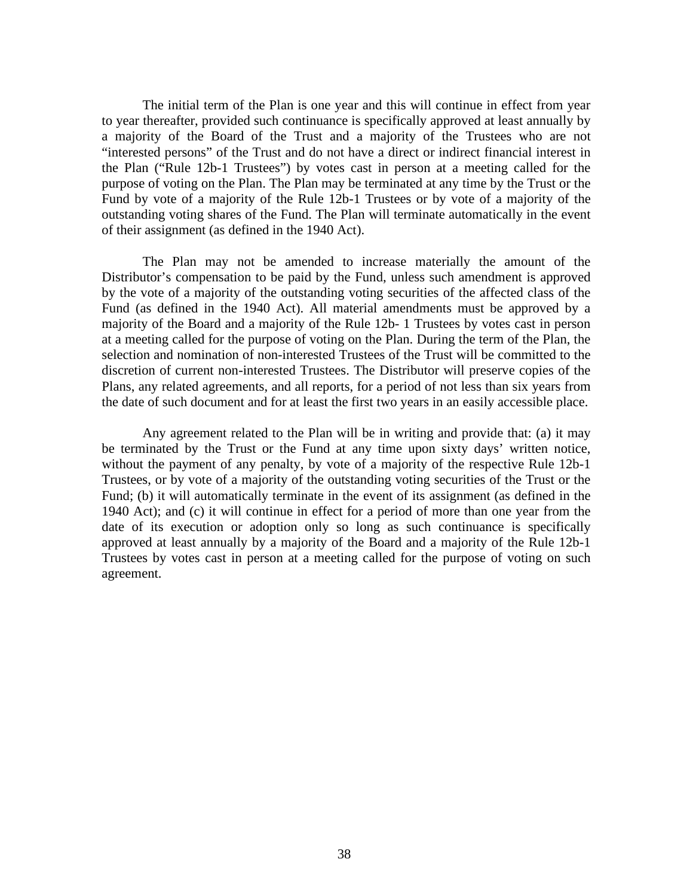The initial term of the Plan is one year and this will continue in effect from year to year thereafter, provided such continuance is specifically approved at least annually by a majority of the Board of the Trust and a majority of the Trustees who are not "interested persons" of the Trust and do not have a direct or indirect financial interest in the Plan ("Rule 12b-1 Trustees") by votes cast in person at a meeting called for the purpose of voting on the Plan. The Plan may be terminated at any time by the Trust or the Fund by vote of a majority of the Rule 12b-1 Trustees or by vote of a majority of the outstanding voting shares of the Fund. The Plan will terminate automatically in the event of their assignment (as defined in the 1940 Act).

The Plan may not be amended to increase materially the amount of the Distributor's compensation to be paid by the Fund, unless such amendment is approved by the vote of a majority of the outstanding voting securities of the affected class of the Fund (as defined in the 1940 Act). All material amendments must be approved by a majority of the Board and a majority of the Rule 12b- 1 Trustees by votes cast in person at a meeting called for the purpose of voting on the Plan. During the term of the Plan, the selection and nomination of non-interested Trustees of the Trust will be committed to the discretion of current non-interested Trustees. The Distributor will preserve copies of the Plans, any related agreements, and all reports, for a period of not less than six years from the date of such document and for at least the first two years in an easily accessible place.

Any agreement related to the Plan will be in writing and provide that: (a) it may be terminated by the Trust or the Fund at any time upon sixty days' written notice, without the payment of any penalty, by vote of a majority of the respective Rule 12b-1 Trustees, or by vote of a majority of the outstanding voting securities of the Trust or the Fund; (b) it will automatically terminate in the event of its assignment (as defined in the 1940 Act); and (c) it will continue in effect for a period of more than one year from the date of its execution or adoption only so long as such continuance is specifically approved at least annually by a majority of the Board and a majority of the Rule 12b-1 Trustees by votes cast in person at a meeting called for the purpose of voting on such agreement.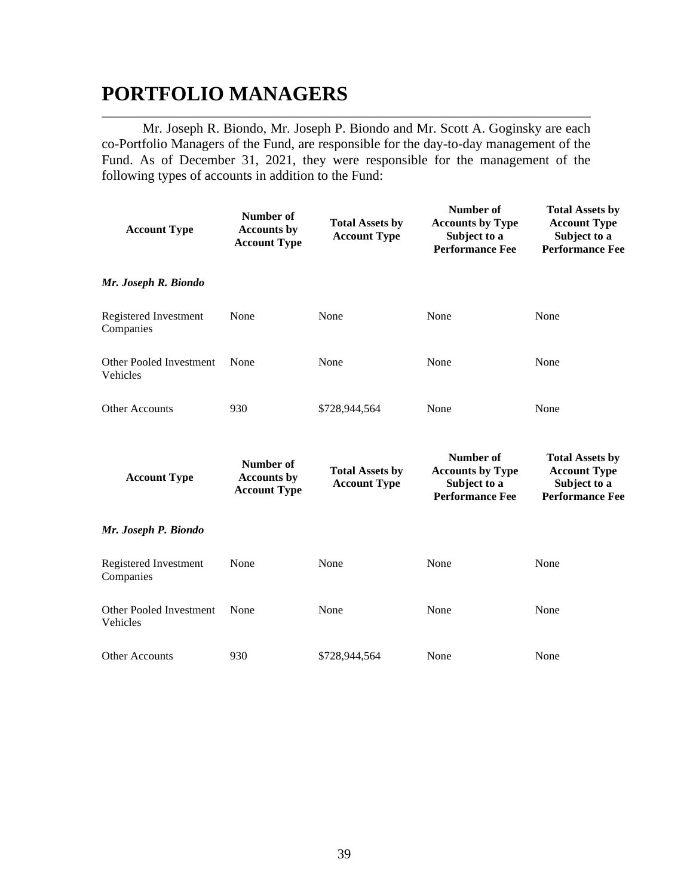# **PORTFOLIO MANAGERS**

Mr. Joseph R. Biondo, Mr. Joseph P. Biondo and Mr. Scott A. Goginsky are each co-Portfolio Managers of the Fund, are responsible for the day-to-day management of the Fund. As of December 31, 2021, they were responsible for the management of the following types of accounts in addition to the Fund:

| <b>Account Type</b>                 | Number of<br><b>Accounts by</b><br><b>Account Type</b> | <b>Total Assets by</b><br><b>Account Type</b> | Number of<br><b>Accounts by Type</b><br>Subject to a<br><b>Performance Fee</b> | <b>Total Assets by</b><br><b>Account Type</b><br>Subject to a<br><b>Performance Fee</b> |
|-------------------------------------|--------------------------------------------------------|-----------------------------------------------|--------------------------------------------------------------------------------|-----------------------------------------------------------------------------------------|
| Mr. Joseph R. Biondo                |                                                        |                                               |                                                                                |                                                                                         |
| Registered Investment<br>Companies  | None                                                   | None                                          | None                                                                           | None                                                                                    |
| Other Pooled Investment<br>Vehicles | None                                                   | None                                          | None                                                                           | None                                                                                    |
| <b>Other Accounts</b>               | 930                                                    | \$728,944,564                                 | None                                                                           | None                                                                                    |
| <b>Account Type</b>                 | Number of<br><b>Accounts by</b><br><b>Account Type</b> | <b>Total Assets by</b><br><b>Account Type</b> | Number of<br><b>Accounts by Type</b><br>Subject to a<br><b>Performance Fee</b> | <b>Total Assets by</b><br><b>Account Type</b><br>Subject to a<br><b>Performance Fee</b> |
| Mr. Joseph P. Biondo                |                                                        |                                               |                                                                                |                                                                                         |
| Registered Investment<br>Companies  | None                                                   | None                                          | None                                                                           | None                                                                                    |
| Other Pooled Investment<br>Vehicles | None                                                   | None                                          | None                                                                           | None                                                                                    |
| <b>Other Accounts</b>               | 930                                                    | \$728,944,564                                 | None                                                                           | None                                                                                    |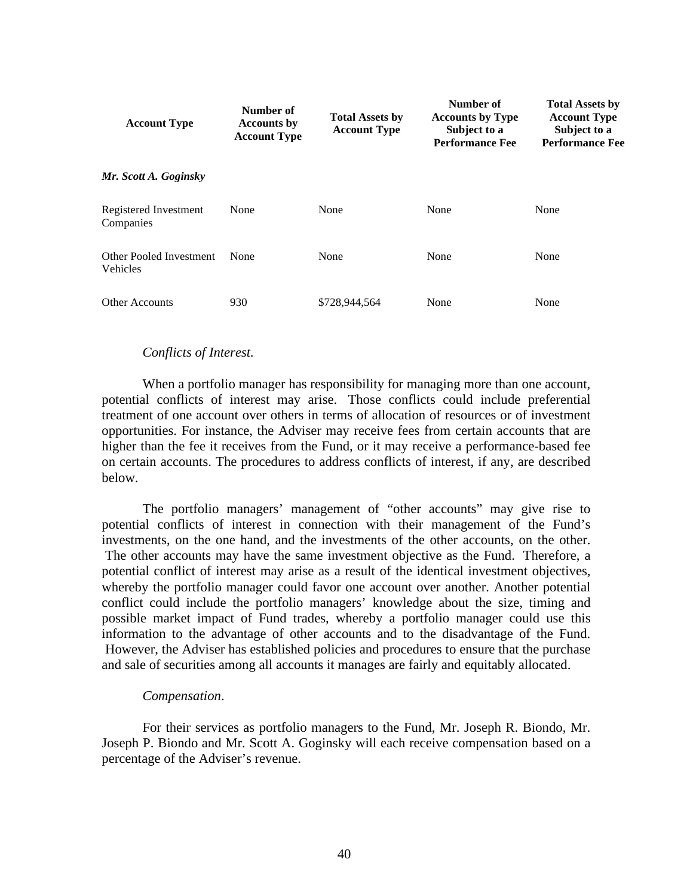| <b>Account Type</b>                        | Number of<br><b>Accounts by</b><br><b>Account Type</b> | <b>Total Assets by</b><br><b>Account Type</b> | Number of<br><b>Accounts by Type</b><br>Subject to a<br><b>Performance Fee</b> | <b>Total Assets by</b><br><b>Account Type</b><br>Subject to a<br><b>Performance Fee</b> |
|--------------------------------------------|--------------------------------------------------------|-----------------------------------------------|--------------------------------------------------------------------------------|-----------------------------------------------------------------------------------------|
| Mr. Scott A. Goginsky                      |                                                        |                                               |                                                                                |                                                                                         |
| Registered Investment<br>Companies         | None                                                   | None                                          | None                                                                           | None                                                                                    |
| <b>Other Pooled Investment</b><br>Vehicles | None                                                   | None                                          | None                                                                           | None                                                                                    |
| <b>Other Accounts</b>                      | 930                                                    | \$728,944,564                                 | None                                                                           | None                                                                                    |

### *Conflicts of Interest.*

When a portfolio manager has responsibility for managing more than one account, potential conflicts of interest may arise. Those conflicts could include preferential treatment of one account over others in terms of allocation of resources or of investment opportunities. For instance, the Adviser may receive fees from certain accounts that are higher than the fee it receives from the Fund, or it may receive a performance-based fee on certain accounts. The procedures to address conflicts of interest, if any, are described below.

The portfolio managers' management of "other accounts" may give rise to potential conflicts of interest in connection with their management of the Fund's investments, on the one hand, and the investments of the other accounts, on the other. The other accounts may have the same investment objective as the Fund. Therefore, a potential conflict of interest may arise as a result of the identical investment objectives, whereby the portfolio manager could favor one account over another. Another potential conflict could include the portfolio managers' knowledge about the size, timing and possible market impact of Fund trades, whereby a portfolio manager could use this information to the advantage of other accounts and to the disadvantage of the Fund. However, the Adviser has established policies and procedures to ensure that the purchase and sale of securities among all accounts it manages are fairly and equitably allocated.

### *Compensation*.

For their services as portfolio managers to the Fund, Mr. Joseph R. Biondo, Mr. Joseph P. Biondo and Mr. Scott A. Goginsky will each receive compensation based on a percentage of the Adviser's revenue.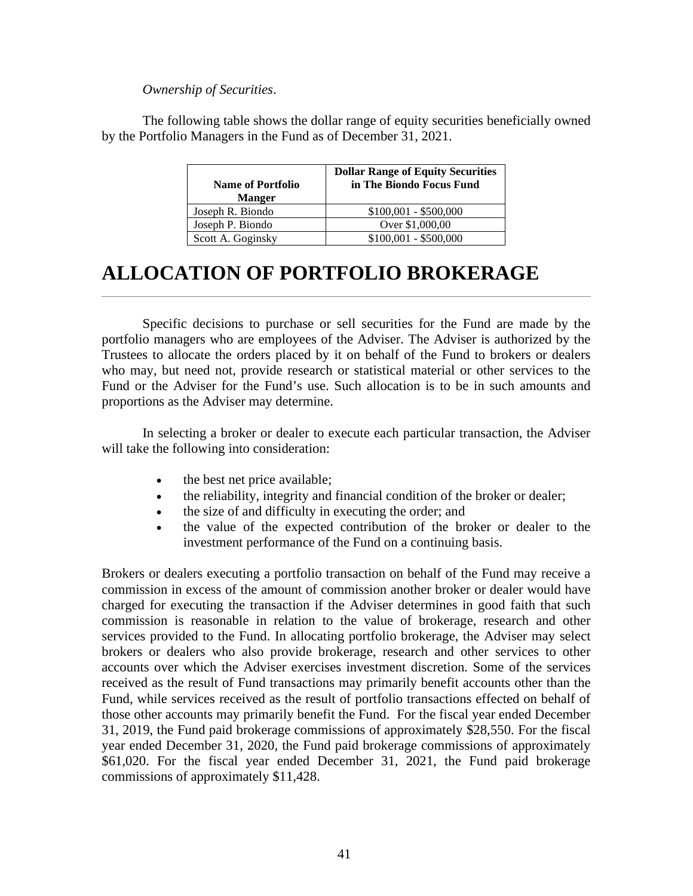### *Ownership of Securities*.

The following table shows the dollar range of equity securities beneficially owned by the Portfolio Managers in the Fund as of December 31, 2021.

| <b>Name of Portfolio</b><br><b>Manger</b> | <b>Dollar Range of Equity Securities</b><br>in The Biondo Focus Fund |
|-------------------------------------------|----------------------------------------------------------------------|
| Joseph R. Biondo                          | $$100,001 - $500,000$                                                |
| Joseph P. Biondo                          | Over \$1,000,00                                                      |
| Scott A. Goginsky                         | $$100,001 - $500,000$                                                |

# **ALLOCATION OF PORTFOLIO BROKERAGE**

Specific decisions to purchase or sell securities for the Fund are made by the portfolio managers who are employees of the Adviser. The Adviser is authorized by the Trustees to allocate the orders placed by it on behalf of the Fund to brokers or dealers who may, but need not, provide research or statistical material or other services to the Fund or the Adviser for the Fund's use. Such allocation is to be in such amounts and proportions as the Adviser may determine.

In selecting a broker or dealer to execute each particular transaction, the Adviser will take the following into consideration:

- the best net price available;
- the reliability, integrity and financial condition of the broker or dealer;
- the size of and difficulty in executing the order; and
- the value of the expected contribution of the broker or dealer to the investment performance of the Fund on a continuing basis.

Brokers or dealers executing a portfolio transaction on behalf of the Fund may receive a commission in excess of the amount of commission another broker or dealer would have charged for executing the transaction if the Adviser determines in good faith that such commission is reasonable in relation to the value of brokerage, research and other services provided to the Fund. In allocating portfolio brokerage, the Adviser may select brokers or dealers who also provide brokerage, research and other services to other accounts over which the Adviser exercises investment discretion. Some of the services received as the result of Fund transactions may primarily benefit accounts other than the Fund, while services received as the result of portfolio transactions effected on behalf of those other accounts may primarily benefit the Fund. For the fiscal year ended December 31, 2019, the Fund paid brokerage commissions of approximately \$28,550. For the fiscal year ended December 31, 2020, the Fund paid brokerage commissions of approximately \$61,020. For the fiscal year ended December 31, 2021, the Fund paid brokerage commissions of approximately \$11,428.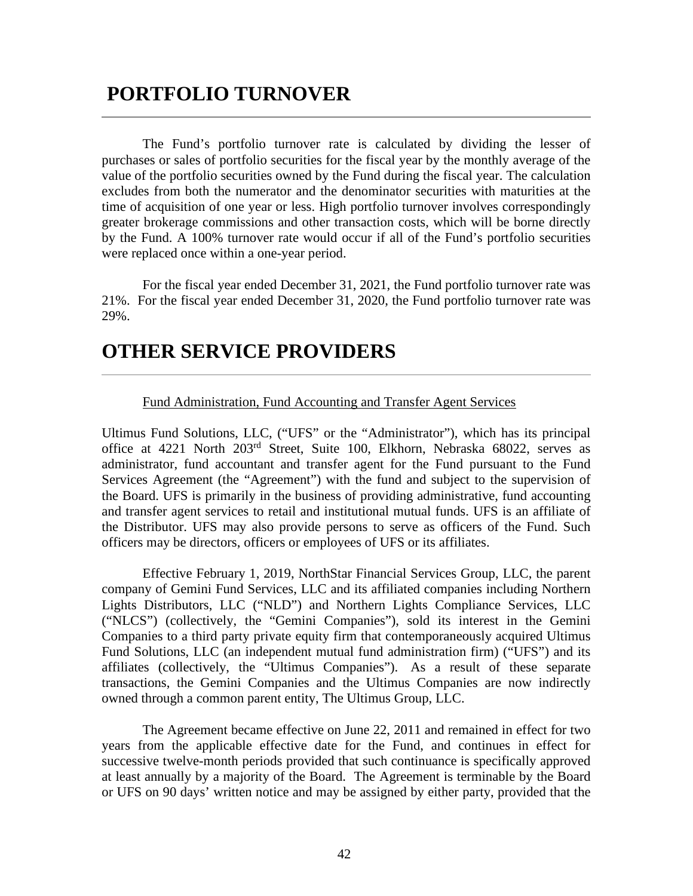# **PORTFOLIO TURNOVER**

The Fund's portfolio turnover rate is calculated by dividing the lesser of purchases or sales of portfolio securities for the fiscal year by the monthly average of the value of the portfolio securities owned by the Fund during the fiscal year. The calculation excludes from both the numerator and the denominator securities with maturities at the time of acquisition of one year or less. High portfolio turnover involves correspondingly greater brokerage commissions and other transaction costs, which will be borne directly by the Fund. A 100% turnover rate would occur if all of the Fund's portfolio securities were replaced once within a one-year period.

For the fiscal year ended December 31, 2021, the Fund portfolio turnover rate was 21%. For the fiscal year ended December 31, 2020, the Fund portfolio turnover rate was 29%.

# **OTHER SERVICE PROVIDERS**

### Fund Administration, Fund Accounting and Transfer Agent Services

Ultimus Fund Solutions, LLC, ("UFS" or the "Administrator"), which has its principal office at 4221 North 203rd Street, Suite 100, Elkhorn, Nebraska 68022, serves as administrator, fund accountant and transfer agent for the Fund pursuant to the Fund Services Agreement (the "Agreement") with the fund and subject to the supervision of the Board. UFS is primarily in the business of providing administrative, fund accounting and transfer agent services to retail and institutional mutual funds. UFS is an affiliate of the Distributor. UFS may also provide persons to serve as officers of the Fund. Such officers may be directors, officers or employees of UFS or its affiliates.

Effective February 1, 2019, NorthStar Financial Services Group, LLC, the parent company of Gemini Fund Services, LLC and its affiliated companies including Northern Lights Distributors, LLC ("NLD") and Northern Lights Compliance Services, LLC ("NLCS") (collectively, the "Gemini Companies"), sold its interest in the Gemini Companies to a third party private equity firm that contemporaneously acquired Ultimus Fund Solutions, LLC (an independent mutual fund administration firm) ("UFS") and its affiliates (collectively, the "Ultimus Companies"). As a result of these separate transactions, the Gemini Companies and the Ultimus Companies are now indirectly owned through a common parent entity, The Ultimus Group, LLC.

The Agreement became effective on June 22, 2011 and remained in effect for two years from the applicable effective date for the Fund, and continues in effect for successive twelve-month periods provided that such continuance is specifically approved at least annually by a majority of the Board. The Agreement is terminable by the Board or UFS on 90 days' written notice and may be assigned by either party, provided that the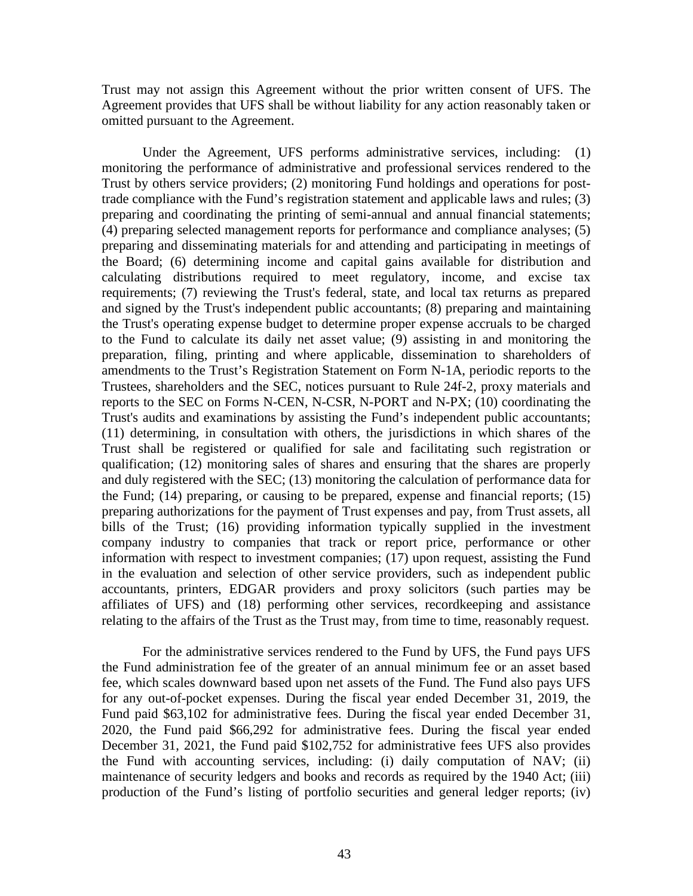Trust may not assign this Agreement without the prior written consent of UFS. The Agreement provides that UFS shall be without liability for any action reasonably taken or omitted pursuant to the Agreement.

Under the Agreement, UFS performs administrative services, including: (1) monitoring the performance of administrative and professional services rendered to the Trust by others service providers; (2) monitoring Fund holdings and operations for posttrade compliance with the Fund's registration statement and applicable laws and rules; (3) preparing and coordinating the printing of semi-annual and annual financial statements; (4) preparing selected management reports for performance and compliance analyses; (5) preparing and disseminating materials for and attending and participating in meetings of the Board; (6) determining income and capital gains available for distribution and calculating distributions required to meet regulatory, income, and excise tax requirements; (7) reviewing the Trust's federal, state, and local tax returns as prepared and signed by the Trust's independent public accountants; (8) preparing and maintaining the Trust's operating expense budget to determine proper expense accruals to be charged to the Fund to calculate its daily net asset value; (9) assisting in and monitoring the preparation, filing, printing and where applicable, dissemination to shareholders of amendments to the Trust's Registration Statement on Form N-1A, periodic reports to the Trustees, shareholders and the SEC, notices pursuant to Rule 24f-2, proxy materials and reports to the SEC on Forms N-CEN, N-CSR, N-PORT and N-PX; (10) coordinating the Trust's audits and examinations by assisting the Fund's independent public accountants; (11) determining, in consultation with others, the jurisdictions in which shares of the Trust shall be registered or qualified for sale and facilitating such registration or qualification; (12) monitoring sales of shares and ensuring that the shares are properly and duly registered with the SEC; (13) monitoring the calculation of performance data for the Fund; (14) preparing, or causing to be prepared, expense and financial reports; (15) preparing authorizations for the payment of Trust expenses and pay, from Trust assets, all bills of the Trust; (16) providing information typically supplied in the investment company industry to companies that track or report price, performance or other information with respect to investment companies; (17) upon request, assisting the Fund in the evaluation and selection of other service providers, such as independent public accountants, printers, EDGAR providers and proxy solicitors (such parties may be affiliates of UFS) and (18) performing other services, recordkeeping and assistance relating to the affairs of the Trust as the Trust may, from time to time, reasonably request.

For the administrative services rendered to the Fund by UFS, the Fund pays UFS the Fund administration fee of the greater of an annual minimum fee or an asset based fee, which scales downward based upon net assets of the Fund. The Fund also pays UFS for any out-of-pocket expenses. During the fiscal year ended December 31, 2019, the Fund paid \$63,102 for administrative fees. During the fiscal year ended December 31, 2020, the Fund paid \$66,292 for administrative fees. During the fiscal year ended December 31, 2021, the Fund paid \$102,752 for administrative fees UFS also provides the Fund with accounting services, including: (i) daily computation of NAV; (ii) maintenance of security ledgers and books and records as required by the 1940 Act; (iii) production of the Fund's listing of portfolio securities and general ledger reports; (iv)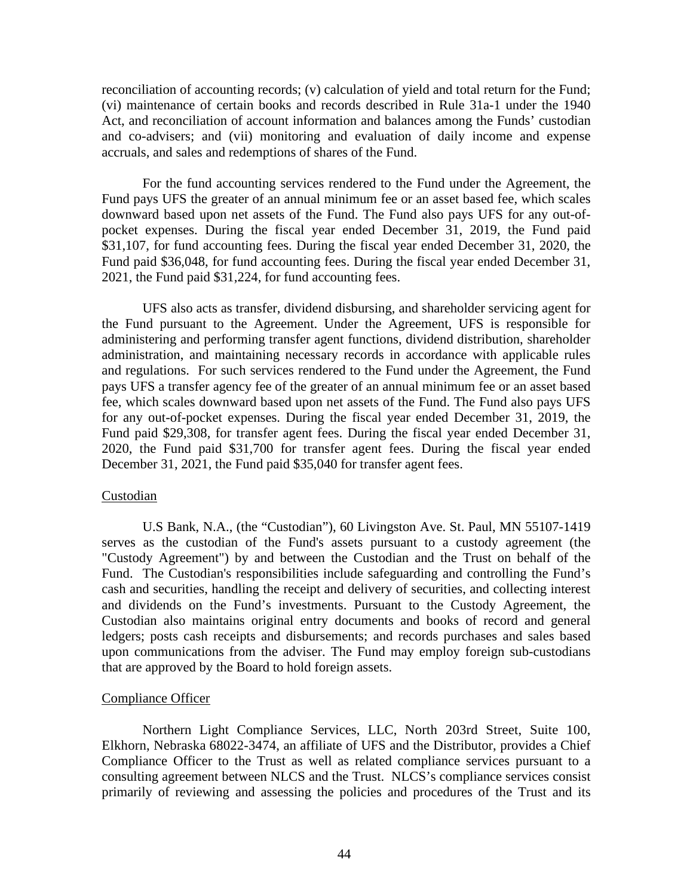reconciliation of accounting records; (v) calculation of yield and total return for the Fund; (vi) maintenance of certain books and records described in Rule 31a-1 under the 1940 Act, and reconciliation of account information and balances among the Funds' custodian and co-advisers; and (vii) monitoring and evaluation of daily income and expense accruals, and sales and redemptions of shares of the Fund.

For the fund accounting services rendered to the Fund under the Agreement, the Fund pays UFS the greater of an annual minimum fee or an asset based fee, which scales downward based upon net assets of the Fund. The Fund also pays UFS for any out-ofpocket expenses. During the fiscal year ended December 31, 2019, the Fund paid \$31,107, for fund accounting fees. During the fiscal year ended December 31, 2020, the Fund paid \$36,048, for fund accounting fees. During the fiscal year ended December 31, 2021, the Fund paid \$31,224, for fund accounting fees.

UFS also acts as transfer, dividend disbursing, and shareholder servicing agent for the Fund pursuant to the Agreement. Under the Agreement, UFS is responsible for administering and performing transfer agent functions, dividend distribution, shareholder administration, and maintaining necessary records in accordance with applicable rules and regulations. For such services rendered to the Fund under the Agreement, the Fund pays UFS a transfer agency fee of the greater of an annual minimum fee or an asset based fee, which scales downward based upon net assets of the Fund. The Fund also pays UFS for any out-of-pocket expenses. During the fiscal year ended December 31, 2019, the Fund paid \$29,308, for transfer agent fees. During the fiscal year ended December 31, 2020, the Fund paid \$31,700 for transfer agent fees. During the fiscal year ended December 31, 2021, the Fund paid \$35,040 for transfer agent fees.

#### Custodian

U.S Bank, N.A., (the "Custodian"), 60 Livingston Ave. St. Paul, MN 55107-1419 serves as the custodian of the Fund's assets pursuant to a custody agreement (the "Custody Agreement") by and between the Custodian and the Trust on behalf of the Fund. The Custodian's responsibilities include safeguarding and controlling the Fund's cash and securities, handling the receipt and delivery of securities, and collecting interest and dividends on the Fund's investments. Pursuant to the Custody Agreement, the Custodian also maintains original entry documents and books of record and general ledgers; posts cash receipts and disbursements; and records purchases and sales based upon communications from the adviser. The Fund may employ foreign sub-custodians that are approved by the Board to hold foreign assets.

### Compliance Officer

Northern Light Compliance Services, LLC, North 203rd Street, Suite 100, Elkhorn, Nebraska 68022-3474, an affiliate of UFS and the Distributor, provides a Chief Compliance Officer to the Trust as well as related compliance services pursuant to a consulting agreement between NLCS and the Trust. NLCS's compliance services consist primarily of reviewing and assessing the policies and procedures of the Trust and its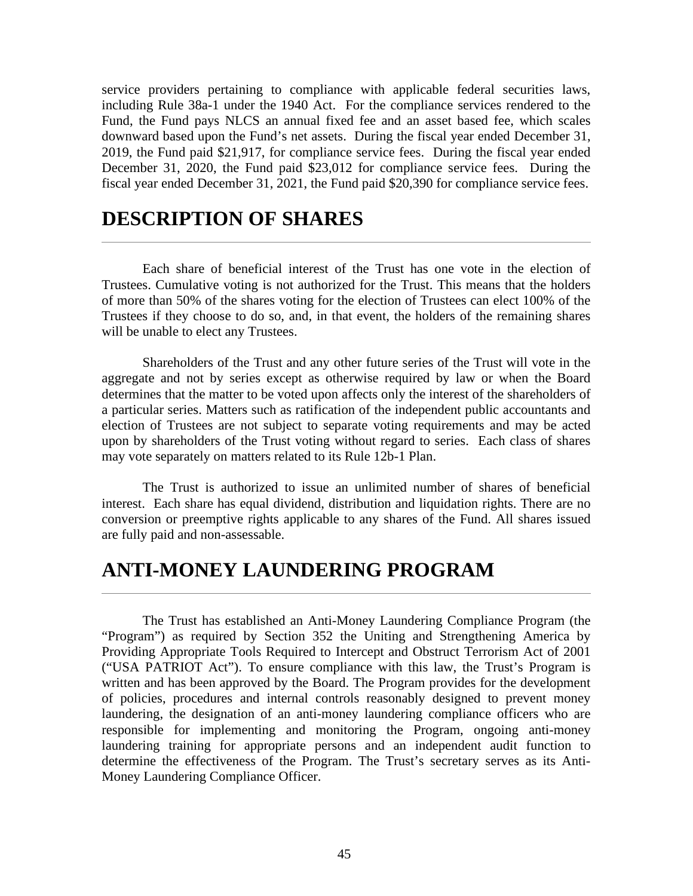service providers pertaining to compliance with applicable federal securities laws, including Rule 38a-1 under the 1940 Act. For the compliance services rendered to the Fund, the Fund pays NLCS an annual fixed fee and an asset based fee, which scales downward based upon the Fund's net assets. During the fiscal year ended December 31, 2019, the Fund paid \$21,917, for compliance service fees. During the fiscal year ended December 31, 2020, the Fund paid \$23,012 for compliance service fees. During the fiscal year ended December 31, 2021, the Fund paid \$20,390 for compliance service fees.

## **DESCRIPTION OF SHARES**

Each share of beneficial interest of the Trust has one vote in the election of Trustees. Cumulative voting is not authorized for the Trust. This means that the holders of more than 50% of the shares voting for the election of Trustees can elect 100% of the Trustees if they choose to do so, and, in that event, the holders of the remaining shares will be unable to elect any Trustees.

Shareholders of the Trust and any other future series of the Trust will vote in the aggregate and not by series except as otherwise required by law or when the Board determines that the matter to be voted upon affects only the interest of the shareholders of a particular series. Matters such as ratification of the independent public accountants and election of Trustees are not subject to separate voting requirements and may be acted upon by shareholders of the Trust voting without regard to series. Each class of shares may vote separately on matters related to its Rule 12b-1 Plan.

The Trust is authorized to issue an unlimited number of shares of beneficial interest. Each share has equal dividend, distribution and liquidation rights. There are no conversion or preemptive rights applicable to any shares of the Fund. All shares issued are fully paid and non-assessable.

## **ANTI-MONEY LAUNDERING PROGRAM**

The Trust has established an Anti-Money Laundering Compliance Program (the "Program") as required by Section 352 the Uniting and Strengthening America by Providing Appropriate Tools Required to Intercept and Obstruct Terrorism Act of 2001 ("USA PATRIOT Act"). To ensure compliance with this law, the Trust's Program is written and has been approved by the Board. The Program provides for the development of policies, procedures and internal controls reasonably designed to prevent money laundering, the designation of an anti-money laundering compliance officers who are responsible for implementing and monitoring the Program, ongoing anti-money laundering training for appropriate persons and an independent audit function to determine the effectiveness of the Program. The Trust's secretary serves as its Anti-Money Laundering Compliance Officer.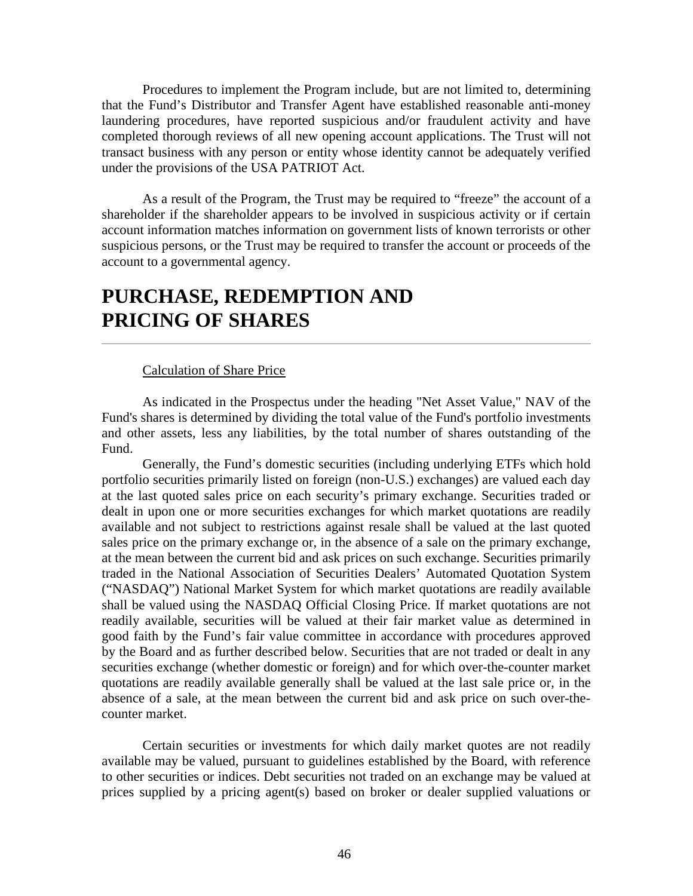Procedures to implement the Program include, but are not limited to, determining that the Fund's Distributor and Transfer Agent have established reasonable anti-money laundering procedures, have reported suspicious and/or fraudulent activity and have completed thorough reviews of all new opening account applications. The Trust will not transact business with any person or entity whose identity cannot be adequately verified under the provisions of the USA PATRIOT Act.

As a result of the Program, the Trust may be required to "freeze" the account of a shareholder if the shareholder appears to be involved in suspicious activity or if certain account information matches information on government lists of known terrorists or other suspicious persons, or the Trust may be required to transfer the account or proceeds of the account to a governmental agency.

## **PURCHASE, REDEMPTION AND PRICING OF SHARES**

### Calculation of Share Price

As indicated in the Prospectus under the heading "Net Asset Value," NAV of the Fund's shares is determined by dividing the total value of the Fund's portfolio investments and other assets, less any liabilities, by the total number of shares outstanding of the Fund.

Generally, the Fund's domestic securities (including underlying ETFs which hold portfolio securities primarily listed on foreign (non-U.S.) exchanges) are valued each day at the last quoted sales price on each security's primary exchange. Securities traded or dealt in upon one or more securities exchanges for which market quotations are readily available and not subject to restrictions against resale shall be valued at the last quoted sales price on the primary exchange or, in the absence of a sale on the primary exchange, at the mean between the current bid and ask prices on such exchange. Securities primarily traded in the National Association of Securities Dealers' Automated Quotation System ("NASDAQ") National Market System for which market quotations are readily available shall be valued using the NASDAQ Official Closing Price. If market quotations are not readily available, securities will be valued at their fair market value as determined in good faith by the Fund's fair value committee in accordance with procedures approved by the Board and as further described below. Securities that are not traded or dealt in any securities exchange (whether domestic or foreign) and for which over-the-counter market quotations are readily available generally shall be valued at the last sale price or, in the absence of a sale, at the mean between the current bid and ask price on such over-thecounter market.

Certain securities or investments for which daily market quotes are not readily available may be valued, pursuant to guidelines established by the Board, with reference to other securities or indices. Debt securities not traded on an exchange may be valued at prices supplied by a pricing agent(s) based on broker or dealer supplied valuations or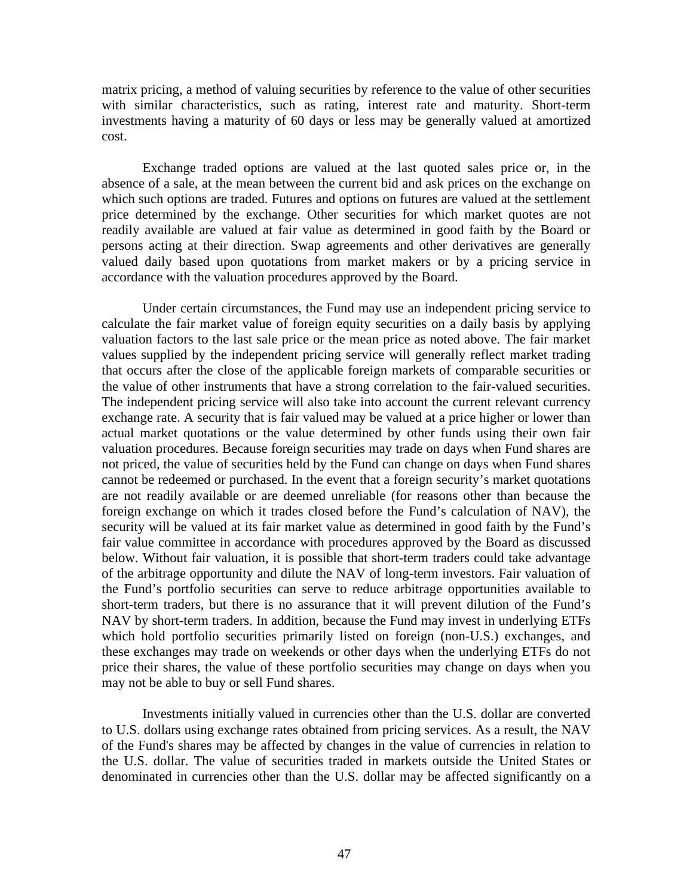matrix pricing, a method of valuing securities by reference to the value of other securities with similar characteristics, such as rating, interest rate and maturity. Short-term investments having a maturity of 60 days or less may be generally valued at amortized cost.

Exchange traded options are valued at the last quoted sales price or, in the absence of a sale, at the mean between the current bid and ask prices on the exchange on which such options are traded. Futures and options on futures are valued at the settlement price determined by the exchange. Other securities for which market quotes are not readily available are valued at fair value as determined in good faith by the Board or persons acting at their direction. Swap agreements and other derivatives are generally valued daily based upon quotations from market makers or by a pricing service in accordance with the valuation procedures approved by the Board.

Under certain circumstances, the Fund may use an independent pricing service to calculate the fair market value of foreign equity securities on a daily basis by applying valuation factors to the last sale price or the mean price as noted above. The fair market values supplied by the independent pricing service will generally reflect market trading that occurs after the close of the applicable foreign markets of comparable securities or the value of other instruments that have a strong correlation to the fair-valued securities. The independent pricing service will also take into account the current relevant currency exchange rate. A security that is fair valued may be valued at a price higher or lower than actual market quotations or the value determined by other funds using their own fair valuation procedures. Because foreign securities may trade on days when Fund shares are not priced, the value of securities held by the Fund can change on days when Fund shares cannot be redeemed or purchased. In the event that a foreign security's market quotations are not readily available or are deemed unreliable (for reasons other than because the foreign exchange on which it trades closed before the Fund's calculation of NAV), the security will be valued at its fair market value as determined in good faith by the Fund's fair value committee in accordance with procedures approved by the Board as discussed below. Without fair valuation, it is possible that short-term traders could take advantage of the arbitrage opportunity and dilute the NAV of long-term investors. Fair valuation of the Fund's portfolio securities can serve to reduce arbitrage opportunities available to short-term traders, but there is no assurance that it will prevent dilution of the Fund's NAV by short-term traders. In addition, because the Fund may invest in underlying ETFs which hold portfolio securities primarily listed on foreign (non-U.S.) exchanges, and these exchanges may trade on weekends or other days when the underlying ETFs do not price their shares, the value of these portfolio securities may change on days when you may not be able to buy or sell Fund shares.

Investments initially valued in currencies other than the U.S. dollar are converted to U.S. dollars using exchange rates obtained from pricing services. As a result, the NAV of the Fund's shares may be affected by changes in the value of currencies in relation to the U.S. dollar. The value of securities traded in markets outside the United States or denominated in currencies other than the U.S. dollar may be affected significantly on a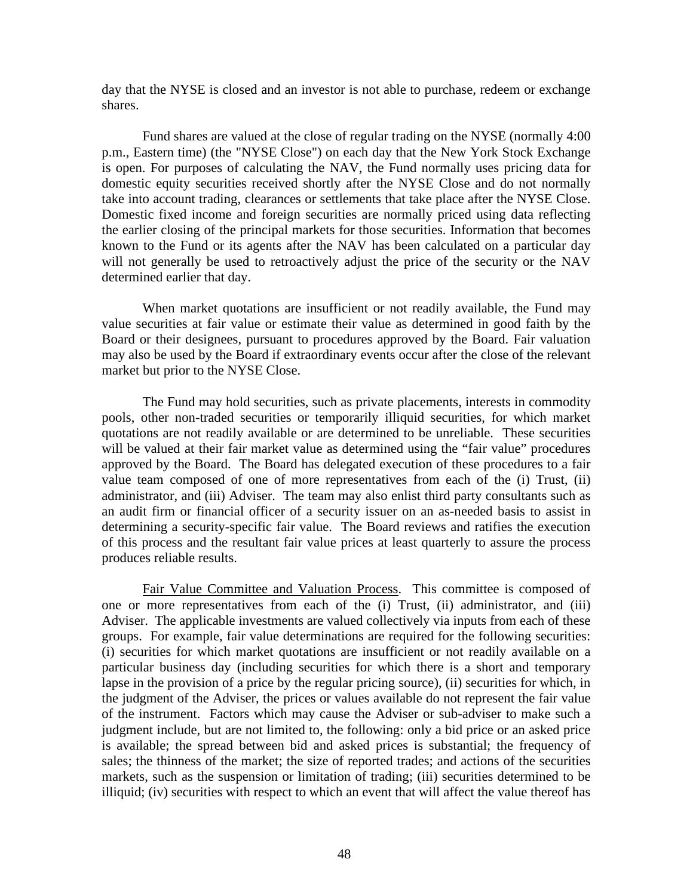day that the NYSE is closed and an investor is not able to purchase, redeem or exchange shares.

Fund shares are valued at the close of regular trading on the NYSE (normally 4:00 p.m., Eastern time) (the "NYSE Close") on each day that the New York Stock Exchange is open. For purposes of calculating the NAV, the Fund normally uses pricing data for domestic equity securities received shortly after the NYSE Close and do not normally take into account trading, clearances or settlements that take place after the NYSE Close. Domestic fixed income and foreign securities are normally priced using data reflecting the earlier closing of the principal markets for those securities. Information that becomes known to the Fund or its agents after the NAV has been calculated on a particular day will not generally be used to retroactively adjust the price of the security or the NAV determined earlier that day.

When market quotations are insufficient or not readily available, the Fund may value securities at fair value or estimate their value as determined in good faith by the Board or their designees, pursuant to procedures approved by the Board. Fair valuation may also be used by the Board if extraordinary events occur after the close of the relevant market but prior to the NYSE Close.

The Fund may hold securities, such as private placements, interests in commodity pools, other non-traded securities or temporarily illiquid securities, for which market quotations are not readily available or are determined to be unreliable. These securities will be valued at their fair market value as determined using the "fair value" procedures approved by the Board. The Board has delegated execution of these procedures to a fair value team composed of one of more representatives from each of the (i) Trust, (ii) administrator, and (iii) Adviser. The team may also enlist third party consultants such as an audit firm or financial officer of a security issuer on an as-needed basis to assist in determining a security-specific fair value. The Board reviews and ratifies the execution of this process and the resultant fair value prices at least quarterly to assure the process produces reliable results.

Fair Value Committee and Valuation Process. This committee is composed of one or more representatives from each of the (i) Trust, (ii) administrator, and (iii) Adviser. The applicable investments are valued collectively via inputs from each of these groups. For example, fair value determinations are required for the following securities: (i) securities for which market quotations are insufficient or not readily available on a particular business day (including securities for which there is a short and temporary lapse in the provision of a price by the regular pricing source), (ii) securities for which, in the judgment of the Adviser, the prices or values available do not represent the fair value of the instrument. Factors which may cause the Adviser or sub-adviser to make such a judgment include, but are not limited to, the following: only a bid price or an asked price is available; the spread between bid and asked prices is substantial; the frequency of sales; the thinness of the market; the size of reported trades; and actions of the securities markets, such as the suspension or limitation of trading; (iii) securities determined to be illiquid; (iv) securities with respect to which an event that will affect the value thereof has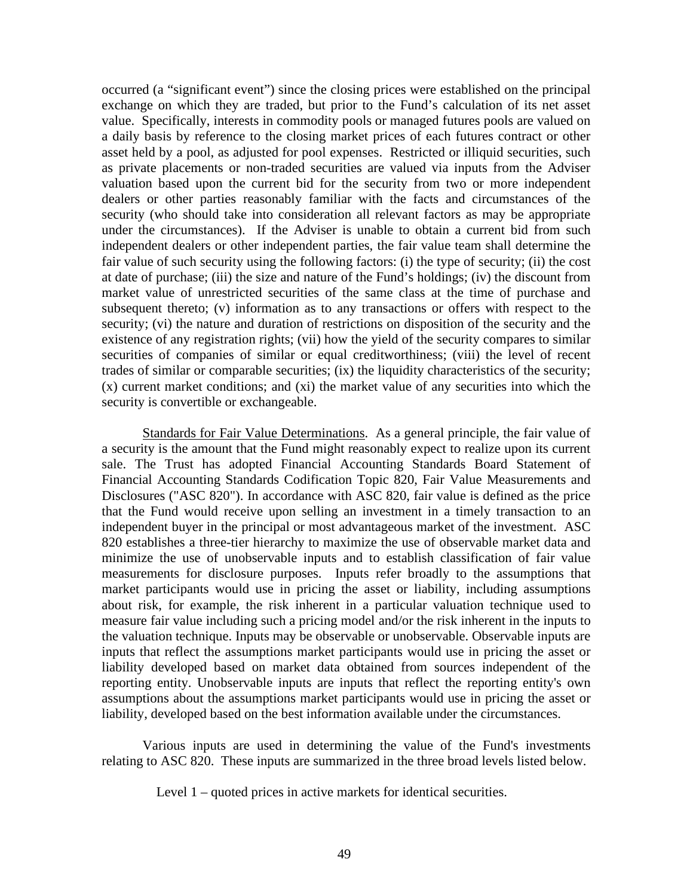occurred (a "significant event") since the closing prices were established on the principal exchange on which they are traded, but prior to the Fund's calculation of its net asset value. Specifically, interests in commodity pools or managed futures pools are valued on a daily basis by reference to the closing market prices of each futures contract or other asset held by a pool, as adjusted for pool expenses. Restricted or illiquid securities, such as private placements or non-traded securities are valued via inputs from the Adviser valuation based upon the current bid for the security from two or more independent dealers or other parties reasonably familiar with the facts and circumstances of the security (who should take into consideration all relevant factors as may be appropriate under the circumstances). If the Adviser is unable to obtain a current bid from such independent dealers or other independent parties, the fair value team shall determine the fair value of such security using the following factors: (i) the type of security; (ii) the cost at date of purchase; (iii) the size and nature of the Fund's holdings; (iv) the discount from market value of unrestricted securities of the same class at the time of purchase and subsequent thereto; (v) information as to any transactions or offers with respect to the security; (vi) the nature and duration of restrictions on disposition of the security and the existence of any registration rights; (vii) how the yield of the security compares to similar securities of companies of similar or equal creditworthiness; (viii) the level of recent trades of similar or comparable securities; (ix) the liquidity characteristics of the security; (x) current market conditions; and (xi) the market value of any securities into which the security is convertible or exchangeable.

Standards for Fair Value Determinations. As a general principle, the fair value of a security is the amount that the Fund might reasonably expect to realize upon its current sale. The Trust has adopted Financial Accounting Standards Board Statement of Financial Accounting Standards Codification Topic 820, Fair Value Measurements and Disclosures ("ASC 820"). In accordance with ASC 820, fair value is defined as the price that the Fund would receive upon selling an investment in a timely transaction to an independent buyer in the principal or most advantageous market of the investment. ASC 820 establishes a three-tier hierarchy to maximize the use of observable market data and minimize the use of unobservable inputs and to establish classification of fair value measurements for disclosure purposes. Inputs refer broadly to the assumptions that market participants would use in pricing the asset or liability, including assumptions about risk, for example, the risk inherent in a particular valuation technique used to measure fair value including such a pricing model and/or the risk inherent in the inputs to the valuation technique. Inputs may be observable or unobservable. Observable inputs are inputs that reflect the assumptions market participants would use in pricing the asset or liability developed based on market data obtained from sources independent of the reporting entity. Unobservable inputs are inputs that reflect the reporting entity's own assumptions about the assumptions market participants would use in pricing the asset or liability, developed based on the best information available under the circumstances.

Various inputs are used in determining the value of the Fund's investments relating to ASC 820. These inputs are summarized in the three broad levels listed below.

Level 1 – quoted prices in active markets for identical securities.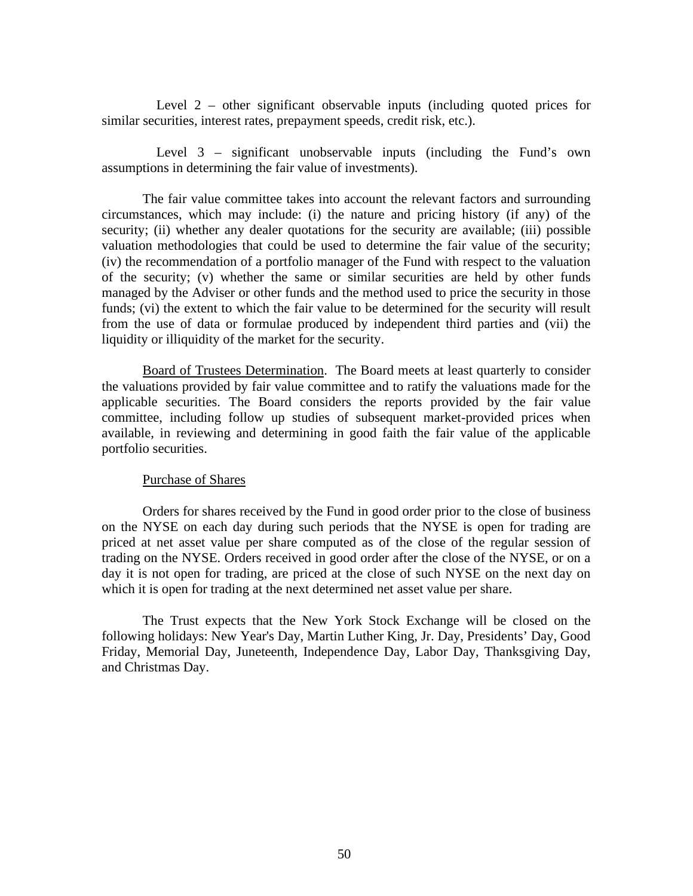Level 2 – other significant observable inputs (including quoted prices for similar securities, interest rates, prepayment speeds, credit risk, etc.).

Level 3 – significant unobservable inputs (including the Fund's own assumptions in determining the fair value of investments).

The fair value committee takes into account the relevant factors and surrounding circumstances, which may include: (i) the nature and pricing history (if any) of the security; (ii) whether any dealer quotations for the security are available; (iii) possible valuation methodologies that could be used to determine the fair value of the security; (iv) the recommendation of a portfolio manager of the Fund with respect to the valuation of the security; (v) whether the same or similar securities are held by other funds managed by the Adviser or other funds and the method used to price the security in those funds; (vi) the extent to which the fair value to be determined for the security will result from the use of data or formulae produced by independent third parties and (vii) the liquidity or illiquidity of the market for the security.

Board of Trustees Determination. The Board meets at least quarterly to consider the valuations provided by fair value committee and to ratify the valuations made for the applicable securities. The Board considers the reports provided by the fair value committee, including follow up studies of subsequent market-provided prices when available, in reviewing and determining in good faith the fair value of the applicable portfolio securities.

### Purchase of Shares

Orders for shares received by the Fund in good order prior to the close of business on the NYSE on each day during such periods that the NYSE is open for trading are priced at net asset value per share computed as of the close of the regular session of trading on the NYSE. Orders received in good order after the close of the NYSE, or on a day it is not open for trading, are priced at the close of such NYSE on the next day on which it is open for trading at the next determined net asset value per share.

The Trust expects that the New York Stock Exchange will be closed on the following holidays: New Year's Day, Martin Luther King, Jr. Day, Presidents' Day, Good Friday, Memorial Day, Juneteenth, Independence Day, Labor Day, Thanksgiving Day, and Christmas Day.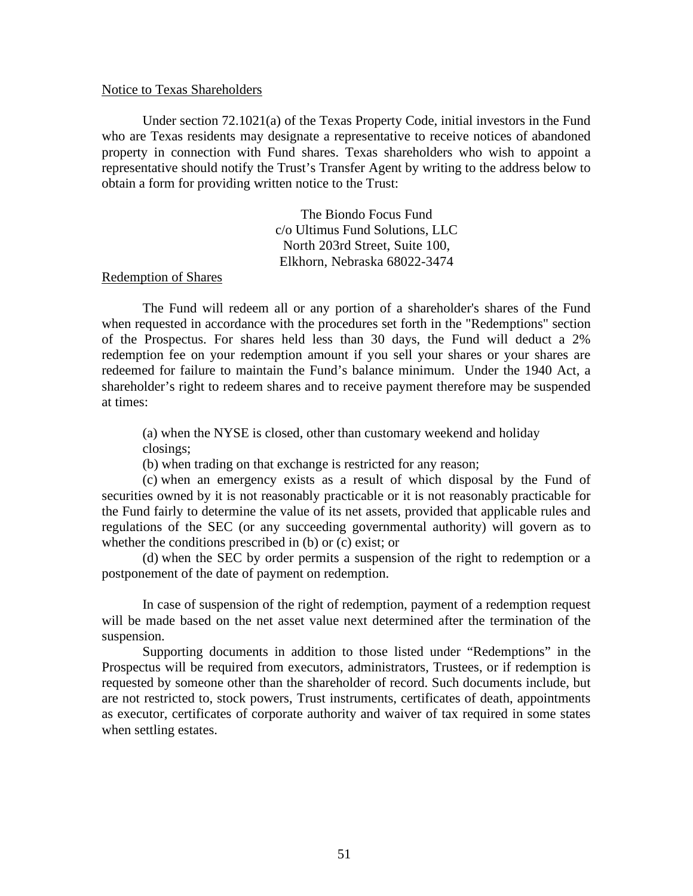#### Notice to Texas Shareholders

Under section 72.1021(a) of the Texas Property Code, initial investors in the Fund who are Texas residents may designate a representative to receive notices of abandoned property in connection with Fund shares. Texas shareholders who wish to appoint a representative should notify the Trust's Transfer Agent by writing to the address below to obtain a form for providing written notice to the Trust:

> The Biondo Focus Fund c/o Ultimus Fund Solutions, LLC North 203rd Street, Suite 100, Elkhorn, Nebraska 68022-3474

#### Redemption of Shares

The Fund will redeem all or any portion of a shareholder's shares of the Fund when requested in accordance with the procedures set forth in the "Redemptions" section of the Prospectus. For shares held less than 30 days, the Fund will deduct a 2% redemption fee on your redemption amount if you sell your shares or your shares are redeemed for failure to maintain the Fund's balance minimum. Under the 1940 Act, a shareholder's right to redeem shares and to receive payment therefore may be suspended at times:

(a) when the NYSE is closed, other than customary weekend and holiday closings;

(b) when trading on that exchange is restricted for any reason;

(c) when an emergency exists as a result of which disposal by the Fund of securities owned by it is not reasonably practicable or it is not reasonably practicable for the Fund fairly to determine the value of its net assets, provided that applicable rules and regulations of the SEC (or any succeeding governmental authority) will govern as to whether the conditions prescribed in (b) or (c) exist; or

(d) when the SEC by order permits a suspension of the right to redemption or a postponement of the date of payment on redemption.

In case of suspension of the right of redemption, payment of a redemption request will be made based on the net asset value next determined after the termination of the suspension.

Supporting documents in addition to those listed under "Redemptions" in the Prospectus will be required from executors, administrators, Trustees, or if redemption is requested by someone other than the shareholder of record. Such documents include, but are not restricted to, stock powers, Trust instruments, certificates of death, appointments as executor, certificates of corporate authority and waiver of tax required in some states when settling estates.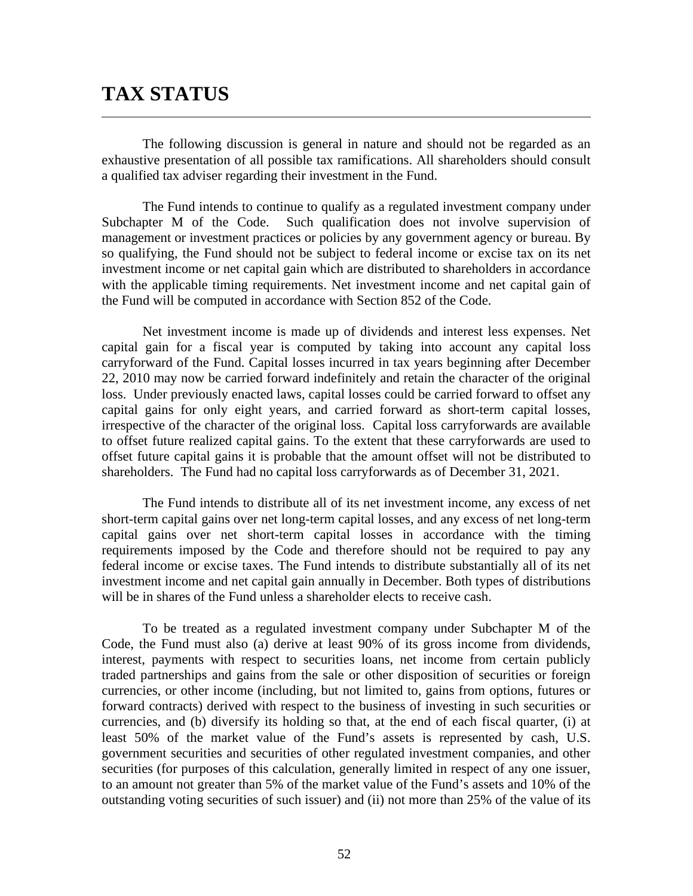## **TAX STATUS**

The following discussion is general in nature and should not be regarded as an exhaustive presentation of all possible tax ramifications. All shareholders should consult a qualified tax adviser regarding their investment in the Fund.

The Fund intends to continue to qualify as a regulated investment company under Subchapter M of the Code. Such qualification does not involve supervision of management or investment practices or policies by any government agency or bureau. By so qualifying, the Fund should not be subject to federal income or excise tax on its net investment income or net capital gain which are distributed to shareholders in accordance with the applicable timing requirements. Net investment income and net capital gain of the Fund will be computed in accordance with Section 852 of the Code.

Net investment income is made up of dividends and interest less expenses. Net capital gain for a fiscal year is computed by taking into account any capital loss carryforward of the Fund. Capital losses incurred in tax years beginning after December 22, 2010 may now be carried forward indefinitely and retain the character of the original loss. Under previously enacted laws, capital losses could be carried forward to offset any capital gains for only eight years, and carried forward as short-term capital losses, irrespective of the character of the original loss. Capital loss carryforwards are available to offset future realized capital gains. To the extent that these carryforwards are used to offset future capital gains it is probable that the amount offset will not be distributed to shareholders. The Fund had no capital loss carryforwards as of December 31, 2021.

The Fund intends to distribute all of its net investment income, any excess of net short-term capital gains over net long-term capital losses, and any excess of net long-term capital gains over net short-term capital losses in accordance with the timing requirements imposed by the Code and therefore should not be required to pay any federal income or excise taxes. The Fund intends to distribute substantially all of its net investment income and net capital gain annually in December. Both types of distributions will be in shares of the Fund unless a shareholder elects to receive cash.

To be treated as a regulated investment company under Subchapter M of the Code, the Fund must also (a) derive at least 90% of its gross income from dividends, interest, payments with respect to securities loans, net income from certain publicly traded partnerships and gains from the sale or other disposition of securities or foreign currencies, or other income (including, but not limited to, gains from options, futures or forward contracts) derived with respect to the business of investing in such securities or currencies, and (b) diversify its holding so that, at the end of each fiscal quarter, (i) at least 50% of the market value of the Fund's assets is represented by cash, U.S. government securities and securities of other regulated investment companies, and other securities (for purposes of this calculation, generally limited in respect of any one issuer, to an amount not greater than 5% of the market value of the Fund's assets and 10% of the outstanding voting securities of such issuer) and (ii) not more than 25% of the value of its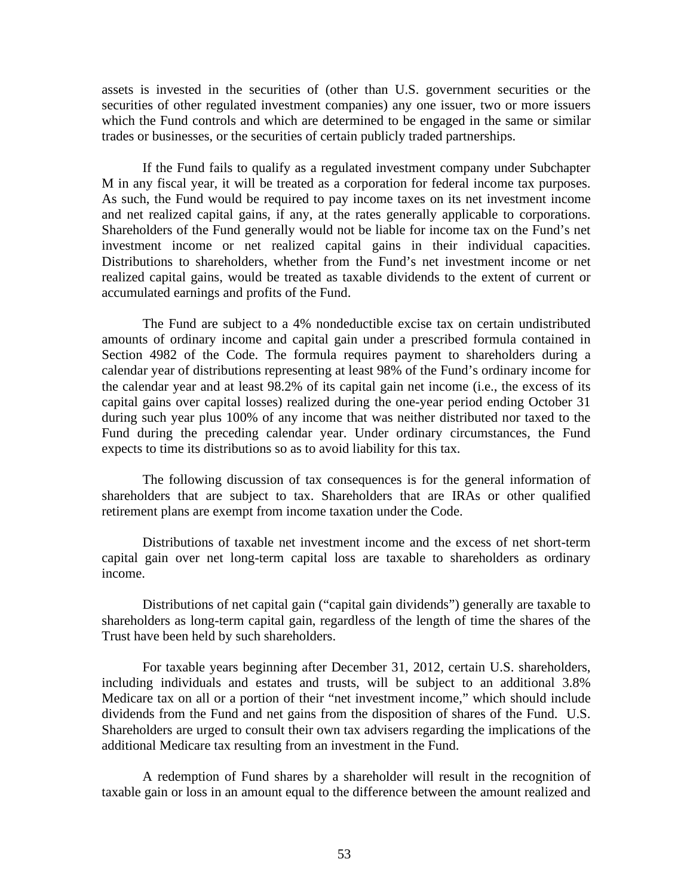assets is invested in the securities of (other than U.S. government securities or the securities of other regulated investment companies) any one issuer, two or more issuers which the Fund controls and which are determined to be engaged in the same or similar trades or businesses, or the securities of certain publicly traded partnerships.

If the Fund fails to qualify as a regulated investment company under Subchapter M in any fiscal year, it will be treated as a corporation for federal income tax purposes. As such, the Fund would be required to pay income taxes on its net investment income and net realized capital gains, if any, at the rates generally applicable to corporations. Shareholders of the Fund generally would not be liable for income tax on the Fund's net investment income or net realized capital gains in their individual capacities. Distributions to shareholders, whether from the Fund's net investment income or net realized capital gains, would be treated as taxable dividends to the extent of current or accumulated earnings and profits of the Fund.

The Fund are subject to a 4% nondeductible excise tax on certain undistributed amounts of ordinary income and capital gain under a prescribed formula contained in Section 4982 of the Code. The formula requires payment to shareholders during a calendar year of distributions representing at least 98% of the Fund's ordinary income for the calendar year and at least 98.2% of its capital gain net income (i.e., the excess of its capital gains over capital losses) realized during the one-year period ending October 31 during such year plus 100% of any income that was neither distributed nor taxed to the Fund during the preceding calendar year. Under ordinary circumstances, the Fund expects to time its distributions so as to avoid liability for this tax.

The following discussion of tax consequences is for the general information of shareholders that are subject to tax. Shareholders that are IRAs or other qualified retirement plans are exempt from income taxation under the Code.

Distributions of taxable net investment income and the excess of net short-term capital gain over net long-term capital loss are taxable to shareholders as ordinary income.

Distributions of net capital gain ("capital gain dividends") generally are taxable to shareholders as long-term capital gain, regardless of the length of time the shares of the Trust have been held by such shareholders.

For taxable years beginning after December 31, 2012, certain U.S. shareholders, including individuals and estates and trusts, will be subject to an additional 3.8% Medicare tax on all or a portion of their "net investment income," which should include dividends from the Fund and net gains from the disposition of shares of the Fund. U.S. Shareholders are urged to consult their own tax advisers regarding the implications of the additional Medicare tax resulting from an investment in the Fund.

A redemption of Fund shares by a shareholder will result in the recognition of taxable gain or loss in an amount equal to the difference between the amount realized and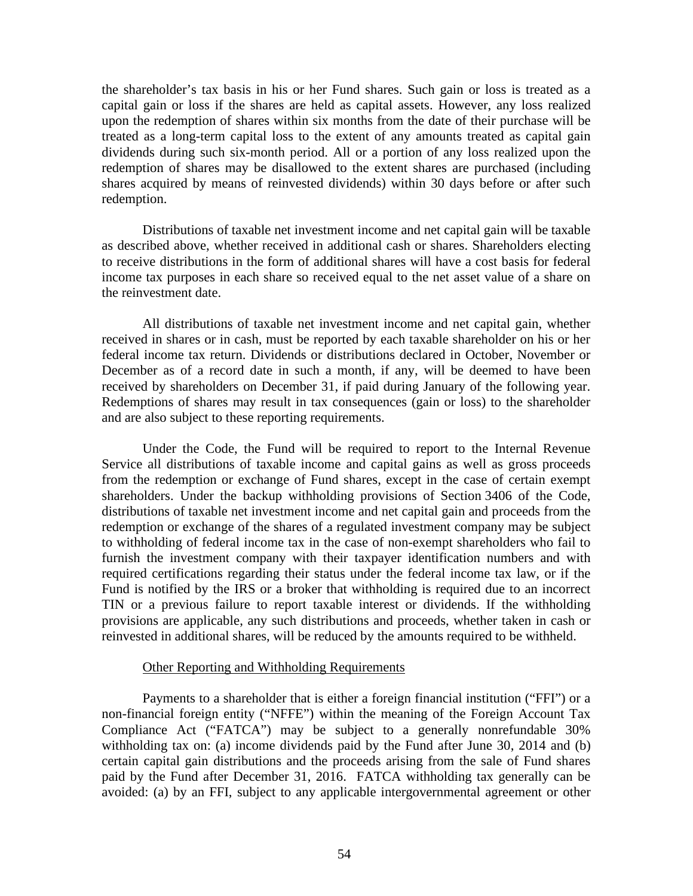the shareholder's tax basis in his or her Fund shares. Such gain or loss is treated as a capital gain or loss if the shares are held as capital assets. However, any loss realized upon the redemption of shares within six months from the date of their purchase will be treated as a long-term capital loss to the extent of any amounts treated as capital gain dividends during such six-month period. All or a portion of any loss realized upon the redemption of shares may be disallowed to the extent shares are purchased (including shares acquired by means of reinvested dividends) within 30 days before or after such redemption.

Distributions of taxable net investment income and net capital gain will be taxable as described above, whether received in additional cash or shares. Shareholders electing to receive distributions in the form of additional shares will have a cost basis for federal income tax purposes in each share so received equal to the net asset value of a share on the reinvestment date.

All distributions of taxable net investment income and net capital gain, whether received in shares or in cash, must be reported by each taxable shareholder on his or her federal income tax return. Dividends or distributions declared in October, November or December as of a record date in such a month, if any, will be deemed to have been received by shareholders on December 31, if paid during January of the following year. Redemptions of shares may result in tax consequences (gain or loss) to the shareholder and are also subject to these reporting requirements.

Under the Code, the Fund will be required to report to the Internal Revenue Service all distributions of taxable income and capital gains as well as gross proceeds from the redemption or exchange of Fund shares, except in the case of certain exempt shareholders. Under the backup withholding provisions of Section 3406 of the Code, distributions of taxable net investment income and net capital gain and proceeds from the redemption or exchange of the shares of a regulated investment company may be subject to withholding of federal income tax in the case of non-exempt shareholders who fail to furnish the investment company with their taxpayer identification numbers and with required certifications regarding their status under the federal income tax law, or if the Fund is notified by the IRS or a broker that withholding is required due to an incorrect TIN or a previous failure to report taxable interest or dividends. If the withholding provisions are applicable, any such distributions and proceeds, whether taken in cash or reinvested in additional shares, will be reduced by the amounts required to be withheld.

### Other Reporting and Withholding Requirements

Payments to a shareholder that is either a foreign financial institution ("FFI") or a non-financial foreign entity ("NFFE") within the meaning of the Foreign Account Tax Compliance Act ("FATCA") may be subject to a generally nonrefundable 30% withholding tax on: (a) income dividends paid by the Fund after June 30, 2014 and (b) certain capital gain distributions and the proceeds arising from the sale of Fund shares paid by the Fund after December 31, 2016. FATCA withholding tax generally can be avoided: (a) by an FFI, subject to any applicable intergovernmental agreement or other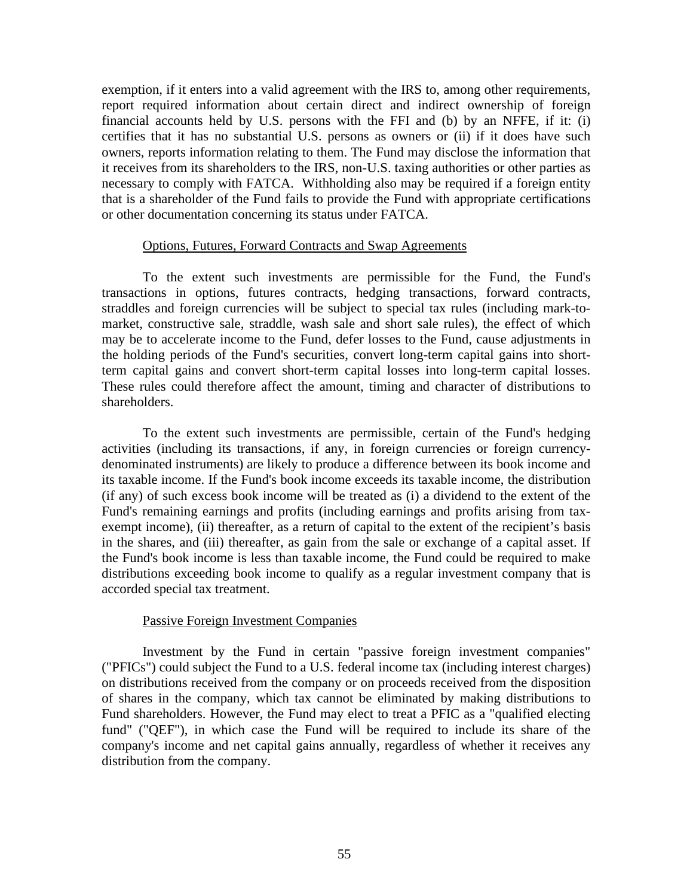exemption, if it enters into a valid agreement with the IRS to, among other requirements, report required information about certain direct and indirect ownership of foreign financial accounts held by U.S. persons with the FFI and (b) by an NFFE, if it: (i) certifies that it has no substantial U.S. persons as owners or (ii) if it does have such owners, reports information relating to them. The Fund may disclose the information that it receives from its shareholders to the IRS, non-U.S. taxing authorities or other parties as necessary to comply with FATCA. Withholding also may be required if a foreign entity that is a shareholder of the Fund fails to provide the Fund with appropriate certifications or other documentation concerning its status under FATCA.

### Options, Futures, Forward Contracts and Swap Agreements

To the extent such investments are permissible for the Fund, the Fund's transactions in options, futures contracts, hedging transactions, forward contracts, straddles and foreign currencies will be subject to special tax rules (including mark-tomarket, constructive sale, straddle, wash sale and short sale rules), the effect of which may be to accelerate income to the Fund, defer losses to the Fund, cause adjustments in the holding periods of the Fund's securities, convert long-term capital gains into shortterm capital gains and convert short-term capital losses into long-term capital losses. These rules could therefore affect the amount, timing and character of distributions to shareholders.

To the extent such investments are permissible, certain of the Fund's hedging activities (including its transactions, if any, in foreign currencies or foreign currencydenominated instruments) are likely to produce a difference between its book income and its taxable income. If the Fund's book income exceeds its taxable income, the distribution (if any) of such excess book income will be treated as (i) a dividend to the extent of the Fund's remaining earnings and profits (including earnings and profits arising from taxexempt income), (ii) thereafter, as a return of capital to the extent of the recipient's basis in the shares, and (iii) thereafter, as gain from the sale or exchange of a capital asset. If the Fund's book income is less than taxable income, the Fund could be required to make distributions exceeding book income to qualify as a regular investment company that is accorded special tax treatment.

### Passive Foreign Investment Companies

Investment by the Fund in certain "passive foreign investment companies" ("PFICs") could subject the Fund to a U.S. federal income tax (including interest charges) on distributions received from the company or on proceeds received from the disposition of shares in the company, which tax cannot be eliminated by making distributions to Fund shareholders. However, the Fund may elect to treat a PFIC as a "qualified electing fund" ("QEF"), in which case the Fund will be required to include its share of the company's income and net capital gains annually, regardless of whether it receives any distribution from the company.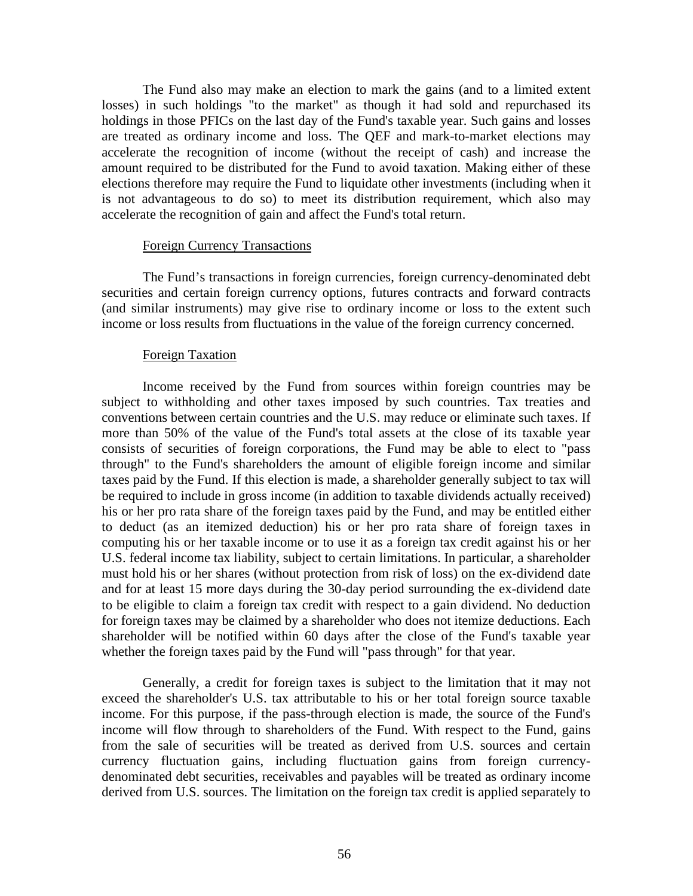The Fund also may make an election to mark the gains (and to a limited extent losses) in such holdings "to the market" as though it had sold and repurchased its holdings in those PFICs on the last day of the Fund's taxable year. Such gains and losses are treated as ordinary income and loss. The QEF and mark-to-market elections may accelerate the recognition of income (without the receipt of cash) and increase the amount required to be distributed for the Fund to avoid taxation. Making either of these elections therefore may require the Fund to liquidate other investments (including when it is not advantageous to do so) to meet its distribution requirement, which also may accelerate the recognition of gain and affect the Fund's total return.

### Foreign Currency Transactions

The Fund's transactions in foreign currencies, foreign currency-denominated debt securities and certain foreign currency options, futures contracts and forward contracts (and similar instruments) may give rise to ordinary income or loss to the extent such income or loss results from fluctuations in the value of the foreign currency concerned.

### Foreign Taxation

Income received by the Fund from sources within foreign countries may be subject to withholding and other taxes imposed by such countries. Tax treaties and conventions between certain countries and the U.S. may reduce or eliminate such taxes. If more than 50% of the value of the Fund's total assets at the close of its taxable year consists of securities of foreign corporations, the Fund may be able to elect to "pass through" to the Fund's shareholders the amount of eligible foreign income and similar taxes paid by the Fund. If this election is made, a shareholder generally subject to tax will be required to include in gross income (in addition to taxable dividends actually received) his or her pro rata share of the foreign taxes paid by the Fund, and may be entitled either to deduct (as an itemized deduction) his or her pro rata share of foreign taxes in computing his or her taxable income or to use it as a foreign tax credit against his or her U.S. federal income tax liability, subject to certain limitations. In particular, a shareholder must hold his or her shares (without protection from risk of loss) on the ex-dividend date and for at least 15 more days during the 30-day period surrounding the ex-dividend date to be eligible to claim a foreign tax credit with respect to a gain dividend. No deduction for foreign taxes may be claimed by a shareholder who does not itemize deductions. Each shareholder will be notified within 60 days after the close of the Fund's taxable year whether the foreign taxes paid by the Fund will "pass through" for that year.

Generally, a credit for foreign taxes is subject to the limitation that it may not exceed the shareholder's U.S. tax attributable to his or her total foreign source taxable income. For this purpose, if the pass-through election is made, the source of the Fund's income will flow through to shareholders of the Fund. With respect to the Fund, gains from the sale of securities will be treated as derived from U.S. sources and certain currency fluctuation gains, including fluctuation gains from foreign currencydenominated debt securities, receivables and payables will be treated as ordinary income derived from U.S. sources. The limitation on the foreign tax credit is applied separately to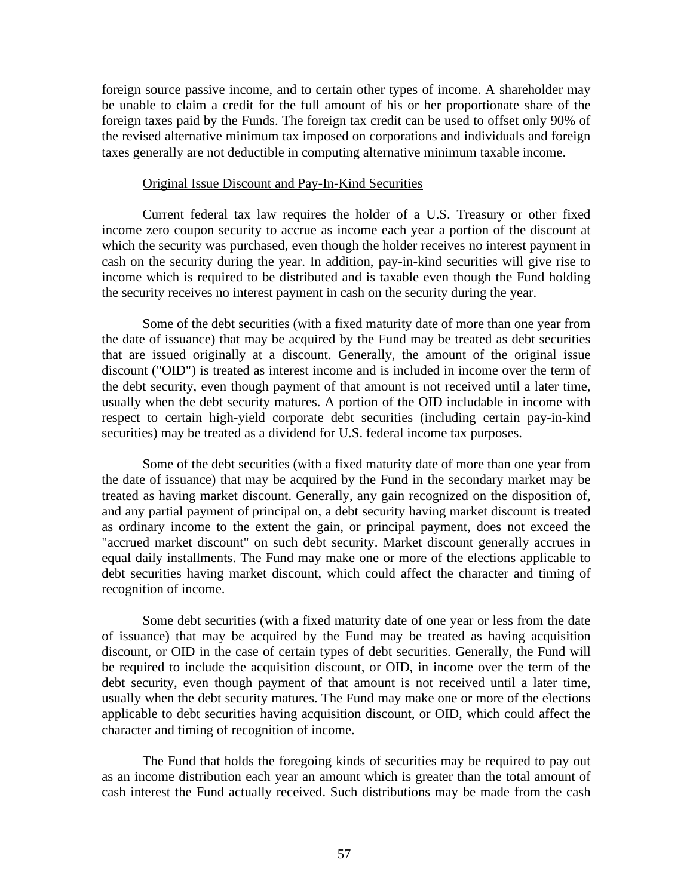foreign source passive income, and to certain other types of income. A shareholder may be unable to claim a credit for the full amount of his or her proportionate share of the foreign taxes paid by the Funds. The foreign tax credit can be used to offset only 90% of the revised alternative minimum tax imposed on corporations and individuals and foreign taxes generally are not deductible in computing alternative minimum taxable income.

### Original Issue Discount and Pay-In-Kind Securities

Current federal tax law requires the holder of a U.S. Treasury or other fixed income zero coupon security to accrue as income each year a portion of the discount at which the security was purchased, even though the holder receives no interest payment in cash on the security during the year. In addition, pay-in-kind securities will give rise to income which is required to be distributed and is taxable even though the Fund holding the security receives no interest payment in cash on the security during the year.

Some of the debt securities (with a fixed maturity date of more than one year from the date of issuance) that may be acquired by the Fund may be treated as debt securities that are issued originally at a discount. Generally, the amount of the original issue discount ("OID") is treated as interest income and is included in income over the term of the debt security, even though payment of that amount is not received until a later time, usually when the debt security matures. A portion of the OID includable in income with respect to certain high-yield corporate debt securities (including certain pay-in-kind securities) may be treated as a dividend for U.S. federal income tax purposes.

Some of the debt securities (with a fixed maturity date of more than one year from the date of issuance) that may be acquired by the Fund in the secondary market may be treated as having market discount. Generally, any gain recognized on the disposition of, and any partial payment of principal on, a debt security having market discount is treated as ordinary income to the extent the gain, or principal payment, does not exceed the "accrued market discount" on such debt security. Market discount generally accrues in equal daily installments. The Fund may make one or more of the elections applicable to debt securities having market discount, which could affect the character and timing of recognition of income.

Some debt securities (with a fixed maturity date of one year or less from the date of issuance) that may be acquired by the Fund may be treated as having acquisition discount, or OID in the case of certain types of debt securities. Generally, the Fund will be required to include the acquisition discount, or OID, in income over the term of the debt security, even though payment of that amount is not received until a later time, usually when the debt security matures. The Fund may make one or more of the elections applicable to debt securities having acquisition discount, or OID, which could affect the character and timing of recognition of income.

The Fund that holds the foregoing kinds of securities may be required to pay out as an income distribution each year an amount which is greater than the total amount of cash interest the Fund actually received. Such distributions may be made from the cash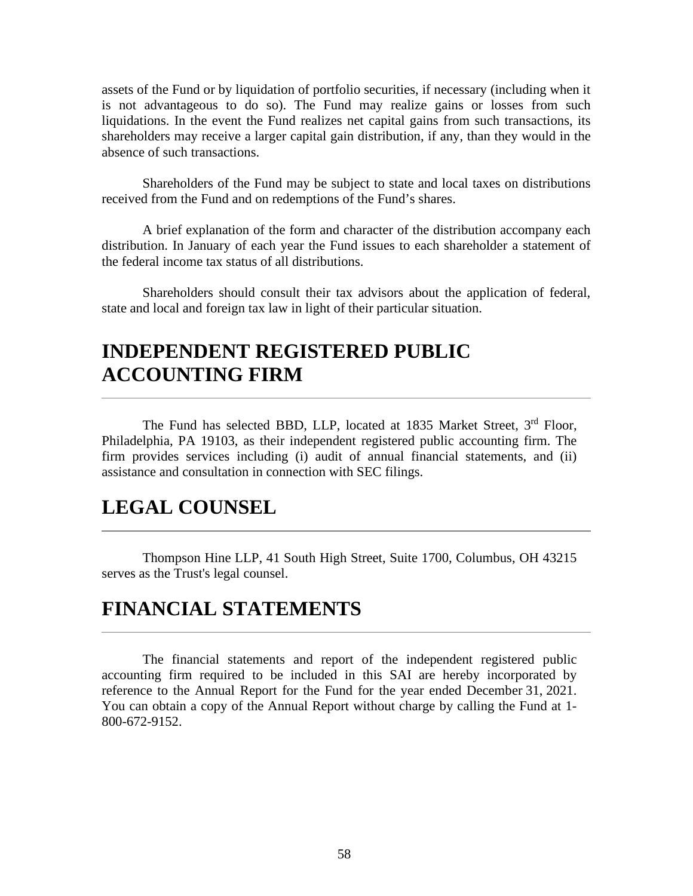assets of the Fund or by liquidation of portfolio securities, if necessary (including when it is not advantageous to do so). The Fund may realize gains or losses from such liquidations. In the event the Fund realizes net capital gains from such transactions, its shareholders may receive a larger capital gain distribution, if any, than they would in the absence of such transactions.

Shareholders of the Fund may be subject to state and local taxes on distributions received from the Fund and on redemptions of the Fund's shares.

A brief explanation of the form and character of the distribution accompany each distribution. In January of each year the Fund issues to each shareholder a statement of the federal income tax status of all distributions.

Shareholders should consult their tax advisors about the application of federal, state and local and foreign tax law in light of their particular situation.

# **INDEPENDENT REGISTERED PUBLIC ACCOUNTING FIRM**

The Fund has selected BBD, LLP, located at 1835 Market Street, 3<sup>rd</sup> Floor, Philadelphia, PA 19103, as their independent registered public accounting firm. The firm provides services including (i) audit of annual financial statements, and (ii) assistance and consultation in connection with SEC filings.

## **LEGAL COUNSEL**

Thompson Hine LLP, 41 South High Street, Suite 1700, Columbus, OH 43215 serves as the Trust's legal counsel.

## **FINANCIAL STATEMENTS**

The financial statements and report of the independent registered public accounting firm required to be included in this SAI are hereby incorporated by reference to the Annual Report for the Fund for the year ended December 31, 2021. You can obtain a copy of the Annual Report without charge by calling the Fund at 1- 800-672-9152.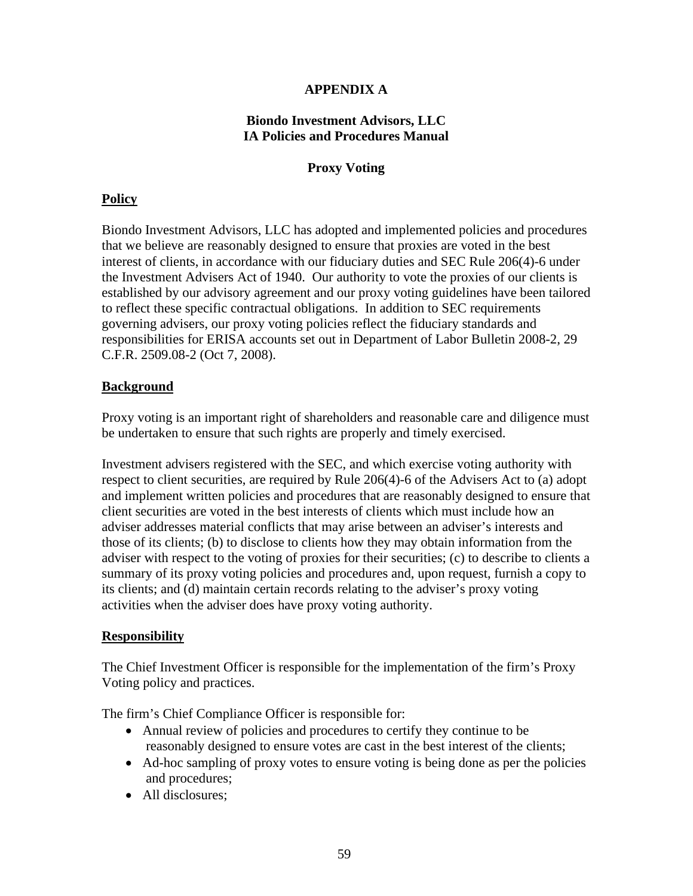## **APPENDIX A**

### **Biondo Investment Advisors, LLC IA Policies and Procedures Manual**

### **Proxy Voting**

## **Policy**

Biondo Investment Advisors, LLC has adopted and implemented policies and procedures that we believe are reasonably designed to ensure that proxies are voted in the best interest of clients, in accordance with our fiduciary duties and SEC Rule 206(4)-6 under the Investment Advisers Act of 1940. Our authority to vote the proxies of our clients is established by our advisory agreement and our proxy voting guidelines have been tailored to reflect these specific contractual obligations. In addition to SEC requirements governing advisers, our proxy voting policies reflect the fiduciary standards and responsibilities for ERISA accounts set out in Department of Labor Bulletin 2008-2, 29 C.F.R. 2509.08-2 (Oct 7, 2008).

## **Background**

Proxy voting is an important right of shareholders and reasonable care and diligence must be undertaken to ensure that such rights are properly and timely exercised.

Investment advisers registered with the SEC, and which exercise voting authority with respect to client securities, are required by Rule 206(4)-6 of the Advisers Act to (a) adopt and implement written policies and procedures that are reasonably designed to ensure that client securities are voted in the best interests of clients which must include how an adviser addresses material conflicts that may arise between an adviser's interests and those of its clients; (b) to disclose to clients how they may obtain information from the adviser with respect to the voting of proxies for their securities; (c) to describe to clients a summary of its proxy voting policies and procedures and, upon request, furnish a copy to its clients; and (d) maintain certain records relating to the adviser's proxy voting activities when the adviser does have proxy voting authority.

## **Responsibility**

The Chief Investment Officer is responsible for the implementation of the firm's Proxy Voting policy and practices.

The firm's Chief Compliance Officer is responsible for:

- Annual review of policies and procedures to certify they continue to be reasonably designed to ensure votes are cast in the best interest of the clients;
- Ad-hoc sampling of proxy votes to ensure voting is being done as per the policies and procedures;
- All disclosures: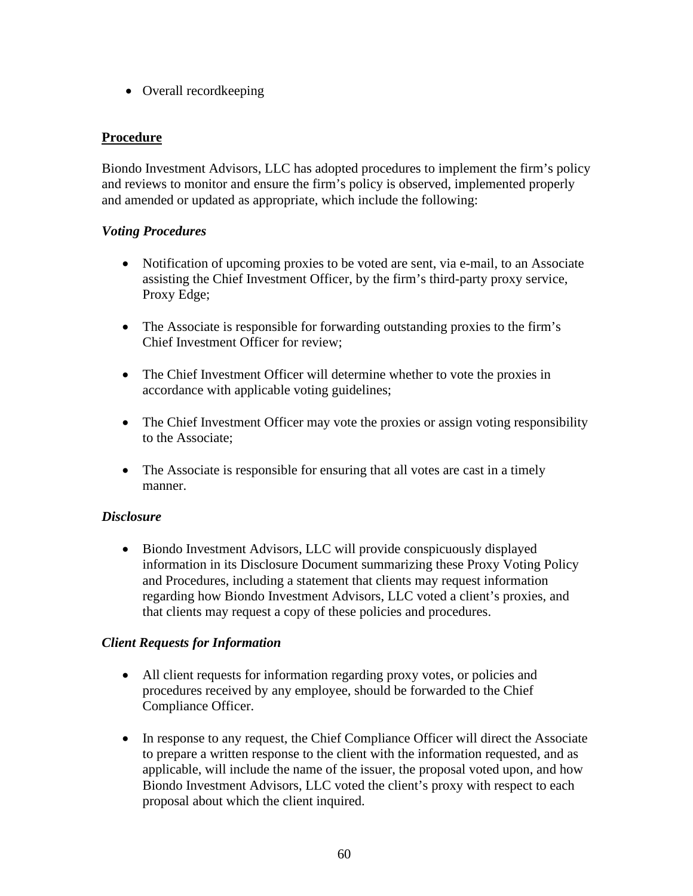• Overall recordkeeping

## **Procedure**

Biondo Investment Advisors, LLC has adopted procedures to implement the firm's policy and reviews to monitor and ensure the firm's policy is observed, implemented properly and amended or updated as appropriate, which include the following:

## *Voting Procedures*

- Notification of upcoming proxies to be voted are sent, via e-mail, to an Associate assisting the Chief Investment Officer, by the firm's third-party proxy service, Proxy Edge;
- The Associate is responsible for forwarding outstanding proxies to the firm's Chief Investment Officer for review;
- The Chief Investment Officer will determine whether to vote the proxies in accordance with applicable voting guidelines;
- The Chief Investment Officer may vote the proxies or assign voting responsibility to the Associate;
- The Associate is responsible for ensuring that all votes are cast in a timely manner.

## *Disclosure*

• Biondo Investment Advisors, LLC will provide conspicuously displayed information in its Disclosure Document summarizing these Proxy Voting Policy and Procedures, including a statement that clients may request information regarding how Biondo Investment Advisors, LLC voted a client's proxies, and that clients may request a copy of these policies and procedures.

### *Client Requests for Information*

- All client requests for information regarding proxy votes, or policies and procedures received by any employee, should be forwarded to the Chief Compliance Officer.
- In response to any request, the Chief Compliance Officer will direct the Associate to prepare a written response to the client with the information requested, and as applicable, will include the name of the issuer, the proposal voted upon, and how Biondo Investment Advisors, LLC voted the client's proxy with respect to each proposal about which the client inquired.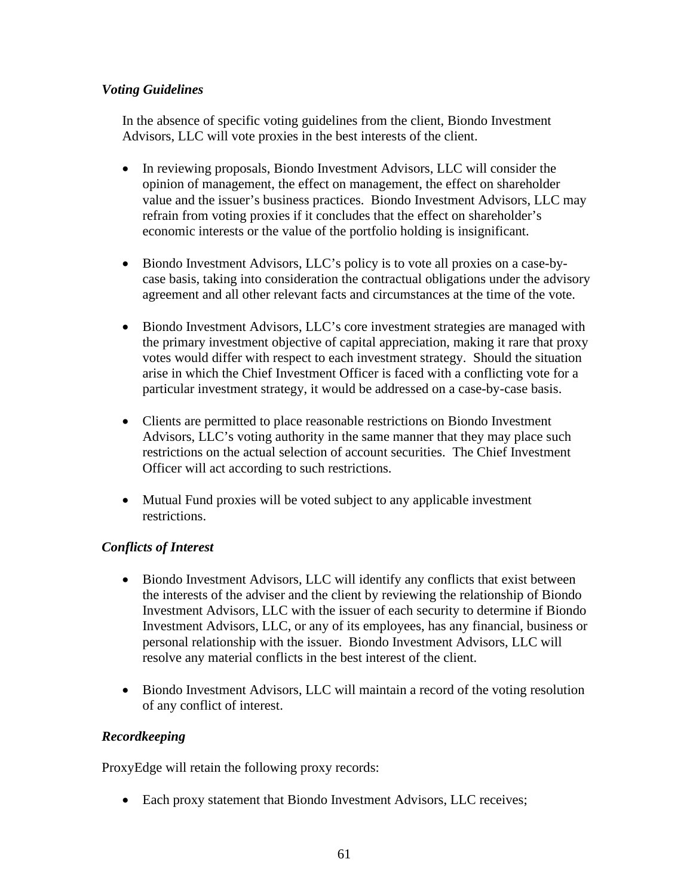## *Voting Guidelines*

In the absence of specific voting guidelines from the client, Biondo Investment Advisors, LLC will vote proxies in the best interests of the client.

- In reviewing proposals, Biondo Investment Advisors, LLC will consider the opinion of management, the effect on management, the effect on shareholder value and the issuer's business practices. Biondo Investment Advisors, LLC may refrain from voting proxies if it concludes that the effect on shareholder's economic interests or the value of the portfolio holding is insignificant.
- Biondo Investment Advisors, LLC's policy is to vote all proxies on a case-bycase basis, taking into consideration the contractual obligations under the advisory agreement and all other relevant facts and circumstances at the time of the vote.
- Biondo Investment Advisors, LLC's core investment strategies are managed with the primary investment objective of capital appreciation, making it rare that proxy votes would differ with respect to each investment strategy. Should the situation arise in which the Chief Investment Officer is faced with a conflicting vote for a particular investment strategy, it would be addressed on a case-by-case basis.
- Clients are permitted to place reasonable restrictions on Biondo Investment Advisors, LLC's voting authority in the same manner that they may place such restrictions on the actual selection of account securities. The Chief Investment Officer will act according to such restrictions.
- Mutual Fund proxies will be voted subject to any applicable investment restrictions.

## *Conflicts of Interest*

- Biondo Investment Advisors, LLC will identify any conflicts that exist between the interests of the adviser and the client by reviewing the relationship of Biondo Investment Advisors, LLC with the issuer of each security to determine if Biondo Investment Advisors, LLC, or any of its employees, has any financial, business or personal relationship with the issuer. Biondo Investment Advisors, LLC will resolve any material conflicts in the best interest of the client.
- Biondo Investment Advisors, LLC will maintain a record of the voting resolution of any conflict of interest.

## *Recordkeeping*

ProxyEdge will retain the following proxy records:

• Each proxy statement that Biondo Investment Advisors, LLC receives;